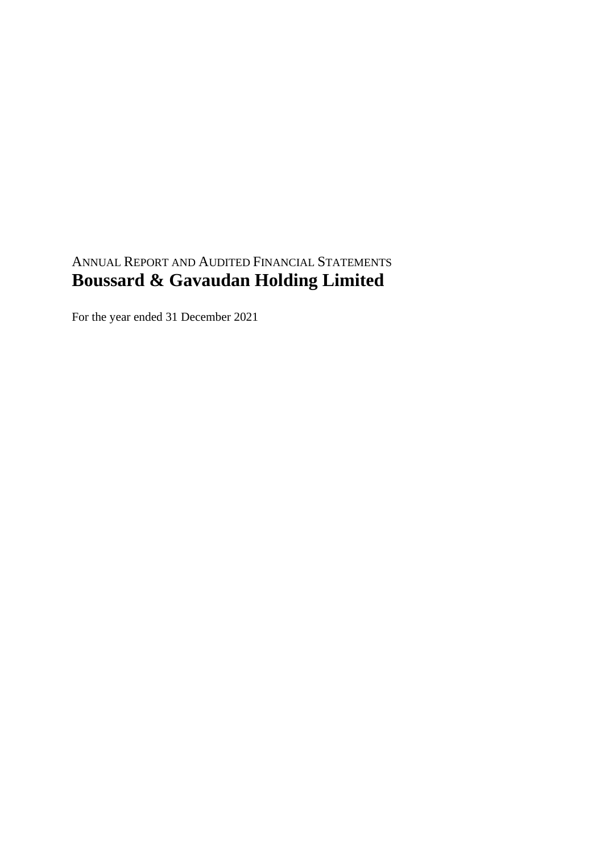# ANNUAL REPORT AND AUDITED FINANCIAL STATEMENTS **Boussard & Gavaudan Holding Limited**

For the year ended 31 December 2021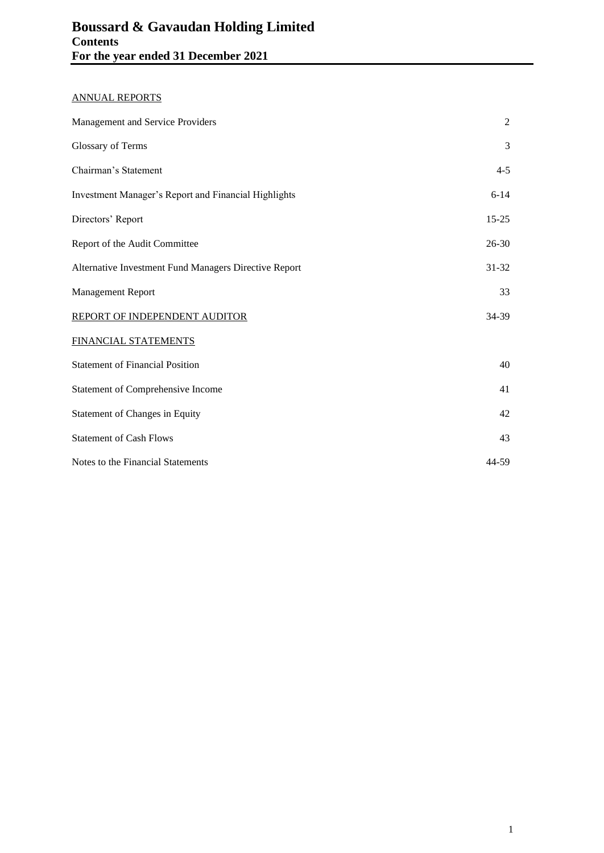# ANNUAL REPORTS

| Management and Service Providers                      | $\overline{2}$ |
|-------------------------------------------------------|----------------|
| Glossary of Terms                                     | 3              |
| Chairman's Statement                                  | $4 - 5$        |
| Investment Manager's Report and Financial Highlights  | $6 - 14$       |
| Directors' Report                                     | $15 - 25$      |
| Report of the Audit Committee                         | $26 - 30$      |
| Alternative Investment Fund Managers Directive Report | $31 - 32$      |
| Management Report                                     | 33             |
| REPORT OF INDEPENDENT AUDITOR                         | 34-39          |
| FINANCIAL STATEMENTS                                  |                |
| <b>Statement of Financial Position</b>                | 40             |
| Statement of Comprehensive Income                     | 41             |
| Statement of Changes in Equity                        | 42             |
| <b>Statement of Cash Flows</b>                        | 43             |
| Notes to the Financial Statements                     | 44-59          |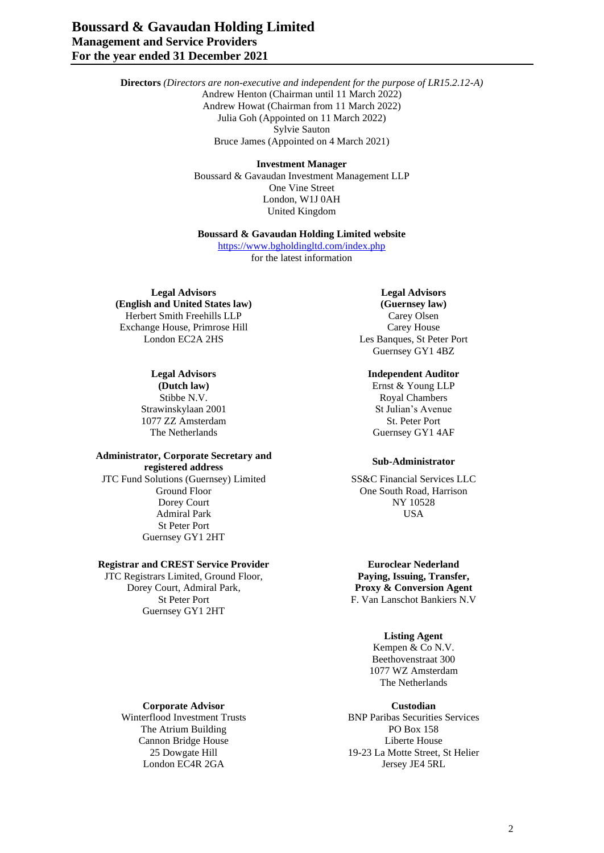**Directors** *(Directors are non-executive and independent for the purpose of LR15.2.12-A)* Andrew Henton (Chairman until 11 March 2022) Andrew Howat (Chairman from 11 March 2022) Julia Goh (Appointed on 11 March 2022) Sylvie Sauton Bruce James (Appointed on 4 March 2021)

#### **Investment Manager**

Boussard & Gavaudan Investment Management LLP One Vine Street London, W1J 0AH United Kingdom

#### **Boussard & Gavaudan Holding Limited website**

<https://www.bgholdingltd.com/index.php> for the latest information

**Legal Advisors Legal Advisors (English and United States law) (Guernsey law)** Herbert Smith Freehills LLP<br>
Xchange House, Primrose Hill<br>
Carey House Exchange House, Primrose Hill London EC2A 2HS Les Banques, St Peter Port

Strawinskylaan 2001 Strawinskylaan 2001 1077 ZZ Amsterdam St. Peter Port

#### **Administrator, Corporate Secretary and registered address Sub-Administrator**

JTC Fund Solutions (Guernsey) Limited SS&C Financial Services LLC<br>Ground Floor One South Road, Harrison Dorey Court NY 10528 Admiral Park USA St Peter Port Guernsey GY1 2HT

# **Registrar and CREST Service Provider EUROL EUROLEAR EUROLEAR EUROLEAR EUROLEAR EUROLEAR EUROLEAR EUROLEAR**

JTC Registrars Limited, Ground Floor, Dorey Court, Admiral Park, Guernsey GY1 2HT

Guernsey GY1 4BZ

## **Legal Advisors Independent Auditor**

**(Dutch law)** Ernst & Young LLP Stibbe N.V. Royal Chambers The Netherlands Guernsey GY1 4AF

One South Road, Harrison

**Paying, Issuing, Transfer, Proxy & Conversion Agent** St Peter Port F. Van Lanschot Bankiers N.V

## **Listing Agent**

Kempen & Co N.V. Beethovenstraat 300 1077 WZ Amsterdam The Netherlands

**BNP Paribas Securities Services** 25 Dowgate Hill 19-23 La Motte Street, St Helier London EC4R 2GA Jersey JE4 5RL

**Corporate Advisor**<br> **Custodian**<br> **Custodian**<br> **Custodian**<br> **Custodian**<br> **Custodian**<br> **Custodian**<br> **Custodian**<br> **Custodian** The Atrium Building<br>
Cannon Bridge House **PO Box 158**<br>
Liberte House Cannon Bridge House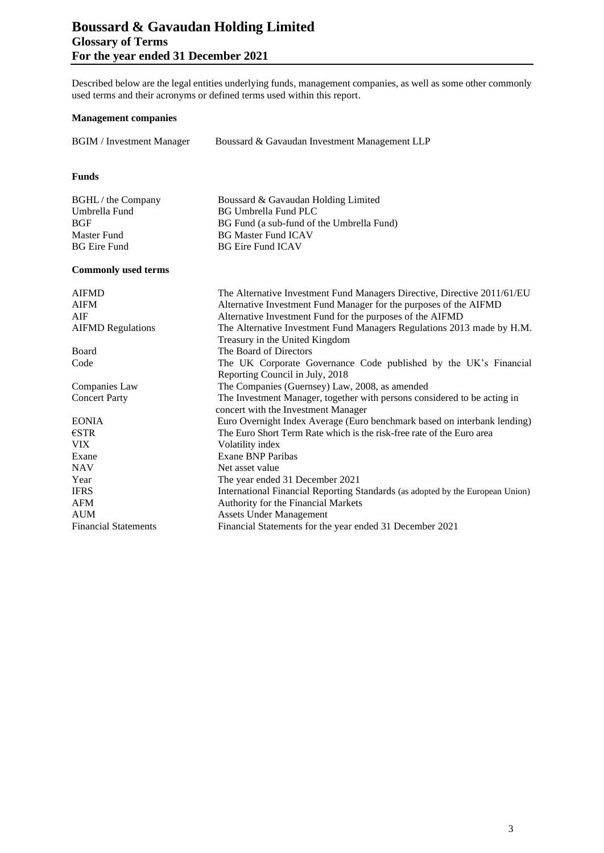# **Boussard & Gavaudan Holding Limited Glossary of Terms For the year ended 31 December 2021**

Described below are the legal entities underlying funds, management companies, as well as some other commonly used terms and their acronyms or defined terms used within this report.

## **Management companies**

| <b>BGIM</b> / Investment Manager | Boussard & Gavaudan Investment Management LLP |
|----------------------------------|-----------------------------------------------|
|                                  |                                               |

## **Funds**

| BGHL / the Company | Boussard & Gavaudan Holding Limited       |
|--------------------|-------------------------------------------|
| Umbrella Fund      | <b>BG Umbrella Fund PLC</b>               |
| BGF                | BG Fund (a sub-fund of the Umbrella Fund) |
| Master Fund        | <b>BG Master Fund ICAV</b>                |
| BG Eire Fund       | <b>BG Eire Fund ICAV</b>                  |

#### **Commonly used terms**

| <b>AIFMD</b>                | The Alternative Investment Fund Managers Directive, Directive 2011/61/EU       |
|-----------------------------|--------------------------------------------------------------------------------|
| <b>AIFM</b>                 | Alternative Investment Fund Manager for the purposes of the AIFMD              |
| AIF                         | Alternative Investment Fund for the purposes of the AIFMD                      |
| <b>AIFMD Regulations</b>    | The Alternative Investment Fund Managers Regulations 2013 made by H.M.         |
|                             | Treasury in the United Kingdom                                                 |
| Board                       | The Board of Directors                                                         |
| Code                        | The UK Corporate Governance Code published by the UK's Financial               |
|                             | Reporting Council in July, 2018                                                |
| Companies Law               | The Companies (Guernsey) Law, 2008, as amended                                 |
| <b>Concert Party</b>        | The Investment Manager, together with persons considered to be acting in       |
|                             | concert with the Investment Manager                                            |
| <b>EONIA</b>                | Euro Overnight Index Average (Euro benchmark based on interbank lending)       |
| $\epsilon$ STR              | The Euro Short Term Rate which is the risk-free rate of the Euro area          |
| <b>VIX</b>                  | Volatility index                                                               |
| Exane                       | Exane BNP Paribas                                                              |
| <b>NAV</b>                  | Net asset value                                                                |
| Year                        | The year ended 31 December 2021                                                |
| <b>IFRS</b>                 | International Financial Reporting Standards (as adopted by the European Union) |
| <b>AFM</b>                  | Authority for the Financial Markets                                            |
| <b>AUM</b>                  | Assets Under Management                                                        |
| <b>Financial Statements</b> | Financial Statements for the year ended 31 December 2021                       |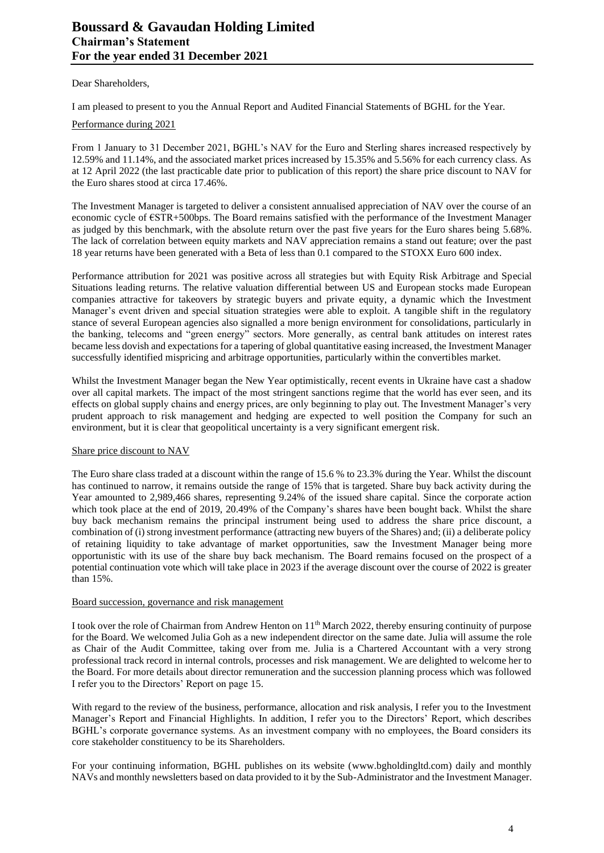Dear Shareholders,

I am pleased to present to you the Annual Report and Audited Financial Statements of BGHL for the Year.

#### Performance during 2021

From 1 January to 31 December 2021, BGHL's NAV for the Euro and Sterling shares increased respectively by 12.59% and 11.14%, and the associated market prices increased by 15.35% and 5.56% for each currency class. As at 12 April 2022 (the last practicable date prior to publication of this report) the share price discount to NAV for the Euro shares stood at circa 17.46%.

The Investment Manager is targeted to deliver a consistent annualised appreciation of NAV over the course of an economic cycle of €STR+500bps. The Board remains satisfied with the performance of the Investment Manager as judged by this benchmark, with the absolute return over the past five years for the Euro shares being 5.68%. The lack of correlation between equity markets and NAV appreciation remains a stand out feature; over the past 18 year returns have been generated with a Beta of less than 0.1 compared to the STOXX Euro 600 index.

Performance attribution for 2021 was positive across all strategies but with Equity Risk Arbitrage and Special Situations leading returns. The relative valuation differential between US and European stocks made European companies attractive for takeovers by strategic buyers and private equity, a dynamic which the Investment Manager's event driven and special situation strategies were able to exploit. A tangible shift in the regulatory stance of several European agencies also signalled a more benign environment for consolidations, particularly in the banking, telecoms and "green energy" sectors. More generally, as central bank attitudes on interest rates became less dovish and expectations for a tapering of global quantitative easing increased, the Investment Manager successfully identified mispricing and arbitrage opportunities, particularly within the convertibles market.

Whilst the Investment Manager began the New Year optimistically, recent events in Ukraine have cast a shadow over all capital markets. The impact of the most stringent sanctions regime that the world has ever seen, and its effects on global supply chains and energy prices, are only beginning to play out. The Investment Manager's very prudent approach to risk management and hedging are expected to well position the Company for such an environment, but it is clear that geopolitical uncertainty is a very significant emergent risk.

#### Share price discount to NAV

The Euro share class traded at a discount within the range of 15.6 % to 23.3% during the Year. Whilst the discount has continued to narrow, it remains outside the range of 15% that is targeted. Share buy back activity during the Year amounted to 2,989,466 shares, representing 9.24% of the issued share capital. Since the corporate action which took place at the end of 2019, 20.49% of the Company's shares have been bought back. Whilst the share buy back mechanism remains the principal instrument being used to address the share price discount, a combination of (i) strong investment performance (attracting new buyers of the Shares) and; (ii) a deliberate policy of retaining liquidity to take advantage of market opportunities, saw the Investment Manager being more opportunistic with its use of the share buy back mechanism. The Board remains focused on the prospect of a potential continuation vote which will take place in 2023 if the average discount over the course of 2022 is greater than 15%.

#### Board succession, governance and risk management

I took over the role of Chairman from Andrew Henton on 11<sup>th</sup> March 2022, thereby ensuring continuity of purpose for the Board. We welcomed Julia Goh as a new independent director on the same date. Julia will assume the role as Chair of the Audit Committee, taking over from me. Julia is a Chartered Accountant with a very strong professional track record in internal controls, processes and risk management. We are delighted to welcome her to the Board. For more details about director remuneration and the succession planning process which was followed I refer you to the Directors' Report on page 15.

With regard to the review of the business, performance, allocation and risk analysis, I refer you to the Investment Manager's Report and Financial Highlights. In addition, I refer you to the Directors' Report, which describes BGHL's corporate governance systems. As an investment company with no employees, the Board considers its core stakeholder constituency to be its Shareholders.

For your continuing information, BGHL publishes on its website [\(www.bgholdingltd.com\)](http://www.bgholdingltd.com/) daily and monthly NAVs and monthly newsletters based on data provided to it by the Sub-Administrator and the Investment Manager.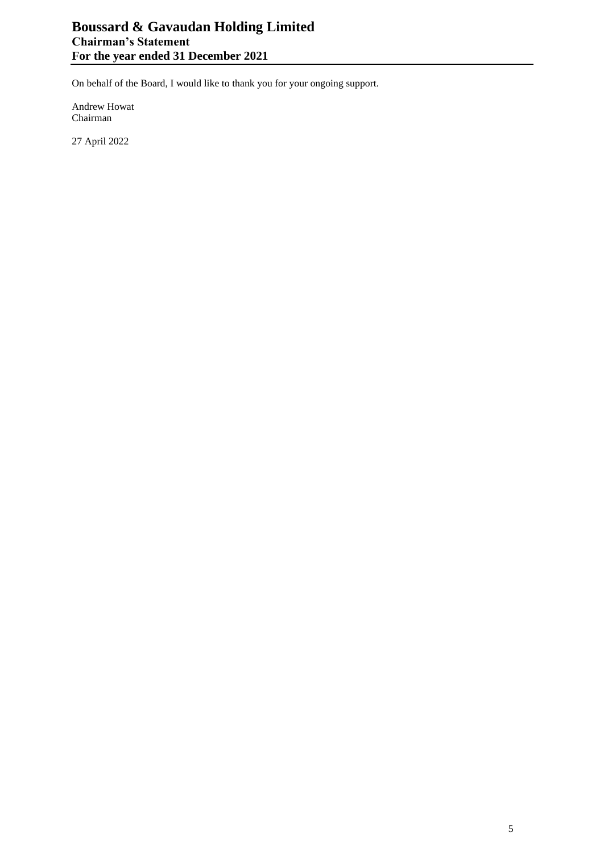On behalf of the Board, I would like to thank you for your ongoing support.

Andrew Howat Chairman

27 April 2022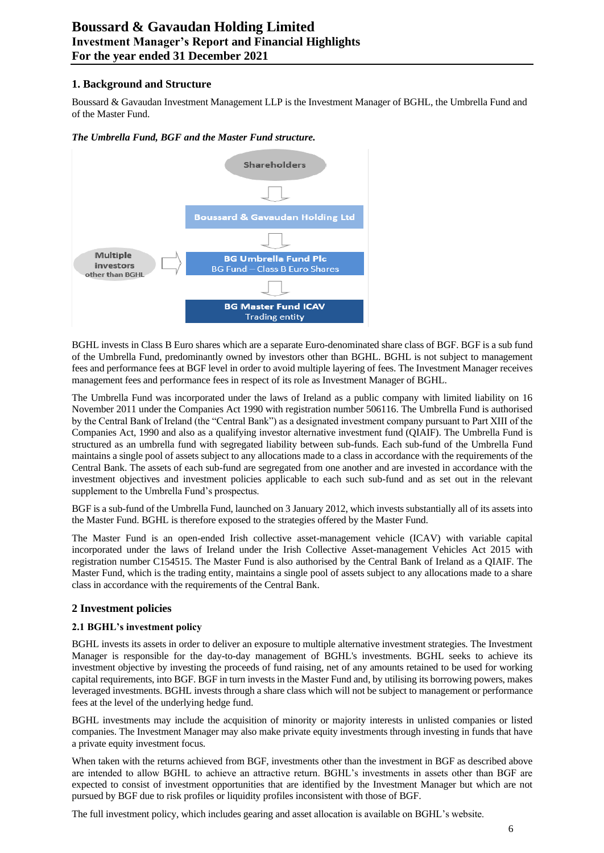# **1. Background and Structure**

Boussard & Gavaudan Investment Management LLP is the Investment Manager of BGHL, the Umbrella Fund and of the Master Fund.

#### *The Umbrella Fund, BGF and the Master Fund structure.*



BGHL invests in Class B Euro shares which are a separate Euro-denominated share class of BGF. BGF is a sub fund of the Umbrella Fund, predominantly owned by investors other than BGHL. BGHL is not subject to management fees and performance fees at BGF level in order to avoid multiple layering of fees. The Investment Manager receives management fees and performance fees in respect of its role as Investment Manager of BGHL.

The Umbrella Fund was incorporated under the laws of Ireland as a public company with limited liability on 16 November 2011 under the Companies Act 1990 with registration number 506116. The Umbrella Fund is authorised by the Central Bank of Ireland (the "Central Bank") as a designated investment company pursuant to Part XIII of the Companies Act, 1990 and also as a qualifying investor alternative investment fund (QIAIF). The Umbrella Fund is structured as an umbrella fund with segregated liability between sub-funds. Each sub-fund of the Umbrella Fund maintains a single pool of assets subject to any allocations made to a class in accordance with the requirements of the Central Bank. The assets of each sub-fund are segregated from one another and are invested in accordance with the investment objectives and investment policies applicable to each such sub-fund and as set out in the relevant supplement to the Umbrella Fund's prospectus.

BGF is a sub-fund of the Umbrella Fund, launched on 3 January 2012, which invests substantially all of its assets into the Master Fund. BGHL is therefore exposed to the strategies offered by the Master Fund.

The Master Fund is an open-ended Irish collective asset-management vehicle (ICAV) with variable capital incorporated under the laws of Ireland under the Irish Collective Asset-management Vehicles Act 2015 with registration number C154515. The Master Fund is also authorised by the Central Bank of Ireland as a QIAIF. The Master Fund, which is the trading entity, maintains a single pool of assets subject to any allocations made to a share class in accordance with the requirements of the Central Bank.

# **2 Investment policies**

#### **2.1 BGHL's investment policy**

BGHL invests its assets in order to deliver an exposure to multiple alternative investment strategies. The Investment Manager is responsible for the day-to-day management of BGHL's investments. BGHL seeks to achieve its investment objective by investing the proceeds of fund raising, net of any amounts retained to be used for working capital requirements, into BGF. BGF in turn invests in the Master Fund and, by utilising its borrowing powers, makes leveraged investments. BGHL invests through a share class which will not be subject to management or performance fees at the level of the underlying hedge fund.

BGHL investments may include the acquisition of minority or majority interests in unlisted companies or listed companies. The Investment Manager may also make private equity investments through investing in funds that have a private equity investment focus.

When taken with the returns achieved from BGF, investments other than the investment in BGF as described above are intended to allow BGHL to achieve an attractive return. BGHL's investments in assets other than BGF are expected to consist of investment opportunities that are identified by the Investment Manager but which are not pursued by BGF due to risk profiles or liquidity profiles inconsistent with those of BGF.

The full investment policy, which includes gearing and asset allocation is available on BGHL's website.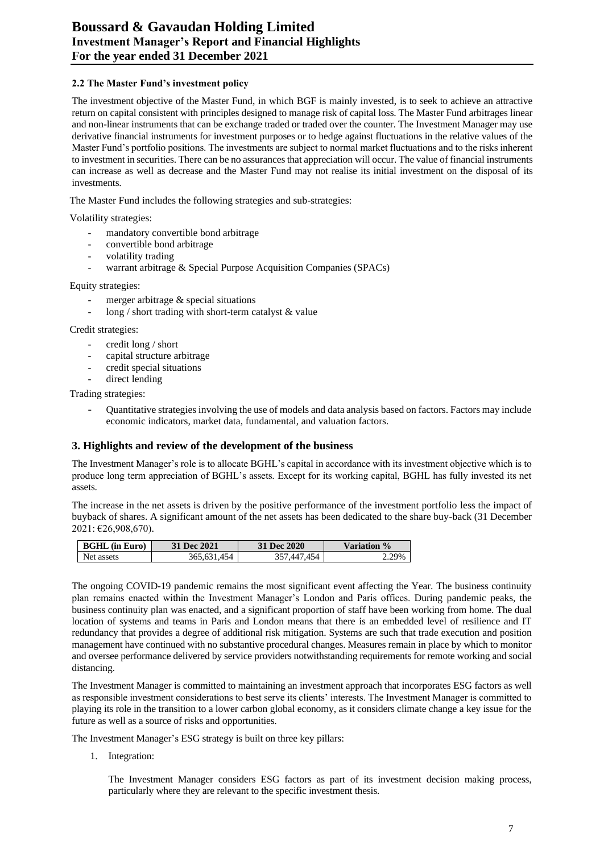## **2.2 The Master Fund's investment policy**

The investment objective of the Master Fund, in which BGF is mainly invested, is to seek to achieve an attractive return on capital consistent with principles designed to manage risk of capital loss. The Master Fund arbitrages linear and non-linear instruments that can be exchange traded or traded over the counter. The Investment Manager may use derivative financial instruments for investment purposes or to hedge against fluctuations in the relative values of the Master Fund's portfolio positions. The investments are subject to normal market fluctuations and to the risks inherent to investment in securities. There can be no assurances that appreciation will occur. The value of financial instruments can increase as well as decrease and the Master Fund may not realise its initial investment on the disposal of its investments.

The Master Fund includes the following strategies and sub-strategies:

Volatility strategies:

- mandatory convertible bond arbitrage
- convertible bond arbitrage
- volatility trading
- warrant arbitrage & Special Purpose Acquisition Companies (SPACs)

Equity strategies:

- merger arbitrage  $&$  special situations
- $\log$  / short trading with short-term catalyst & value

Credit strategies:

- credit long / short
- capital structure arbitrage
- credit special situations
- direct lending

Trading strategies:

- Quantitative strategies involving the use of models and data analysis based on factors. Factors may include economic indicators, market data, fundamental, and valuation factors.

#### **3. Highlights and review of the development of the business**

The Investment Manager's role is to allocate BGHL's capital in accordance with its investment objective which is to produce long term appreciation of BGHL's assets. Except for its working capital, BGHL has fully invested its net assets.

The increase in the net assets is driven by the positive performance of the investment portfolio less the impact of buyback of shares. A significant amount of the net assets has been dedicated to the share buy-back (31 December 2021: €26,908,670).

| <b>BGHL</b> (in Euro) | 31 Dec 2021 | <b>31 Dec 2020</b> | Variation %      |
|-----------------------|-------------|--------------------|------------------|
| Net assets            | 365.631.454 | AÆ.                | 700 <sub>6</sub> |

The ongoing COVID-19 pandemic remains the most significant event affecting the Year. The business continuity plan remains enacted within the Investment Manager's London and Paris offices. During pandemic peaks, the business continuity plan was enacted, and a significant proportion of staff have been working from home. The dual location of systems and teams in Paris and London means that there is an embedded level of resilience and IT redundancy that provides a degree of additional risk mitigation. Systems are such that trade execution and position management have continued with no substantive procedural changes. Measures remain in place by which to monitor and oversee performance delivered by service providers notwithstanding requirements for remote working and social distancing.

The Investment Manager is committed to maintaining an investment approach that incorporates ESG factors as well as responsible investment considerations to best serve its clients' interests. The Investment Manager is committed to playing its role in the transition to a lower carbon global economy, as it considers climate change a key issue for the future as well as a source of risks and opportunities.

The Investment Manager's ESG strategy is built on three key pillars:

1. Integration:

The Investment Manager considers ESG factors as part of its investment decision making process, particularly where they are relevant to the specific investment thesis.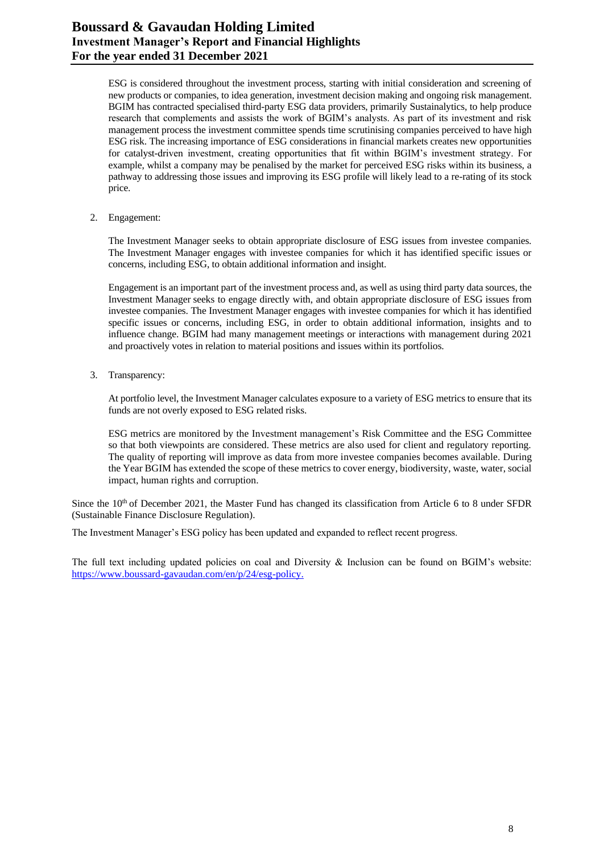ESG is considered throughout the investment process, starting with initial consideration and screening of new products or companies, to idea generation, investment decision making and ongoing risk management. BGIM has contracted specialised third-party ESG data providers, primarily Sustainalytics, to help produce research that complements and assists the work of BGIM's analysts. As part of its investment and risk management process the investment committee spends time scrutinising companies perceived to have high ESG risk. The increasing importance of ESG considerations in financial markets creates new opportunities for catalyst-driven investment, creating opportunities that fit within BGIM's investment strategy. For example, whilst a company may be penalised by the market for perceived ESG risks within its business, a pathway to addressing those issues and improving its ESG profile will likely lead to a re-rating of its stock price.

2. Engagement:

The Investment Manager seeks to obtain appropriate disclosure of ESG issues from investee companies. The Investment Manager engages with investee companies for which it has identified specific issues or concerns, including ESG, to obtain additional information and insight.

Engagement is an important part of the investment process and, as well as using third party data sources, the Investment Manager seeks to engage directly with, and obtain appropriate disclosure of ESG issues from investee companies. The Investment Manager engages with investee companies for which it has identified specific issues or concerns, including ESG, in order to obtain additional information, insights and to influence change. BGIM had many management meetings or interactions with management during 2021 and proactively votes in relation to material positions and issues within its portfolios.

3. Transparency:

At portfolio level, the Investment Manager calculates exposure to a variety of ESG metrics to ensure that its funds are not overly exposed to ESG related risks.

ESG metrics are monitored by the Investment management's Risk Committee and the ESG Committee so that both viewpoints are considered. These metrics are also used for client and regulatory reporting. The quality of reporting will improve as data from more investee companies becomes available. During the Year BGIM has extended the scope of these metrics to cover energy, biodiversity, waste, water, social impact, human rights and corruption.

Since the  $10<sup>th</sup>$  of December 2021, the Master Fund has changed its classification from Article 6 to 8 under SFDR (Sustainable Finance Disclosure Regulation).

The Investment Manager's ESG policy has been updated and expanded to reflect recent progress.

The full text including updated policies on coal and Diversity & Inclusion can be found on BGIM's website: [https://www.boussard-gavaudan.com/en/p/24/esg-policy.](https://urldefense.com/v3/__https:/www.boussard-gavaudan.com/en/p/24/esg-policy__;!!JE2nyJ8!i838jyveC6wNuwIgcRn76Q5SDsbfDcIsplMnC60gljib51FW7pr8P_Qn5YSuiA$)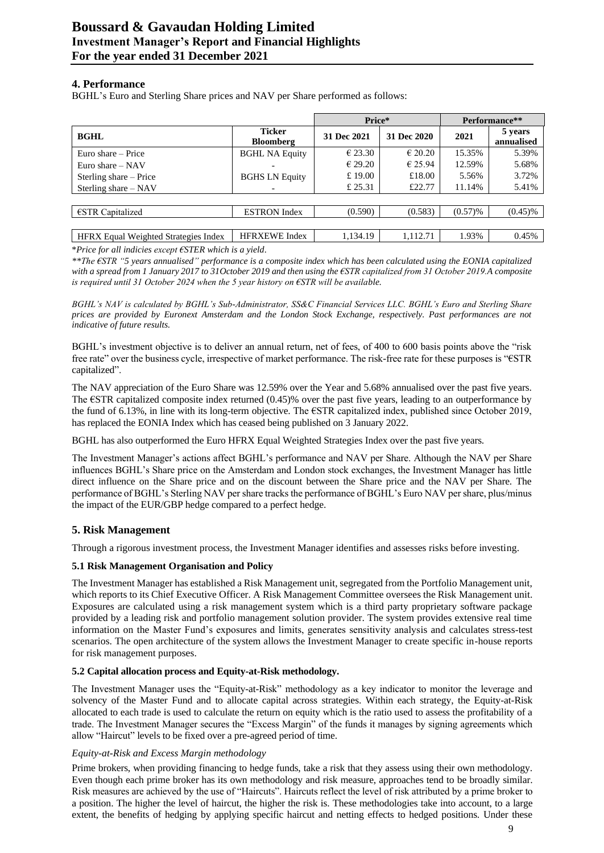# **4. Performance**

BGHL's Euro and Sterling Share prices and NAV per Share performed as follows:

|                                             |                                   | Price*           |                  |            | Performance**         |
|---------------------------------------------|-----------------------------------|------------------|------------------|------------|-----------------------|
| <b>BGHL</b>                                 | <b>Ticker</b><br><b>Bloomberg</b> | 31 Dec 2021      | 31 Dec 2020      | 2021       | 5 years<br>annualised |
| Euro share – Price                          | <b>BGHL NA Equity</b>             | € 23.30          | $\epsilon$ 20.20 | 15.35%     | 5.39%                 |
| Euro share $-$ NAV                          |                                   | $\epsilon$ 29.20 | €25.94           | 12.59%     | 5.68%                 |
| Sterling share – Price                      | <b>BGHS LN Equity</b>             | £19.00           | £18.00           | 5.56%      | 3.72%                 |
| Sterling share – NAV                        |                                   | £ 25.31          | £22.77           | 11.14%     | 5.41%                 |
|                                             |                                   |                  |                  |            |                       |
| $\epsilon$ STR Capitalized                  | <b>ESTRON</b> Index               | (0.590)          | (0.583)          | $(0.57)$ % | $(0.45)\%$            |
|                                             |                                   |                  |                  |            |                       |
| <b>HFRX</b> Equal Weighted Strategies Index | <b>HFRXEWE</b> Index              | 1,134.19         | 1,112.71         | 1.93%      | 0.45%                 |

\**Price for all indicies except €STER which is a yield*.

*\*\*The €STR "5 years annualised" performance is a composite index which has been calculated using the EONIA capitalized with a spread from 1 January 2017 to 31October 2019 and then using the €STR capitalized from 31 October 2019.A composite is required until 31 October 2024 when the 5 year history on €STR will be available.*

*BGHL's NAV is calculated by BGHL's Sub-Administrator, SS&C Financial Services LLC. BGHL's Euro and Sterling Share prices are provided by Euronext Amsterdam and the London Stock Exchange, respectively. Past performances are not indicative of future results.*

BGHL's investment objective is to deliver an annual return, net of fees, of 400 to 600 basis points above the "risk free rate" over the business cycle, irrespective of market performance. The risk-free rate for these purposes is "€STR capitalized".

The NAV appreciation of the Euro Share was 12.59% over the Year and 5.68% annualised over the past five years. The  $\text{ESTR}$  capitalized composite index returned (0.45)% over the past five years, leading to an outperformance by the fund of 6.13%, in line with its long-term objective. The €STR capitalized index, published since October 2019, has replaced the EONIA Index which has ceased being published on 3 January 2022.

BGHL has also outperformed the Euro HFRX Equal Weighted Strategies Index over the past five years.

The Investment Manager's actions affect BGHL's performance and NAV per Share. Although the NAV per Share influences BGHL's Share price on the Amsterdam and London stock exchanges, the Investment Manager has little direct influence on the Share price and on the discount between the Share price and the NAV per Share. The performance of BGHL's Sterling NAV per share tracks the performance of BGHL's Euro NAV per share, plus/minus the impact of the EUR/GBP hedge compared to a perfect hedge.

# **5. Risk Management**

Through a rigorous investment process, the Investment Manager identifies and assesses risks before investing.

# **5.1 Risk Management Organisation and Policy**

The Investment Manager has established a Risk Management unit, segregated from the Portfolio Management unit, which reports to its Chief Executive Officer. A Risk Management Committee oversees the Risk Management unit. Exposures are calculated using a risk management system which is a third party proprietary software package provided by a leading risk and portfolio management solution provider. The system provides extensive real time information on the Master Fund's exposures and limits, generates sensitivity analysis and calculates stress-test scenarios. The open architecture of the system allows the Investment Manager to create specific in-house reports for risk management purposes.

# **5.2 Capital allocation process and Equity-at-Risk methodology.**

The Investment Manager uses the "Equity-at-Risk" methodology as a key indicator to monitor the leverage and solvency of the Master Fund and to allocate capital across strategies. Within each strategy, the Equity-at-Risk allocated to each trade is used to calculate the return on equity which is the ratio used to assess the profitability of a trade. The Investment Manager secures the "Excess Margin" of the funds it manages by signing agreements which allow "Haircut" levels to be fixed over a pre-agreed period of time.

#### *Equity-at-Risk and Excess Margin methodology*

Prime brokers, when providing financing to hedge funds, take a risk that they assess using their own methodology. Even though each prime broker has its own methodology and risk measure, approaches tend to be broadly similar. Risk measures are achieved by the use of "Haircuts". Haircuts reflect the level of risk attributed by a prime broker to a position. The higher the level of haircut, the higher the risk is. These methodologies take into account, to a large extent, the benefits of hedging by applying specific haircut and netting effects to hedged positions. Under these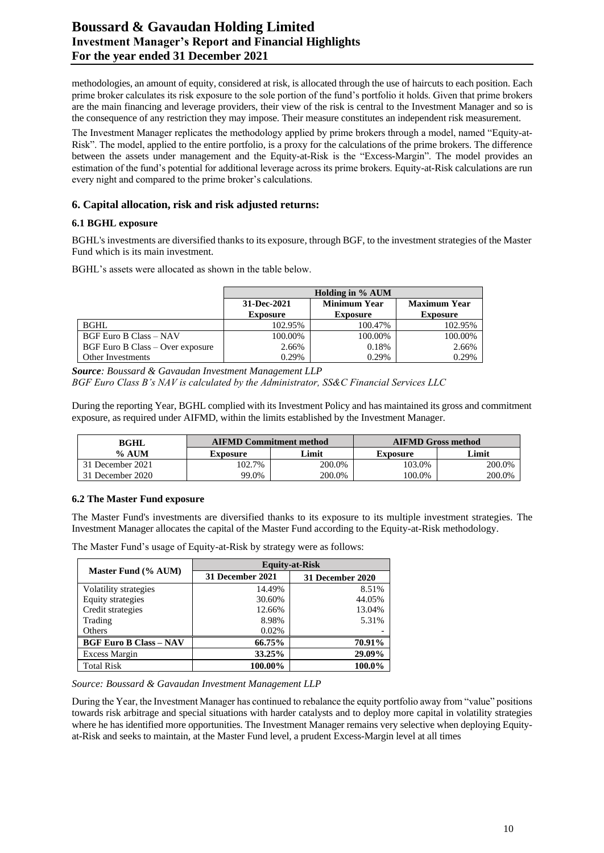# **Boussard & Gavaudan Holding Limited Investment Manager's Report and Financial Highlights For the year ended 31 December 2021**

methodologies, an amount of equity, considered at risk, is allocated through the use of haircuts to each position. Each prime broker calculates its risk exposure to the sole portion of the fund's portfolio it holds. Given that prime brokers are the main financing and leverage providers, their view of the risk is central to the Investment Manager and so is the consequence of any restriction they may impose. Their measure constitutes an independent risk measurement.

The Investment Manager replicates the methodology applied by prime brokers through a model, named "Equity-at-Risk". The model, applied to the entire portfolio, is a proxy for the calculations of the prime brokers. The difference between the assets under management and the Equity-at-Risk is the "Excess-Margin". The model provides an estimation of the fund's potential for additional leverage across its prime brokers. Equity-at-Risk calculations are run every night and compared to the prime broker's calculations.

# **6. Capital allocation, risk and risk adjusted returns:**

## **6.1 BGHL exposure**

BGHL's investments are diversified thanks to its exposure, through BGF, to the investment strategies of the Master Fund which is its main investment.

BGHL's assets were allocated as shown in the table below.

|                                         | Holding in % AUM               |                                        |                                        |
|-----------------------------------------|--------------------------------|----------------------------------------|----------------------------------------|
|                                         | 31-Dec-2021<br><b>Exposure</b> | <b>Minimum Year</b><br><b>Exposure</b> | <b>Maximum Year</b><br><b>Exposure</b> |
| BGHL                                    | 102.95%                        | 100.47%                                | 102.95%                                |
| <b>BGF Euro B Class - NAV</b>           | 100.00%                        | 100.00%                                | 100.00%                                |
| <b>BGF</b> Euro B Class – Over exposure | 2.66%                          | 0.18%                                  | 2.66%                                  |
| <b>Other Investments</b>                | 0.29%                          | 0.29%                                  | 0.29%                                  |

*Source: Boussard & Gavaudan Investment Management LLP BGF Euro Class B's NAV is calculated by the Administrator, SS&C Financial Services LLC*

During the reporting Year, BGHL complied with its Investment Policy and has maintained its gross and commitment exposure, as required under AIFMD, within the limits established by the Investment Manager.

| <b>BGHL</b>      |          | <b>AIFMD Commitment method</b> | <b>AIFMD Gross method</b> |        |  |
|------------------|----------|--------------------------------|---------------------------|--------|--|
| $%$ AUM          | Exposure | Limit                          | Exposure                  | Limit  |  |
| 31 December 2021 | 102.7%   | 200.0%                         | 103.0%                    | 200.0% |  |
| 31 December 2020 | 99.0%    | 200.0%                         | 100.0%                    | 200.0% |  |

#### **6.2 The Master Fund exposure**

The Master Fund's investments are diversified thanks to its exposure to its multiple investment strategies. The Investment Manager allocates the capital of the Master Fund according to the Equity-at-Risk methodology.

The Master Fund's usage of Equity-at-Risk by strategy were as follows:

|                               |                  | <b>Equity-at-Risk</b> |
|-------------------------------|------------------|-----------------------|
| Master Fund (% AUM)           | 31 December 2021 | 31 December 2020      |
| Volatility strategies         | 14.49%           | 8.51%                 |
| Equity strategies             | 30.60%           | 44.05%                |
| Credit strategies             | 12.66%           | 13.04%                |
| Trading                       | 8.98%            | 5.31%                 |
| Others                        | 0.02%            |                       |
| <b>BGF Euro B Class - NAV</b> | 66.75%           | 70.91%                |
| <b>Excess Margin</b>          | 33.25%           | 29.09%                |
| <b>Total Risk</b>             | 100.00%          | 100.0%                |

*Source: Boussard & Gavaudan Investment Management LLP*

During the Year, the Investment Manager has continued to rebalance the equity portfolio away from "value" positions towards risk arbitrage and special situations with harder catalysts and to deploy more capital in volatility strategies where he has identified more opportunities. The Investment Manager remains very selective when deploying Equityat-Risk and seeks to maintain, at the Master Fund level, a prudent Excess-Margin level at all times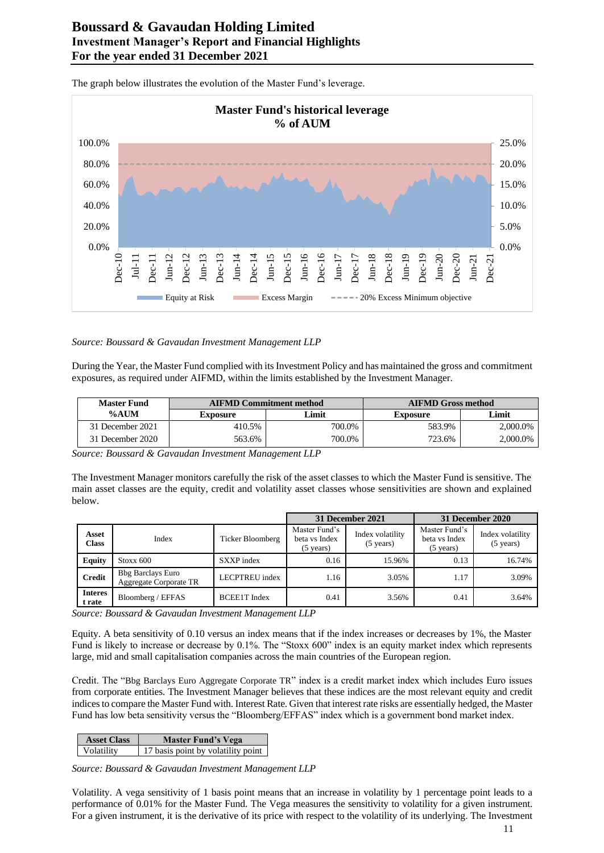

The graph below illustrates the evolution of the Master Fund's leverage.

#### *Source: Boussard & Gavaudan Investment Management LLP*

During the Year, the Master Fund complied with its Investment Policy and has maintained the gross and commitment exposures, as required under AIFMD, within the limits established by the Investment Manager.

| <b>Master Fund</b> | <b>AIFMD Commitment method</b> |        | <b>AIFMD Gross method</b> |          |
|--------------------|--------------------------------|--------|---------------------------|----------|
| %AUM               | Exposure                       | Limit  | <b>Exposure</b>           | Limit    |
| 31 December 2021   | 410.5%                         | 700.0% | 583.9%                    | 2,000.0% |
| 31 December 2020   | 563.6%                         | 700.0% | 723.6%                    | 2,000.0% |

*Source: Boussard & Gavaudan Investment Management LLP*

The Investment Manager monitors carefully the risk of the asset classes to which the Master Fund is sensitive. The main asset classes are the equity, credit and volatility asset classes whose sensitivities are shown and explained below.

|                          |                                                    |                     |                                                       | 31 December 2021                        |                                                       | 31 December 2020                        |
|--------------------------|----------------------------------------------------|---------------------|-------------------------------------------------------|-----------------------------------------|-------------------------------------------------------|-----------------------------------------|
| Asset<br><b>Class</b>    | Index                                              | Ticker Bloomberg    | Master Fund's<br>beta vs Index<br>$(5 \text{ years})$ | Index volatility<br>$(5 \text{ years})$ | Master Fund's<br>beta vs Index<br>$(5 \text{ years})$ | Index volatility<br>$(5 \text{ years})$ |
| <b>Equity</b>            | Stoxx 600                                          | SXXP index          | 0.16                                                  | 15.96%                                  | 0.13                                                  | 16.74%                                  |
| <b>Credit</b>            | <b>Bbg Barclays Euro</b><br>Aggregate Corporate TR | LECPTREU index      | 1.16                                                  | 3.05%                                   | 1.17                                                  | 3.09%                                   |
| <b>Interes</b><br>t rate | Bloomberg / EFFAS                                  | <b>BCEE1T</b> Index | 0.41                                                  | 3.56%                                   | 0.41                                                  | 3.64%                                   |

*Source: Boussard & Gavaudan Investment Management LLP*

Equity. A beta sensitivity of 0.10 versus an index means that if the index increases or decreases by 1%, the Master Fund is likely to increase or decrease by 0.1%. The "Stoxx 600" index is an equity market index which represents large, mid and small capitalisation companies across the main countries of the European region.

Credit. The "Bbg Barclays Euro Aggregate Corporate TR" index is a credit market index which includes Euro issues from corporate entities. The Investment Manager believes that these indices are the most relevant equity and credit indices to compare the Master Fund with. Interest Rate. Given that interest rate risks are essentially hedged, the Master Fund has low beta sensitivity versus the "Bloomberg/EFFAS" index which is a government bond market index.

| <b>Asset Class</b> | <b>Master Fund's Vega</b>          |
|--------------------|------------------------------------|
| <b>Volatility</b>  | 17 basis point by volatility point |

*Source: Boussard & Gavaudan Investment Management LLP*

Volatility. A vega sensitivity of 1 basis point means that an increase in volatility by 1 percentage point leads to a performance of 0.01% for the Master Fund. The Vega measures the sensitivity to volatility for a given instrument. For a given instrument, it is the derivative of its price with respect to the volatility of its underlying. The Investment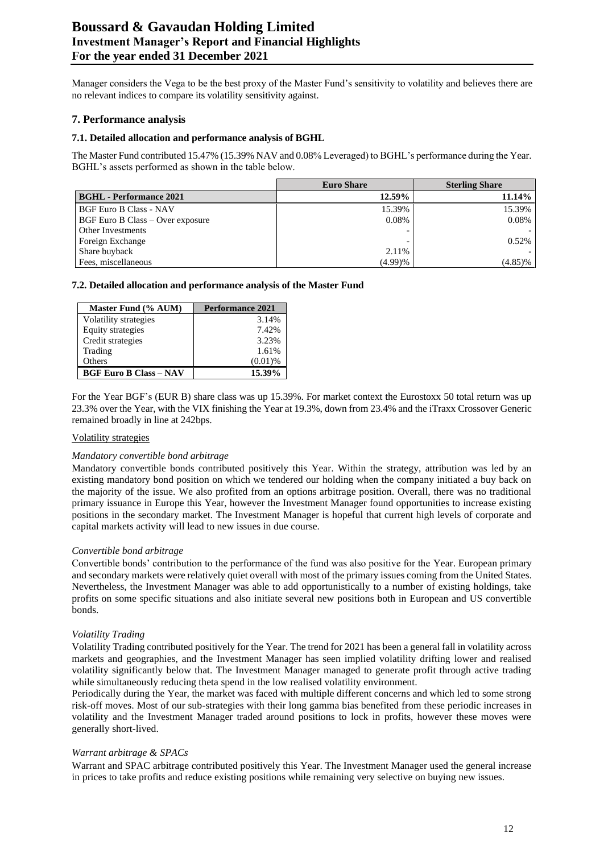# **Boussard & Gavaudan Holding Limited Investment Manager's Report and Financial Highlights For the year ended 31 December 2021**

Manager considers the Vega to be the best proxy of the Master Fund's sensitivity to volatility and believes there are no relevant indices to compare its volatility sensitivity against.

## **7. Performance analysis**

#### **7.1. Detailed allocation and performance analysis of BGHL**

The Master Fund contributed 15.47% (15.39% NAV and 0.08% Leveraged) to BGHL's performance during the Year. BGHL's assets performed as shown in the table below.

|                                  | <b>Euro Share</b>        | <b>Sterling Share</b> |
|----------------------------------|--------------------------|-----------------------|
| <b>BGHL</b> - Performance 2021   | 12.59%                   | 11.14%                |
| <b>BGF Euro B Class - NAV</b>    | 15.39%                   | 15.39%                |
| BGF Euro B Class – Over exposure | 0.08%                    | 0.08%                 |
| <b>Other Investments</b>         | $\overline{\phantom{0}}$ |                       |
| Foreign Exchange                 |                          | 0.52%                 |
| Share buyback                    | 2.11%                    |                       |
| Fees, miscellaneous              | (4.99)%                  | $(4.85)\%$            |

#### **7.2. Detailed allocation and performance analysis of the Master Fund**

| Master Fund (% AUM)           | <b>Performance 2021</b> |
|-------------------------------|-------------------------|
| Volatility strategies         | 3.14%                   |
| <b>Equity strategies</b>      | 7.42%                   |
| Credit strategies             | 3.23%                   |
| Trading                       | 1.61%                   |
| Others                        | $(0.01)$ %              |
| <b>BGF Euro B Class - NAV</b> | 15.39%                  |

For the Year BGF's (EUR B) share class was up 15.39%. For market context the Eurostoxx 50 total return was up 23.3% over the Year, with the VIX finishing the Year at 19.3%, down from 23.4% and the iTraxx Crossover Generic remained broadly in line at 242bps.

#### Volatility strategies

#### *Mandatory convertible bond arbitrage*

Mandatory convertible bonds contributed positively this Year. Within the strategy, attribution was led by an existing mandatory bond position on which we tendered our holding when the company initiated a buy back on the majority of the issue. We also profited from an options arbitrage position. Overall, there was no traditional primary issuance in Europe this Year, however the Investment Manager found opportunities to increase existing positions in the secondary market. The Investment Manager is hopeful that current high levels of corporate and capital markets activity will lead to new issues in due course.

#### *Convertible bond arbitrage*

Convertible bonds' contribution to the performance of the fund was also positive for the Year. European primary and secondary markets were relatively quiet overall with most of the primary issues coming from the United States. Nevertheless, the Investment Manager was able to add opportunistically to a number of existing holdings, take profits on some specific situations and also initiate several new positions both in European and US convertible bonds.

#### *Volatility Trading*

Volatility Trading contributed positively for the Year. The trend for 2021 has been a general fall in volatility across markets and geographies, and the Investment Manager has seen implied volatility drifting lower and realised volatility significantly below that. The Investment Manager managed to generate profit through active trading while simultaneously reducing theta spend in the low realised volatility environment.

Periodically during the Year, the market was faced with multiple different concerns and which led to some strong risk-off moves. Most of our sub-strategies with their long gamma bias benefited from these periodic increases in volatility and the Investment Manager traded around positions to lock in profits, however these moves were generally short-lived.

#### *Warrant arbitrage & SPACs*

Warrant and SPAC arbitrage contributed positively this Year. The Investment Manager used the general increase in prices to take profits and reduce existing positions while remaining very selective on buying new issues.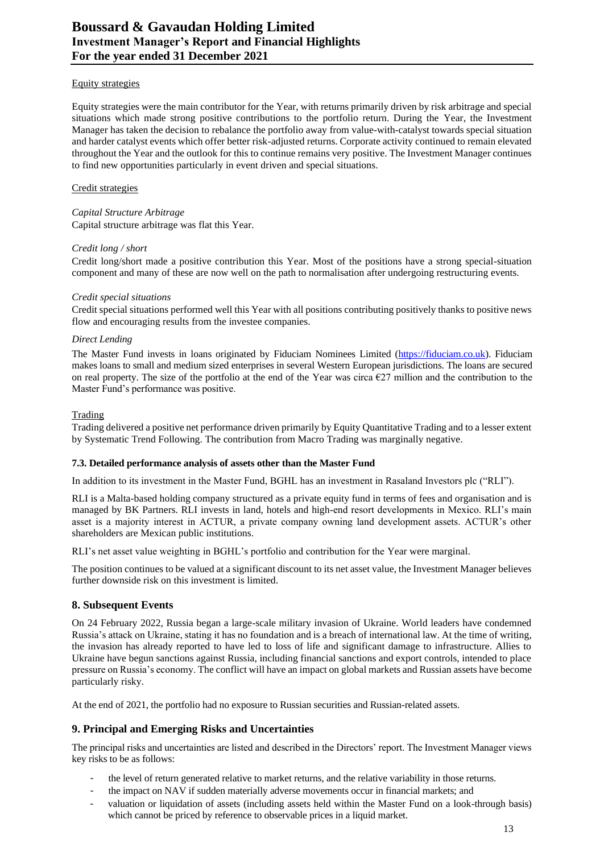#### Equity strategies

Equity strategies were the main contributor for the Year, with returns primarily driven by risk arbitrage and special situations which made strong positive contributions to the portfolio return. During the Year, the Investment Manager has taken the decision to rebalance the portfolio away from value-with-catalyst towards special situation and harder catalyst events which offer better risk-adjusted returns. Corporate activity continued to remain elevated throughout the Year and the outlook for this to continue remains very positive. The Investment Manager continues to find new opportunities particularly in event driven and special situations.

## Credit strategies

*Capital Structure Arbitrage* Capital structure arbitrage was flat this Year.

## *Credit long / short*

Credit long/short made a positive contribution this Year. Most of the positions have a strong special-situation component and many of these are now well on the path to normalisation after undergoing restructuring events.

## *Credit special situations*

Credit special situations performed well this Year with all positions contributing positively thanks to positive news flow and encouraging results from the investee companies.

## *Direct Lending*

The Master Fund invests in loans originated by Fiduciam Nominees Limited [\(https://fiduciam.co.uk\)](https://fiduciam.co.uk/). Fiduciam makes loans to small and medium sized enterprises in several Western European jurisdictions. The loans are secured on real property. The size of the portfolio at the end of the Year was circa  $\epsilon$ 27 million and the contribution to the Master Fund's performance was positive.

## **Trading**

Trading delivered a positive net performance driven primarily by Equity Quantitative Trading and to a lesser extent by Systematic Trend Following. The contribution from Macro Trading was marginally negative.

#### **7.3. Detailed performance analysis of assets other than the Master Fund**

In addition to its investment in the Master Fund, BGHL has an investment in Rasaland Investors plc ("RLI").

RLI is a Malta-based holding company structured as a private equity fund in terms of fees and organisation and is managed by BK Partners. RLI invests in land, hotels and high-end resort developments in Mexico. RLI's main asset is a majority interest in ACTUR, a private company owning land development assets. ACTUR's other shareholders are Mexican public institutions.

RLI's net asset value weighting in BGHL's portfolio and contribution for the Year were marginal.

The position continues to be valued at a significant discount to its net asset value, the Investment Manager believes further downside risk on this investment is limited.

# **8. Subsequent Events**

On 24 February 2022, Russia began a large-scale military invasion of Ukraine. World leaders have condemned Russia's attack on Ukraine, stating it has no foundation and is a breach of international law. At the time of writing, the invasion has already reported to have led to loss of life and significant damage to infrastructure. Allies to Ukraine have begun sanctions against Russia, including financial sanctions and export controls, intended to place pressure on Russia's economy. The conflict will have an impact on global markets and Russian assets have become particularly risky.

At the end of 2021, the portfolio had no exposure to Russian securities and Russian-related assets.

# **9. Principal and Emerging Risks and Uncertainties**

The principal risks and uncertainties are listed and described in the Directors' report. The Investment Manager views key risks to be as follows:

- the level of return generated relative to market returns, and the relative variability in those returns.
- the impact on NAV if sudden materially adverse movements occur in financial markets; and
- valuation or liquidation of assets (including assets held within the Master Fund on a look-through basis) which cannot be priced by reference to observable prices in a liquid market.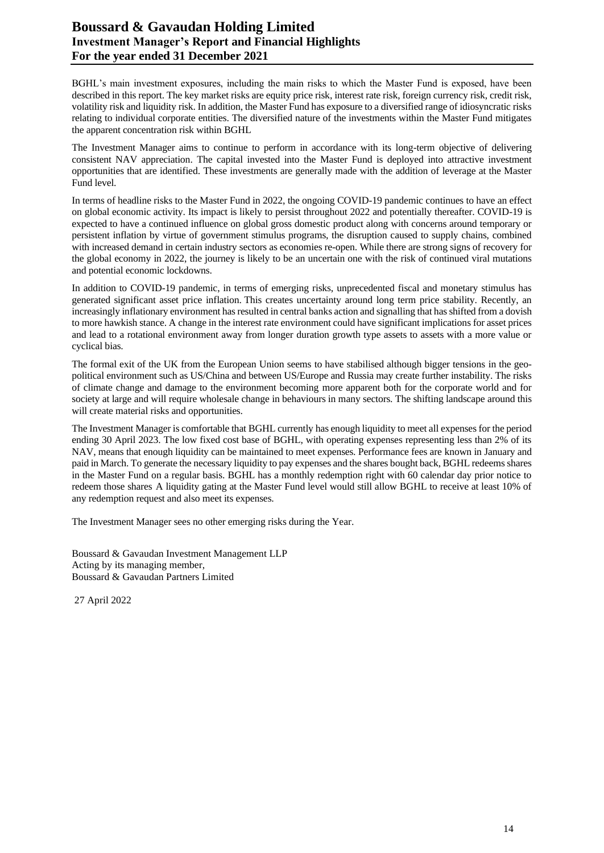# **Boussard & Gavaudan Holding Limited Investment Manager's Report and Financial Highlights For the year ended 31 December 2021**

BGHL's main investment exposures, including the main risks to which the Master Fund is exposed, have been described in this report. The key market risks are equity price risk, interest rate risk, foreign currency risk, credit risk, volatility risk and liquidity risk. In addition, the Master Fund has exposure to a diversified range of idiosyncratic risks relating to individual corporate entities. The diversified nature of the investments within the Master Fund mitigates the apparent concentration risk within BGHL

The Investment Manager aims to continue to perform in accordance with its long-term objective of delivering consistent NAV appreciation. The capital invested into the Master Fund is deployed into attractive investment opportunities that are identified. These investments are generally made with the addition of leverage at the Master Fund level.

In terms of headline risks to the Master Fund in 2022, the ongoing COVID-19 pandemic continues to have an effect on global economic activity. Its impact is likely to persist throughout 2022 and potentially thereafter. COVID-19 is expected to have a continued influence on global gross domestic product along with concerns around temporary or persistent inflation by virtue of government stimulus programs, the disruption caused to supply chains, combined with increased demand in certain industry sectors as economies re-open. While there are strong signs of recovery for the global economy in 2022, the journey is likely to be an uncertain one with the risk of continued viral mutations and potential economic lockdowns.

In addition to COVID-19 pandemic, in terms of emerging risks, unprecedented fiscal and monetary stimulus has generated significant asset price inflation. This creates uncertainty around long term price stability. Recently, an increasingly inflationary environment has resulted in central banks action and signalling that has shifted from a dovish to more hawkish stance. A change in the interest rate environment could have significant implications for asset prices and lead to a rotational environment away from longer duration growth type assets to assets with a more value or cyclical bias.

The formal exit of the UK from the European Union seems to have stabilised although bigger tensions in the geopolitical environment such as US/China and between US/Europe and Russia may create further instability. The risks of climate change and damage to the environment becoming more apparent both for the corporate world and for society at large and will require wholesale change in behaviours in many sectors. The shifting landscape around this will create material risks and opportunities.

The Investment Manager is comfortable that BGHL currently has enough liquidity to meet all expenses for the period ending 30 April 2023. The low fixed cost base of BGHL, with operating expenses representing less than 2% of its NAV, means that enough liquidity can be maintained to meet expenses. Performance fees are known in January and paid in March. To generate the necessary liquidity to pay expenses and the shares bought back, BGHL redeems shares in the Master Fund on a regular basis. BGHL has a monthly redemption right with 60 calendar day prior notice to redeem those shares A liquidity gating at the Master Fund level would still allow BGHL to receive at least 10% of any redemption request and also meet its expenses.

The Investment Manager sees no other emerging risks during the Year.

Boussard & Gavaudan Investment Management LLP Acting by its managing member, Boussard & Gavaudan Partners Limited

27 April 2022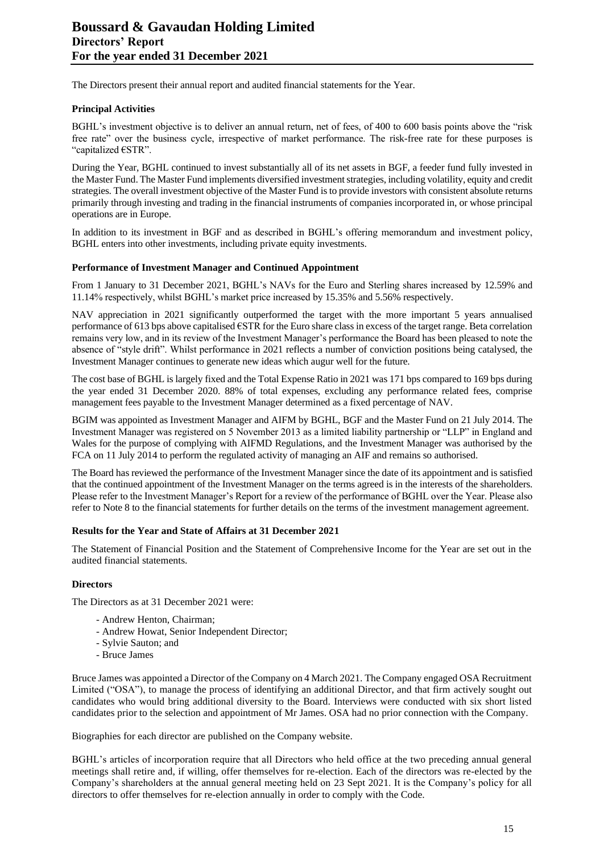The Directors present their annual report and audited financial statements for the Year.

#### **Principal Activities**

BGHL's investment objective is to deliver an annual return, net of fees, of 400 to 600 basis points above the "risk free rate" over the business cycle, irrespective of market performance. The risk-free rate for these purposes is "capitalized €STR".

During the Year, BGHL continued to invest substantially all of its net assets in BGF, a feeder fund fully invested in the Master Fund. The Master Fund implements diversified investment strategies, including volatility, equity and credit strategies. The overall investment objective of the Master Fund is to provide investors with consistent absolute returns primarily through investing and trading in the financial instruments of companies incorporated in, or whose principal operations are in Europe.

In addition to its investment in BGF and as described in BGHL's offering memorandum and investment policy, BGHL enters into other investments, including private equity investments.

#### **Performance of Investment Manager and Continued Appointment**

From 1 January to 31 December 2021, BGHL's NAVs for the Euro and Sterling shares increased by 12.59% and 11.14% respectively, whilst BGHL's market price increased by 15.35% and 5.56% respectively.

NAV appreciation in 2021 significantly outperformed the target with the more important 5 years annualised performance of 613 bps above capitalised €STR for the Euro share class in excess of the target range. Beta correlation remains very low, and in its review of the Investment Manager's performance the Board has been pleased to note the absence of "style drift". Whilst performance in 2021 reflects a number of conviction positions being catalysed, the Investment Manager continues to generate new ideas which augur well for the future.

The cost base of BGHL is largely fixed and the Total Expense Ratio in 2021 was 171 bps compared to 169 bps during the year ended 31 December 2020. 88% of total expenses, excluding any performance related fees, comprise management fees payable to the Investment Manager determined as a fixed percentage of NAV.

BGIM was appointed as Investment Manager and AIFM by BGHL, BGF and the Master Fund on 21 July 2014. The Investment Manager was registered on 5 November 2013 as a limited liability partnership or "LLP" in England and Wales for the purpose of complying with AIFMD Regulations, and the Investment Manager was authorised by the FCA on 11 July 2014 to perform the regulated activity of managing an AIF and remains so authorised.

The Board has reviewed the performance of the Investment Manager since the date of its appointment and is satisfied that the continued appointment of the Investment Manager on the terms agreed is in the interests of the shareholders. Please refer to the Investment Manager's Report for a review of the performance of BGHL over the Year. Please also refer to Note 8 to the financial statements for further details on the terms of the investment management agreement.

#### **Results for the Year and State of Affairs at 31 December 2021**

The Statement of Financial Position and the Statement of Comprehensive Income for the Year are set out in the audited financial statements.

#### **Directors**

The Directors as at 31 December 2021 were:

- Andrew Henton, Chairman;
- Andrew Howat, Senior Independent Director;
- Sylvie Sauton; and
- Bruce James

Bruce James was appointed a Director of the Company on 4 March 2021. The Company engaged OSA Recruitment Limited ("OSA"), to manage the process of identifying an additional Director, and that firm actively sought out candidates who would bring additional diversity to the Board. Interviews were conducted with six short listed candidates prior to the selection and appointment of Mr James. OSA had no prior connection with the Company.

Biographies for each director are published on the Company website.

BGHL's articles of incorporation require that all Directors who held office at the two preceding annual general meetings shall retire and, if willing, offer themselves for re-election. Each of the directors was re-elected by the Company's shareholders at the annual general meeting held on 23 Sept 2021. It is the Company's policy for all directors to offer themselves for re-election annually in order to comply with the Code.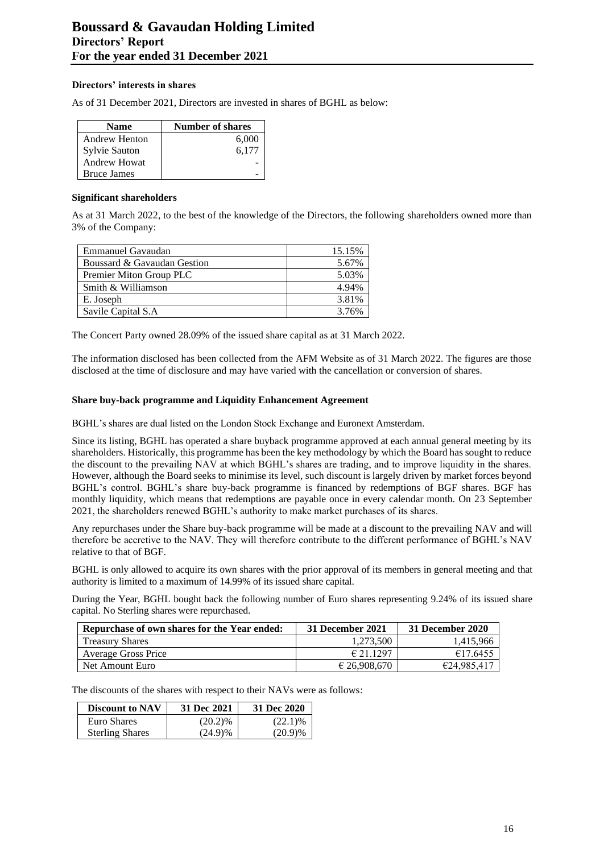## **Directors' interests in shares**

As of 31 December 2021, Directors are invested in shares of BGHL as below:

| Name                 | <b>Number of shares</b> |
|----------------------|-------------------------|
| <b>Andrew Henton</b> | 6,000                   |
| Sylvie Sauton        | 6,177                   |
| Andrew Howat         |                         |
| <b>Bruce James</b>   |                         |

#### **Significant shareholders**

As at 31 March 2022, to the best of the knowledge of the Directors, the following shareholders owned more than 3% of the Company:

| <b>Emmanuel Gavaudan</b>    | 15.15% |
|-----------------------------|--------|
| Boussard & Gavaudan Gestion | 5.67%  |
| Premier Miton Group PLC     | 5.03%  |
| Smith & Williamson          | 4.94%  |
| E. Joseph                   | 3.81%  |
| Savile Capital S.A.         | 3.76%  |

The Concert Party owned 28.09% of the issued share capital as at 31 March 2022.

The information disclosed has been collected from the AFM Website as of 31 March 2022. The figures are those disclosed at the time of disclosure and may have varied with the cancellation or conversion of shares.

#### **Share buy-back programme and Liquidity Enhancement Agreement**

BGHL's shares are dual listed on the London Stock Exchange and Euronext Amsterdam.

Since its listing, BGHL has operated a share buyback programme approved at each annual general meeting by its shareholders. Historically, this programme has been the key methodology by which the Board has sought to reduce the discount to the prevailing NAV at which BGHL's shares are trading, and to improve liquidity in the shares. However, although the Board seeks to minimise its level, such discount is largely driven by market forces beyond BGHL's control. BGHL's share buy-back programme is financed by redemptions of BGF shares. BGF has monthly liquidity, which means that redemptions are payable once in every calendar month. On 23 September 2021, the shareholders renewed BGHL's authority to make market purchases of its shares.

Any repurchases under the Share buy-back programme will be made at a discount to the prevailing NAV and will therefore be accretive to the NAV. They will therefore contribute to the different performance of BGHL's NAV relative to that of BGF.

BGHL is only allowed to acquire its own shares with the prior approval of its members in general meeting and that authority is limited to a maximum of 14.99% of its issued share capital.

During the Year, BGHL bought back the following number of Euro shares representing 9.24% of its issued share capital. No Sterling shares were repurchased.

| Repurchase of own shares for the Year ended: | 31 December 2021 | 31 December 2020 |
|----------------------------------------------|------------------|------------------|
| <b>Treasury Shares</b>                       | 1.273.500        | 1.415.966        |
| <b>Average Gross Price</b>                   | € 21.1297        | €17.6455         |
| Net Amount Euro                              | € 26.908.670     | €24,985,417      |

The discounts of the shares with respect to their NAVs were as follows:

| <b>Discount to NAV</b> | 31 Dec 2021 | 31 Dec 2020 |
|------------------------|-------------|-------------|
| Euro Shares            | $(20.2)\%$  | $(22.1)\%$  |
| <b>Sterling Shares</b> | $(24.9)\%$  | (20.9)%     |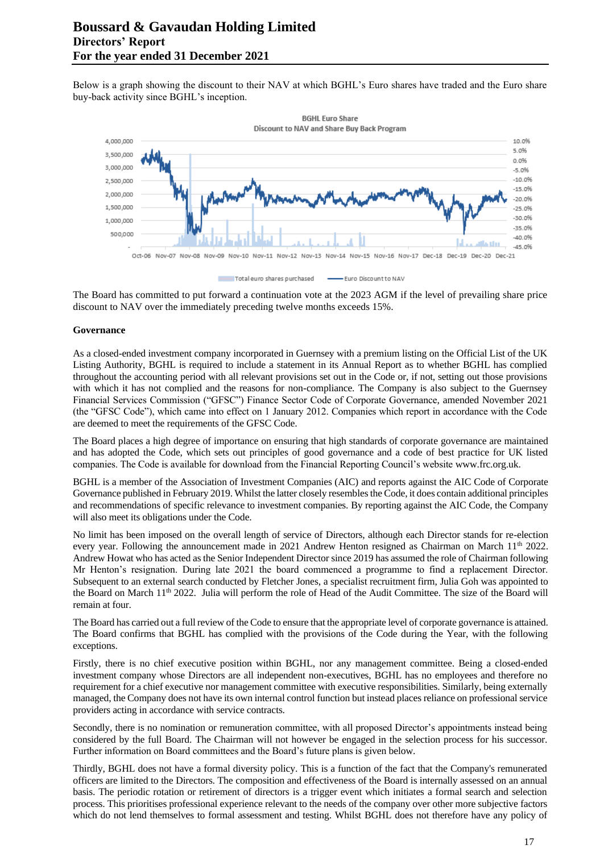Below is a graph showing the discount to their NAV at which BGHL's Euro shares have traded and the Euro share buy-back activity since BGHL's inception.



The Board has committed to put forward a continuation vote at the 2023 AGM if the level of prevailing share price discount to NAV over the immediately preceding twelve months exceeds 15%.

#### **Governance**

As a closed-ended investment company incorporated in Guernsey with a premium listing on the Official List of the UK Listing Authority, BGHL is required to include a statement in its Annual Report as to whether BGHL has complied throughout the accounting period with all relevant provisions set out in the Code or, if not, setting out those provisions with which it has not complied and the reasons for non-compliance. The Company is also subject to the Guernsey Financial Services Commission ("GFSC") Finance Sector Code of Corporate Governance, amended November 2021 (the "GFSC Code"), which came into effect on 1 January 2012. Companies which report in accordance with the Code are deemed to meet the requirements of the GFSC Code.

The Board places a high degree of importance on ensuring that high standards of corporate governance are maintained and has adopted the Code, which sets out principles of good governance and a code of best practice for UK listed companies. The Code is available for download from the Financial Reporting Council's website [www.frc.org.uk.](http://www.frc.org.uk/)

BGHL is a member of the Association of Investment Companies (AIC) and reports against the AIC Code of Corporate Governance published in February 2019. Whilst the latter closely resembles the Code, it does contain additional principles and recommendations of specific relevance to investment companies. By reporting against the AIC Code, the Company will also meet its obligations under the Code.

No limit has been imposed on the overall length of service of Directors, although each Director stands for re-election every year. Following the announcement made in 2021 Andrew Henton resigned as Chairman on March 11<sup>th</sup> 2022. Andrew Howat who has acted as the Senior Independent Director since 2019 has assumed the role of Chairman following Mr Henton's resignation. During late 2021 the board commenced a programme to find a replacement Director. Subsequent to an external search conducted by Fletcher Jones, a specialist recruitment firm, Julia Goh was appointed to the Board on March 11th 2022. Julia will perform the role of Head of the Audit Committee. The size of the Board will remain at four.

The Board has carried out a full review of the Code to ensure that the appropriate level of corporate governance is attained. The Board confirms that BGHL has complied with the provisions of the Code during the Year, with the following exceptions.

Firstly, there is no chief executive position within BGHL, nor any management committee. Being a closed-ended investment company whose Directors are all independent non-executives, BGHL has no employees and therefore no requirement for a chief executive nor management committee with executive responsibilities. Similarly, being externally managed, the Company does not have its own internal control function but instead places reliance on professional service providers acting in accordance with service contracts.

Secondly, there is no nomination or remuneration committee, with all proposed Director's appointments instead being considered by the full Board. The Chairman will not however be engaged in the selection process for his successor. Further information on Board committees and the Board's future plans is given below.

Thirdly, BGHL does not have a formal diversity policy. This is a function of the fact that the Company's remunerated officers are limited to the Directors. The composition and effectiveness of the Board is internally assessed on an annual basis. The periodic rotation or retirement of directors is a trigger event which initiates a formal search and selection process. This prioritises professional experience relevant to the needs of the company over other more subjective factors which do not lend themselves to formal assessment and testing. Whilst BGHL does not therefore have any policy of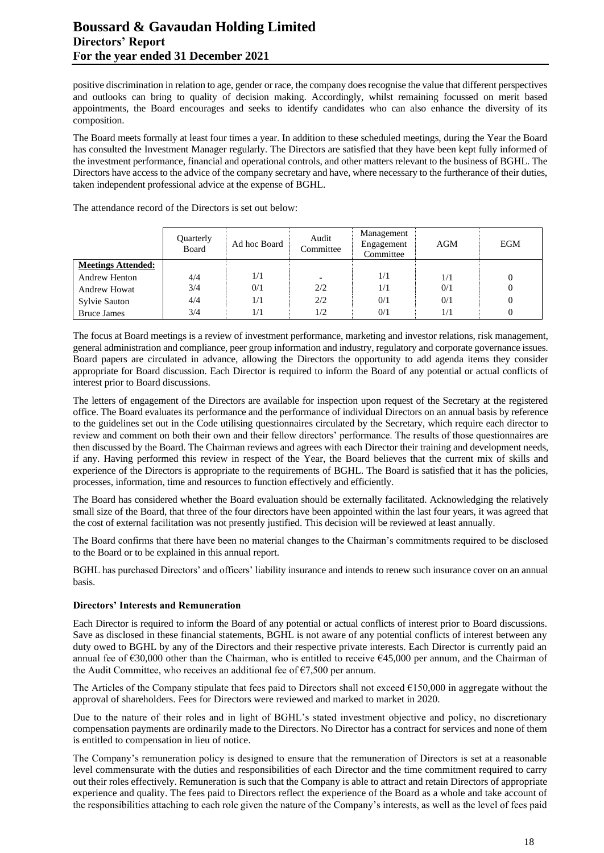# **Boussard & Gavaudan Holding Limited Directors' Report For the year ended 31 December 2021**

positive discrimination in relation to age, gender or race, the company does recognise the value that different perspectives and outlooks can bring to quality of decision making. Accordingly, whilst remaining focussed on merit based appointments, the Board encourages and seeks to identify candidates who can also enhance the diversity of its composition.

The Board meets formally at least four times a year. In addition to these scheduled meetings, during the Year the Board has consulted the Investment Manager regularly. The Directors are satisfied that they have been kept fully informed of the investment performance, financial and operational controls, and other matters relevant to the business of BGHL. The Directors have access to the advice of the company secretary and have, where necessary to the furtherance of their duties, taken independent professional advice at the expense of BGHL.

|                           | Quarterly<br>Board | Ad hoc Board | Audit<br>Committee       | Management<br>Engagement<br>Committee | AGM | <b>EGM</b> |
|---------------------------|--------------------|--------------|--------------------------|---------------------------------------|-----|------------|
| <b>Meetings Attended:</b> |                    |              |                          |                                       |     |            |
| <b>Andrew Henton</b>      | 4/4                | 1/1          | $\overline{\phantom{0}}$ | 1/1                                   | 1/1 |            |
| <b>Andrew Howat</b>       | 3/4                | 0/1          | 2/2                      | 1/1                                   | 0/1 |            |
| Sylvie Sauton             | 4/4                | 1/1          | 2/2                      | 0/1                                   | 0/1 |            |
| <b>Bruce James</b>        | 3/4                | 1/1          | 1/2                      | 0/1                                   | 1/1 |            |

The attendance record of the Directors is set out below:

The focus at Board meetings is a review of investment performance, marketing and investor relations, risk management, general administration and compliance, peer group information and industry, regulatory and corporate governance issues. Board papers are circulated in advance, allowing the Directors the opportunity to add agenda items they consider appropriate for Board discussion. Each Director is required to inform the Board of any potential or actual conflicts of interest prior to Board discussions.

The letters of engagement of the Directors are available for inspection upon request of the Secretary at the registered office. The Board evaluates its performance and the performance of individual Directors on an annual basis by reference to the guidelines set out in the Code utilising questionnaires circulated by the Secretary, which require each director to review and comment on both their own and their fellow directors' performance. The results of those questionnaires are then discussed by the Board. The Chairman reviews and agrees with each Director their training and development needs, if any. Having performed this review in respect of the Year, the Board believes that the current mix of skills and experience of the Directors is appropriate to the requirements of BGHL. The Board is satisfied that it has the policies, processes, information, time and resources to function effectively and efficiently.

The Board has considered whether the Board evaluation should be externally facilitated. Acknowledging the relatively small size of the Board, that three of the four directors have been appointed within the last four years, it was agreed that the cost of external facilitation was not presently justified. This decision will be reviewed at least annually.

The Board confirms that there have been no material changes to the Chairman's commitments required to be disclosed to the Board or to be explained in this annual report.

BGHL has purchased Directors' and officers' liability insurance and intends to renew such insurance cover on an annual basis.

#### **Directors' Interests and Remuneration**

Each Director is required to inform the Board of any potential or actual conflicts of interest prior to Board discussions. Save as disclosed in these financial statements, BGHL is not aware of any potential conflicts of interest between any duty owed to BGHL by any of the Directors and their respective private interests. Each Director is currently paid an annual fee of €30,000 other than the Chairman, who is entitled to receive €45,000 per annum, and the Chairman of the Audit Committee, who receives an additional fee of  $\epsilon$ 7,500 per annum.

The Articles of the Company stipulate that fees paid to Directors shall not exceed  $\epsilon$ 150,000 in aggregate without the approval of shareholders. Fees for Directors were reviewed and marked to market in 2020.

Due to the nature of their roles and in light of BGHL's stated investment objective and policy, no discretionary compensation payments are ordinarily made to the Directors. No Director has a contract for services and none of them is entitled to compensation in lieu of notice.

The Company's remuneration policy is designed to ensure that the remuneration of Directors is set at a reasonable level commensurate with the duties and responsibilities of each Director and the time commitment required to carry out their roles effectively. Remuneration is such that the Company is able to attract and retain Directors of appropriate experience and quality. The fees paid to Directors reflect the experience of the Board as a whole and take account of the responsibilities attaching to each role given the nature of the Company's interests, as well as the level of fees paid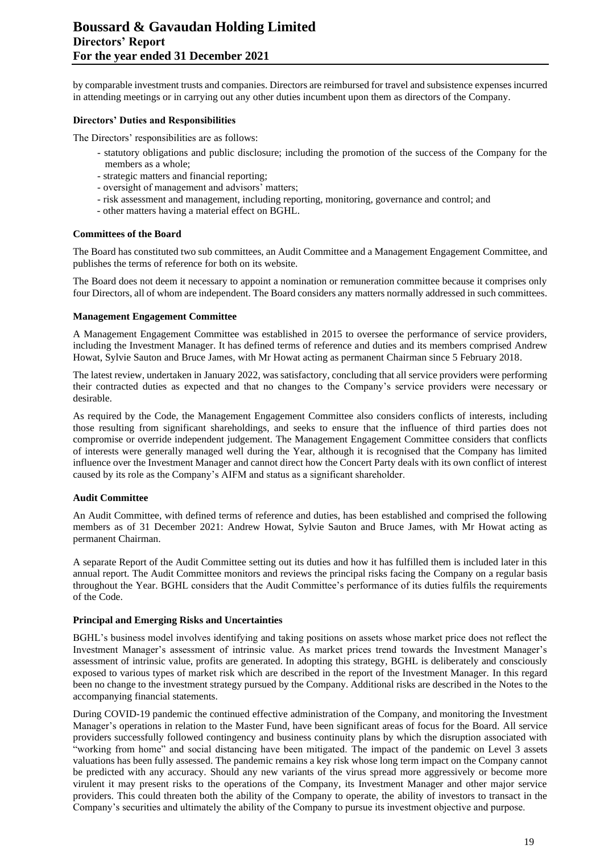by comparable investment trusts and companies. Directors are reimbursed for travel and subsistence expenses incurred in attending meetings or in carrying out any other duties incumbent upon them as directors of the Company.

#### **Directors' Duties and Responsibilities**

The Directors' responsibilities are as follows:

- statutory obligations and public disclosure; including the promotion of the success of the Company for the members as a whole;
- strategic matters and financial reporting;
- oversight of management and advisors' matters;
- risk assessment and management, including reporting, monitoring, governance and control; and
- other matters having a material effect on BGHL.

#### **Committees of the Board**

The Board has constituted two sub committees, an Audit Committee and a Management Engagement Committee, and publishes the terms of reference for both on its website.

The Board does not deem it necessary to appoint a nomination or remuneration committee because it comprises only four Directors, all of whom are independent. The Board considers any matters normally addressed in such committees.

#### **Management Engagement Committee**

A Management Engagement Committee was established in 2015 to oversee the performance of service providers, including the Investment Manager. It has defined terms of reference and duties and its members comprised Andrew Howat, Sylvie Sauton and Bruce James, with Mr Howat acting as permanent Chairman since 5 February 2018.

The latest review, undertaken in January 2022, was satisfactory, concluding that all service providers were performing their contracted duties as expected and that no changes to the Company's service providers were necessary or desirable.

As required by the Code, the Management Engagement Committee also considers conflicts of interests, including those resulting from significant shareholdings, and seeks to ensure that the influence of third parties does not compromise or override independent judgement. The Management Engagement Committee considers that conflicts of interests were generally managed well during the Year, although it is recognised that the Company has limited influence over the Investment Manager and cannot direct how the Concert Party deals with its own conflict of interest caused by its role as the Company's AIFM and status as a significant shareholder.

#### **Audit Committee**

An Audit Committee, with defined terms of reference and duties, has been established and comprised the following members as of 31 December 2021: Andrew Howat, Sylvie Sauton and Bruce James, with Mr Howat acting as permanent Chairman.

A separate Report of the Audit Committee setting out its duties and how it has fulfilled them is included later in this annual report. The Audit Committee monitors and reviews the principal risks facing the Company on a regular basis throughout the Year. BGHL considers that the Audit Committee's performance of its duties fulfils the requirements of the Code.

#### **Principal and Emerging Risks and Uncertainties**

BGHL's business model involves identifying and taking positions on assets whose market price does not reflect the Investment Manager's assessment of intrinsic value. As market prices trend towards the Investment Manager's assessment of intrinsic value, profits are generated. In adopting this strategy, BGHL is deliberately and consciously exposed to various types of market risk which are described in the report of the Investment Manager. In this regard been no change to the investment strategy pursued by the Company. Additional risks are described in the Notes to the accompanying financial statements.

During COVID-19 pandemic the continued effective administration of the Company, and monitoring the Investment Manager's operations in relation to the Master Fund, have been significant areas of focus for the Board. All service providers successfully followed contingency and business continuity plans by which the disruption associated with "working from home" and social distancing have been mitigated. The impact of the pandemic on Level 3 assets valuations has been fully assessed. The pandemic remains a key risk whose long term impact on the Company cannot be predicted with any accuracy. Should any new variants of the virus spread more aggressively or become more virulent it may present risks to the operations of the Company, its Investment Manager and other major service providers. This could threaten both the ability of the Company to operate, the ability of investors to transact in the Company's securities and ultimately the ability of the Company to pursue its investment objective and purpose.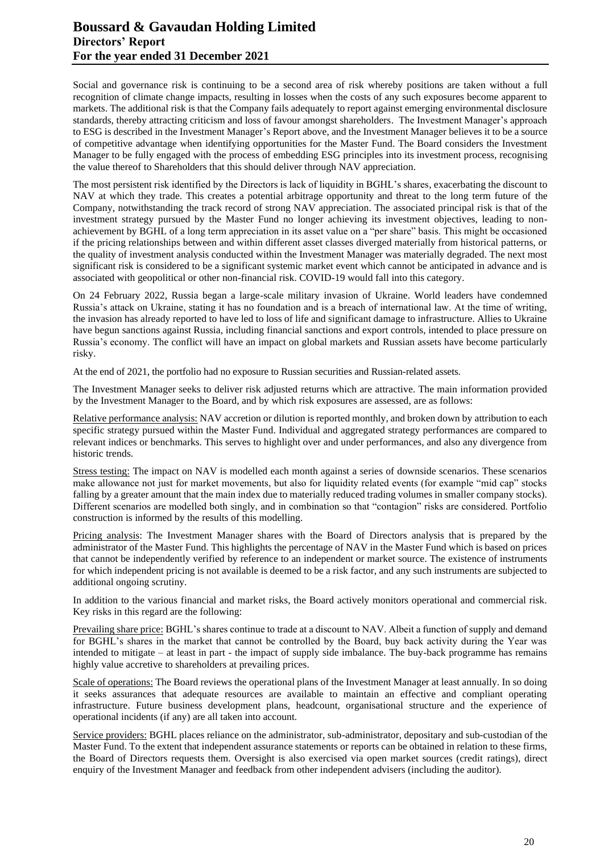# **Boussard & Gavaudan Holding Limited Directors' Report For the year ended 31 December 2021**

Social and governance risk is continuing to be a second area of risk whereby positions are taken without a full recognition of climate change impacts, resulting in losses when the costs of any such exposures become apparent to markets. The additional risk is that the Company fails adequately to report against emerging environmental disclosure standards, thereby attracting criticism and loss of favour amongst shareholders. The Investment Manager's approach to ESG is described in the Investment Manager's Report above, and the Investment Manager believes it to be a source of competitive advantage when identifying opportunities for the Master Fund. The Board considers the Investment Manager to be fully engaged with the process of embedding ESG principles into its investment process, recognising the value thereof to Shareholders that this should deliver through NAV appreciation.

The most persistent risk identified by the Directors is lack of liquidity in BGHL's shares, exacerbating the discount to NAV at which they trade. This creates a potential arbitrage opportunity and threat to the long term future of the Company, notwithstanding the track record of strong NAV appreciation. The associated principal risk is that of the investment strategy pursued by the Master Fund no longer achieving its investment objectives, leading to nonachievement by BGHL of a long term appreciation in its asset value on a "per share" basis. This might be occasioned if the pricing relationships between and within different asset classes diverged materially from historical patterns, or the quality of investment analysis conducted within the Investment Manager was materially degraded. The next most significant risk is considered to be a significant systemic market event which cannot be anticipated in advance and is associated with geopolitical or other non-financial risk. COVID-19 would fall into this category.

On 24 February 2022, Russia began a large-scale military invasion of Ukraine. World leaders have condemned Russia's attack on Ukraine, stating it has no foundation and is a breach of international law. At the time of writing, the invasion has already reported to have led to loss of life and significant damage to infrastructure. Allies to Ukraine have begun sanctions against Russia, including financial sanctions and export controls, intended to place pressure on Russia's economy. The conflict will have an impact on global markets and Russian assets have become particularly risky.

At the end of 2021, the portfolio had no exposure to Russian securities and Russian-related assets.

The Investment Manager seeks to deliver risk adjusted returns which are attractive. The main information provided by the Investment Manager to the Board, and by which risk exposures are assessed, are as follows:

Relative performance analysis: NAV accretion or dilution is reported monthly, and broken down by attribution to each specific strategy pursued within the Master Fund. Individual and aggregated strategy performances are compared to relevant indices or benchmarks. This serves to highlight over and under performances, and also any divergence from historic trends.

Stress testing: The impact on NAV is modelled each month against a series of downside scenarios. These scenarios make allowance not just for market movements, but also for liquidity related events (for example "mid cap" stocks falling by a greater amount that the main index due to materially reduced trading volumes in smaller company stocks). Different scenarios are modelled both singly, and in combination so that "contagion" risks are considered. Portfolio construction is informed by the results of this modelling.

Pricing analysis: The Investment Manager shares with the Board of Directors analysis that is prepared by the administrator of the Master Fund. This highlights the percentage of NAV in the Master Fund which is based on prices that cannot be independently verified by reference to an independent or market source. The existence of instruments for which independent pricing is not available is deemed to be a risk factor, and any such instruments are subjected to additional ongoing scrutiny.

In addition to the various financial and market risks, the Board actively monitors operational and commercial risk. Key risks in this regard are the following:

Prevailing share price: BGHL's shares continue to trade at a discount to NAV. Albeit a function of supply and demand for BGHL's shares in the market that cannot be controlled by the Board, buy back activity during the Year was intended to mitigate – at least in part - the impact of supply side imbalance. The buy-back programme has remains highly value accretive to shareholders at prevailing prices.

Scale of operations: The Board reviews the operational plans of the Investment Manager at least annually. In so doing it seeks assurances that adequate resources are available to maintain an effective and compliant operating infrastructure. Future business development plans, headcount, organisational structure and the experience of operational incidents (if any) are all taken into account.

Service providers: BGHL places reliance on the administrator, sub-administrator, depositary and sub-custodian of the Master Fund. To the extent that independent assurance statements or reports can be obtained in relation to these firms, the Board of Directors requests them. Oversight is also exercised via open market sources (credit ratings), direct enquiry of the Investment Manager and feedback from other independent advisers (including the auditor).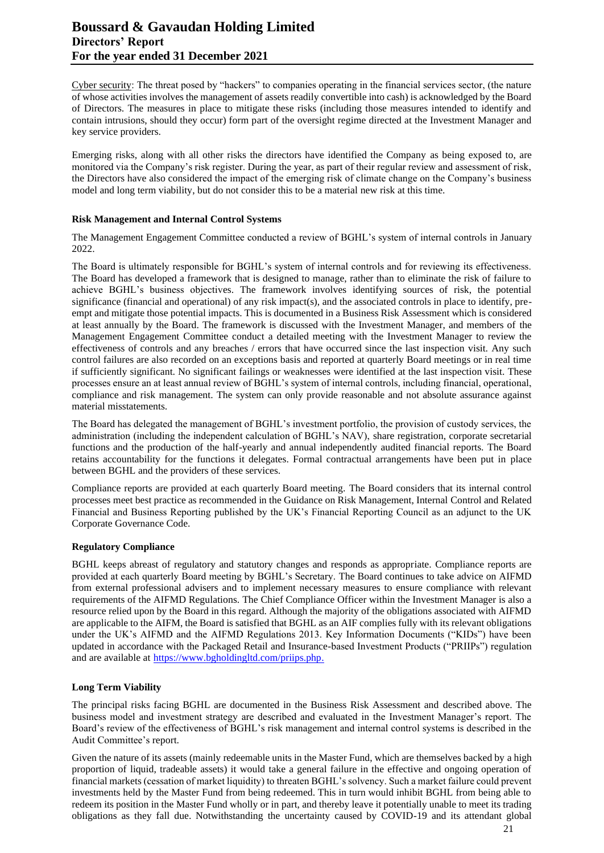# **Boussard & Gavaudan Holding Limited Directors' Report For the year ended 31 December 2021**

Cyber security: The threat posed by "hackers" to companies operating in the financial services sector, (the nature of whose activities involves the management of assets readily convertible into cash) is acknowledged by the Board of Directors. The measures in place to mitigate these risks (including those measures intended to identify and contain intrusions, should they occur) form part of the oversight regime directed at the Investment Manager and key service providers.

Emerging risks, along with all other risks the directors have identified the Company as being exposed to, are monitored via the Company's risk register. During the year, as part of their regular review and assessment of risk, the Directors have also considered the impact of the emerging risk of climate change on the Company's business model and long term viability, but do not consider this to be a material new risk at this time.

#### **Risk Management and Internal Control Systems**

The Management Engagement Committee conducted a review of BGHL's system of internal controls in January 2022.

The Board is ultimately responsible for BGHL's system of internal controls and for reviewing its effectiveness. The Board has developed a framework that is designed to manage, rather than to eliminate the risk of failure to achieve BGHL's business objectives. The framework involves identifying sources of risk, the potential significance (financial and operational) of any risk impact(s), and the associated controls in place to identify, preempt and mitigate those potential impacts. This is documented in a Business Risk Assessment which is considered at least annually by the Board. The framework is discussed with the Investment Manager, and members of the Management Engagement Committee conduct a detailed meeting with the Investment Manager to review the effectiveness of controls and any breaches / errors that have occurred since the last inspection visit. Any such control failures are also recorded on an exceptions basis and reported at quarterly Board meetings or in real time if sufficiently significant. No significant failings or weaknesses were identified at the last inspection visit. These processes ensure an at least annual review of BGHL's system of internal controls, including financial, operational, compliance and risk management. The system can only provide reasonable and not absolute assurance against material misstatements.

The Board has delegated the management of BGHL's investment portfolio, the provision of custody services, the administration (including the independent calculation of BGHL's NAV), share registration, corporate secretarial functions and the production of the half-yearly and annual independently audited financial reports. The Board retains accountability for the functions it delegates. Formal contractual arrangements have been put in place between BGHL and the providers of these services.

Compliance reports are provided at each quarterly Board meeting. The Board considers that its internal control processes meet best practice as recommended in the Guidance on Risk Management, Internal Control and Related Financial and Business Reporting published by the UK's Financial Reporting Council as an adjunct to the UK Corporate Governance Code.

#### **Regulatory Compliance**

BGHL keeps abreast of regulatory and statutory changes and responds as appropriate. Compliance reports are provided at each quarterly Board meeting by BGHL's Secretary. The Board continues to take advice on AIFMD from external professional advisers and to implement necessary measures to ensure compliance with relevant requirements of the AIFMD Regulations. The Chief Compliance Officer within the Investment Manager is also a resource relied upon by the Board in this regard. Although the majority of the obligations associated with AIFMD are applicable to the AIFM, the Board is satisfied that BGHL as an AIF complies fully with its relevant obligations under the UK's AIFMD and the AIFMD Regulations 2013. Key Information Documents ("KIDs") have been updated in accordance with the Packaged Retail and Insurance-based Investment Products ("PRIIPs") regulation and are available at [https://www.bgholdingltd.com/priips.php.](https://www.bgholdingltd.com/priips.php)

# **Long Term Viability**

The principal risks facing BGHL are documented in the Business Risk Assessment and described above. The business model and investment strategy are described and evaluated in the Investment Manager's report. The Board's review of the effectiveness of BGHL's risk management and internal control systems is described in the Audit Committee's report.

Given the nature of its assets (mainly redeemable units in the Master Fund, which are themselves backed by a high proportion of liquid, tradeable assets) it would take a general failure in the effective and ongoing operation of financial markets (cessation of market liquidity) to threaten BGHL's solvency. Such a market failure could prevent investments held by the Master Fund from being redeemed. This in turn would inhibit BGHL from being able to redeem its position in the Master Fund wholly or in part, and thereby leave it potentially unable to meet its trading obligations as they fall due. Notwithstanding the uncertainty caused by COVID-19 and its attendant global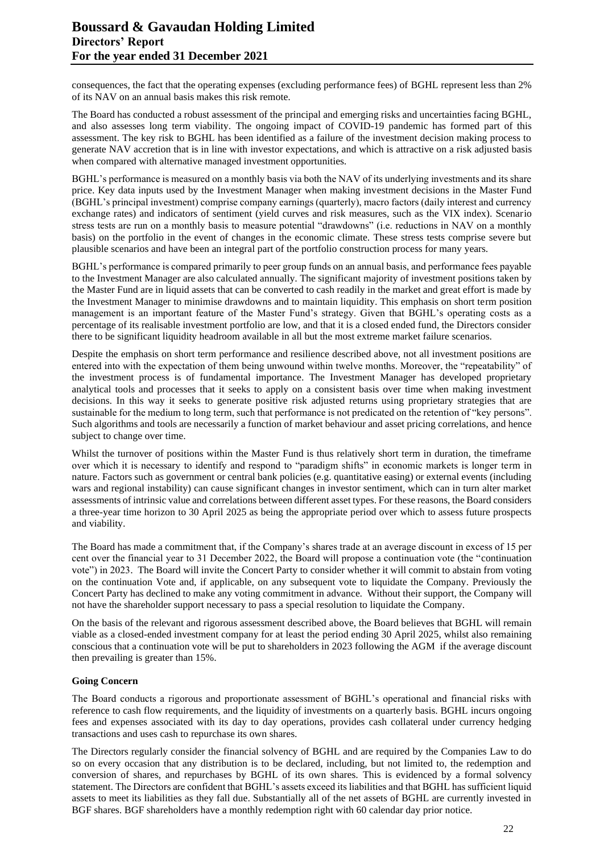consequences, the fact that the operating expenses (excluding performance fees) of BGHL represent less than 2% of its NAV on an annual basis makes this risk remote.

The Board has conducted a robust assessment of the principal and emerging risks and uncertainties facing BGHL, and also assesses long term viability. The ongoing impact of COVID-19 pandemic has formed part of this assessment. The key risk to BGHL has been identified as a failure of the investment decision making process to generate NAV accretion that is in line with investor expectations, and which is attractive on a risk adjusted basis when compared with alternative managed investment opportunities.

BGHL's performance is measured on a monthly basis via both the NAV of its underlying investments and its share price. Key data inputs used by the Investment Manager when making investment decisions in the Master Fund (BGHL's principal investment) comprise company earnings (quarterly), macro factors (daily interest and currency exchange rates) and indicators of sentiment (yield curves and risk measures, such as the VIX index). Scenario stress tests are run on a monthly basis to measure potential "drawdowns" (i.e. reductions in NAV on a monthly basis) on the portfolio in the event of changes in the economic climate. These stress tests comprise severe but plausible scenarios and have been an integral part of the portfolio construction process for many years.

BGHL's performance is compared primarily to peer group funds on an annual basis, and performance fees payable to the Investment Manager are also calculated annually. The significant majority of investment positions taken by the Master Fund are in liquid assets that can be converted to cash readily in the market and great effort is made by the Investment Manager to minimise drawdowns and to maintain liquidity. This emphasis on short term position management is an important feature of the Master Fund's strategy. Given that BGHL's operating costs as a percentage of its realisable investment portfolio are low, and that it is a closed ended fund, the Directors consider there to be significant liquidity headroom available in all but the most extreme market failure scenarios.

Despite the emphasis on short term performance and resilience described above, not all investment positions are entered into with the expectation of them being unwound within twelve months. Moreover, the "repeatability" of the investment process is of fundamental importance. The Investment Manager has developed proprietary analytical tools and processes that it seeks to apply on a consistent basis over time when making investment decisions. In this way it seeks to generate positive risk adjusted returns using proprietary strategies that are sustainable for the medium to long term, such that performance is not predicated on the retention of "key persons". Such algorithms and tools are necessarily a function of market behaviour and asset pricing correlations, and hence subject to change over time.

Whilst the turnover of positions within the Master Fund is thus relatively short term in duration, the timeframe over which it is necessary to identify and respond to "paradigm shifts" in economic markets is longer term in nature. Factors such as government or central bank policies (e.g. quantitative easing) or external events (including wars and regional instability) can cause significant changes in investor sentiment, which can in turn alter market assessments of intrinsic value and correlations between different asset types. For these reasons, the Board considers a three-year time horizon to 30 April 2025 as being the appropriate period over which to assess future prospects and viability.

The Board has made a commitment that, if the Company's shares trade at an average discount in excess of 15 per cent over the financial year to 31 December 2022, the Board will propose a continuation vote (the "continuation vote") in 2023. The Board will invite the Concert Party to consider whether it will commit to abstain from voting on the continuation Vote and, if applicable, on any subsequent vote to liquidate the Company. Previously the Concert Party has declined to make any voting commitment in advance. Without their support, the Company will not have the shareholder support necessary to pass a special resolution to liquidate the Company.

On the basis of the relevant and rigorous assessment described above, the Board believes that BGHL will remain viable as a closed-ended investment company for at least the period ending 30 April 2025, whilst also remaining conscious that a continuation vote will be put to shareholders in 2023 following the AGM if the average discount then prevailing is greater than 15%.

#### **Going Concern**

The Board conducts a rigorous and proportionate assessment of BGHL's operational and financial risks with reference to cash flow requirements, and the liquidity of investments on a quarterly basis. BGHL incurs ongoing fees and expenses associated with its day to day operations, provides cash collateral under currency hedging transactions and uses cash to repurchase its own shares.

The Directors regularly consider the financial solvency of BGHL and are required by the Companies Law to do so on every occasion that any distribution is to be declared, including, but not limited to, the redemption and conversion of shares, and repurchases by BGHL of its own shares. This is evidenced by a formal solvency statement. The Directors are confident that BGHL's assets exceed its liabilities and that BGHL has sufficient liquid assets to meet its liabilities as they fall due. Substantially all of the net assets of BGHL are currently invested in BGF shares. BGF shareholders have a monthly redemption right with 60 calendar day prior notice.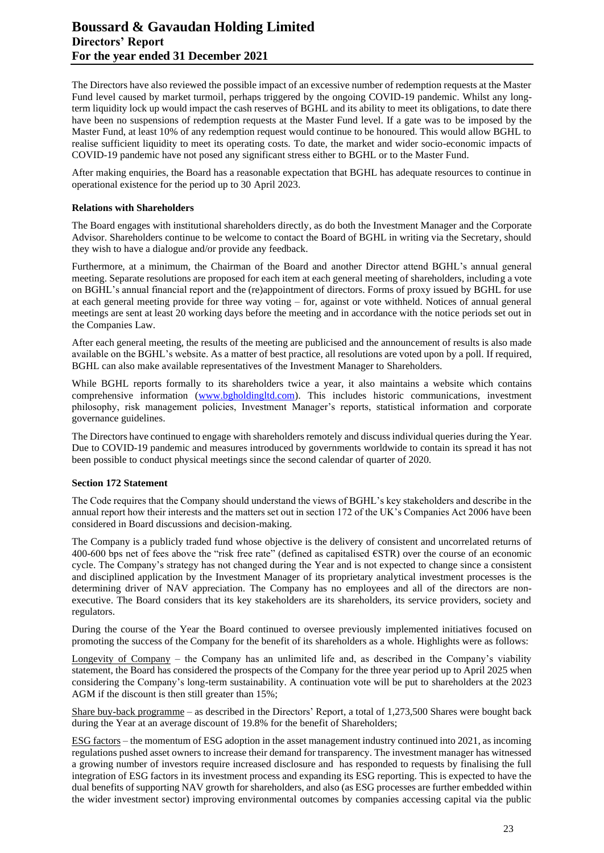The Directors have also reviewed the possible impact of an excessive number of redemption requests at the Master Fund level caused by market turmoil, perhaps triggered by the ongoing COVID-19 pandemic. Whilst any longterm liquidity lock up would impact the cash reserves of BGHL and its ability to meet its obligations, to date there have been no suspensions of redemption requests at the Master Fund level. If a gate was to be imposed by the Master Fund, at least 10% of any redemption request would continue to be honoured. This would allow BGHL to realise sufficient liquidity to meet its operating costs. To date, the market and wider socio-economic impacts of COVID-19 pandemic have not posed any significant stress either to BGHL or to the Master Fund.

After making enquiries, the Board has a reasonable expectation that BGHL has adequate resources to continue in operational existence for the period up to 30 April 2023.

#### **Relations with Shareholders**

The Board engages with institutional shareholders directly, as do both the Investment Manager and the Corporate Advisor. Shareholders continue to be welcome to contact the Board of BGHL in writing via the Secretary, should they wish to have a dialogue and/or provide any feedback.

Furthermore, at a minimum, the Chairman of the Board and another Director attend BGHL's annual general meeting. Separate resolutions are proposed for each item at each general meeting of shareholders, including a vote on BGHL's annual financial report and the (re)appointment of directors. Forms of proxy issued by BGHL for use at each general meeting provide for three way voting – for, against or vote withheld. Notices of annual general meetings are sent at least 20 working days before the meeting and in accordance with the notice periods set out in the Companies Law.

After each general meeting, the results of the meeting are publicised and the announcement of results is also made available on the BGHL's website. As a matter of best practice, all resolutions are voted upon by a poll. If required, BGHL can also make available representatives of the Investment Manager to Shareholders.

While BGHL reports formally to its shareholders twice a year, it also maintains a website which contains comprehensive information [\(www.bgholdingltd.com\)](http://www.bgholdingltd.com/). This includes historic communications, investment philosophy, risk management policies, Investment Manager's reports, statistical information and corporate governance guidelines.

The Directors have continued to engage with shareholders remotely and discuss individual queries during the Year. Due to COVID-19 pandemic and measures introduced by governments worldwide to contain its spread it has not been possible to conduct physical meetings since the second calendar of quarter of 2020.

#### **Section 172 Statement**

The Code requires that the Company should understand the views of BGHL's key stakeholders and describe in the annual report how their interests and the matters set out in section 172 of the UK's Companies Act 2006 have been considered in Board discussions and decision-making.

The Company is a publicly traded fund whose objective is the delivery of consistent and uncorrelated returns of 400-600 bps net of fees above the "risk free rate" (defined as capitalised €STR) over the course of an economic cycle. The Company's strategy has not changed during the Year and is not expected to change since a consistent and disciplined application by the Investment Manager of its proprietary analytical investment processes is the determining driver of NAV appreciation. The Company has no employees and all of the directors are nonexecutive. The Board considers that its key stakeholders are its shareholders, its service providers, society and regulators.

During the course of the Year the Board continued to oversee previously implemented initiatives focused on promoting the success of the Company for the benefit of its shareholders as a whole. Highlights were as follows:

Longevity of Company – the Company has an unlimited life and, as described in the Company's viability statement, the Board has considered the prospects of the Company for the three year period up to April 2025 when considering the Company's long-term sustainability. A continuation vote will be put to shareholders at the 2023 AGM if the discount is then still greater than 15%;

Share buy-back programme – as described in the Directors' Report, a total of 1,273,500 Shares were bought back during the Year at an average discount of 19.8% for the benefit of Shareholders;

ESG factors – the momentum of ESG adoption in the asset management industry continued into 2021, as incoming regulations pushed asset owners to increase their demand for transparency. The investment manager has witnessed a growing number of investors require increased disclosure and has responded to requests by finalising the full integration of ESG factors in its investment process and expanding its ESG reporting. This is expected to have the dual benefits of supporting NAV growth for shareholders, and also (as ESG processes are further embedded within the wider investment sector) improving environmental outcomes by companies accessing capital via the public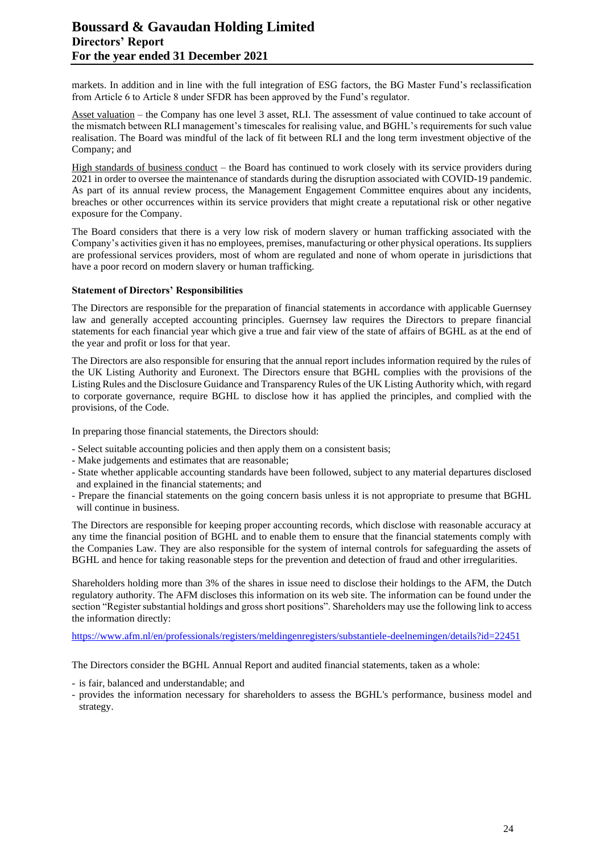# **Boussard & Gavaudan Holding Limited Directors' Report For the year ended 31 December 2021**

markets. In addition and in line with the full integration of ESG factors, the BG Master Fund's reclassification from Article 6 to Article 8 under SFDR has been approved by the Fund's regulator.

Asset valuation – the Company has one level 3 asset, RLI. The assessment of value continued to take account of the mismatch between RLI management's timescales for realising value, and BGHL's requirements for such value realisation. The Board was mindful of the lack of fit between RLI and the long term investment objective of the Company; and

High standards of business conduct – the Board has continued to work closely with its service providers during 2021 in order to oversee the maintenance of standards during the disruption associated with COVID-19 pandemic. As part of its annual review process, the Management Engagement Committee enquires about any incidents, breaches or other occurrences within its service providers that might create a reputational risk or other negative exposure for the Company.

The Board considers that there is a very low risk of modern slavery or human trafficking associated with the Company's activities given it has no employees, premises, manufacturing or other physical operations. Its suppliers are professional services providers, most of whom are regulated and none of whom operate in jurisdictions that have a poor record on modern slavery or human trafficking.

## **Statement of Directors' Responsibilities**

The Directors are responsible for the preparation of financial statements in accordance with applicable Guernsey law and generally accepted accounting principles. Guernsey law requires the Directors to prepare financial statements for each financial year which give a true and fair view of the state of affairs of BGHL as at the end of the year and profit or loss for that year.

The Directors are also responsible for ensuring that the annual report includes information required by the rules of the UK Listing Authority and Euronext. The Directors ensure that BGHL complies with the provisions of the Listing Rules and the Disclosure Guidance and Transparency Rules of the UK Listing Authority which, with regard to corporate governance, require BGHL to disclose how it has applied the principles, and complied with the provisions, of the Code.

In preparing those financial statements, the Directors should:

- Select suitable accounting policies and then apply them on a consistent basis;
- Make judgements and estimates that are reasonable;
- State whether applicable accounting standards have been followed, subject to any material departures disclosed and explained in the financial statements; and
- Prepare the financial statements on the going concern basis unless it is not appropriate to presume that BGHL will continue in business.

The Directors are responsible for keeping proper accounting records, which disclose with reasonable accuracy at any time the financial position of BGHL and to enable them to ensure that the financial statements comply with the Companies Law. They are also responsible for the system of internal controls for safeguarding the assets of BGHL and hence for taking reasonable steps for the prevention and detection of fraud and other irregularities.

Shareholders holding more than 3% of the shares in issue need to disclose their holdings to the AFM, the Dutch regulatory authority. The AFM discloses this information on its web site. The information can be found under the section "Register substantial holdings and gross short positions". Shareholders may use the following link to access the information directly:

<https://www.afm.nl/en/professionals/registers/meldingenregisters/substantiele-deelnemingen/details?id=22451>

The Directors consider the BGHL Annual Report and audited financial statements, taken as a whole:

- is fair, balanced and understandable; and
- provides the information necessary for shareholders to assess the BGHL's performance, business model and strategy.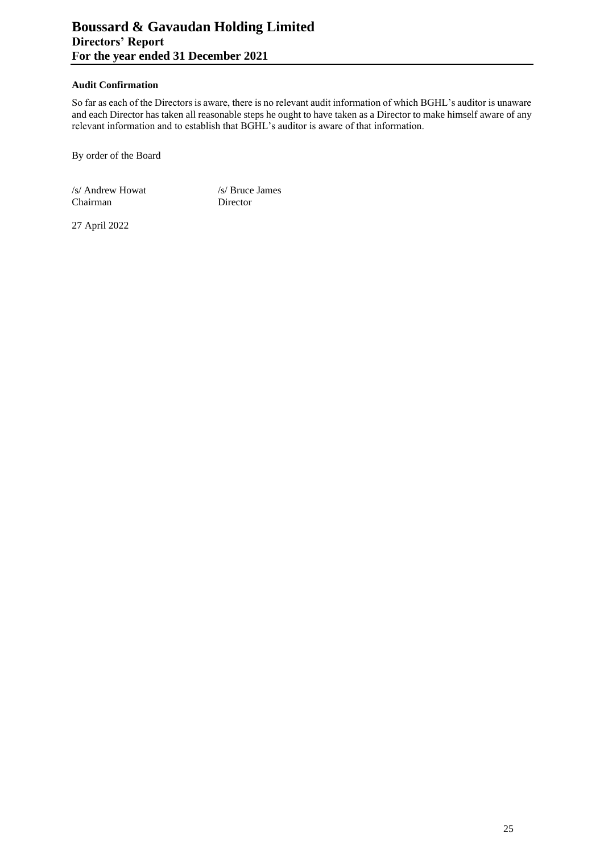#### **Audit Confirmation**

So far as each of the Directors is aware, there is no relevant audit information of which BGHL's auditor is unaware and each Director has taken all reasonable steps he ought to have taken as a Director to make himself aware of any relevant information and to establish that BGHL's auditor is aware of that information.

By order of the Board

/s/ Andrew Howat /s/ Bruce James Chairman Director

27 April 2022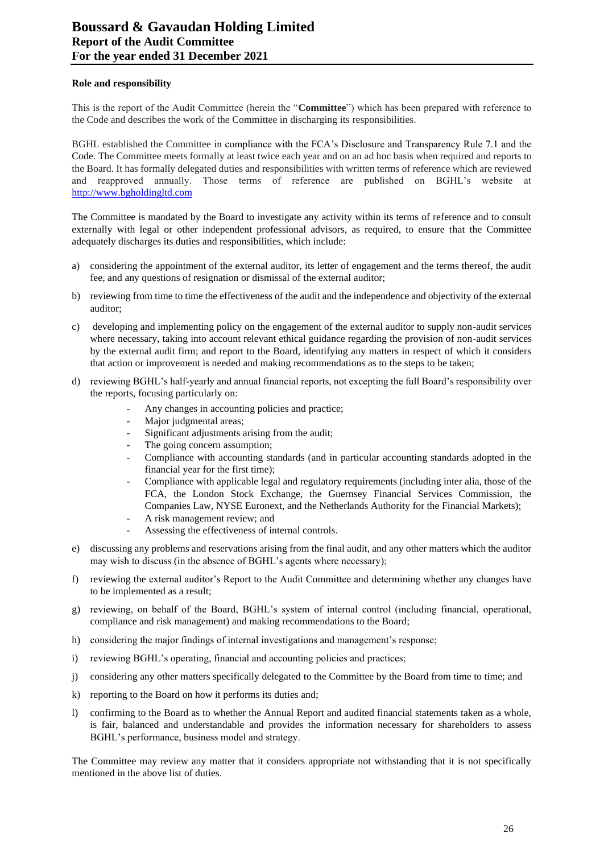#### **Role and responsibility**

This is the report of the Audit Committee (herein the "**Committee**") which has been prepared with reference to the Code and describes the work of the Committee in discharging its responsibilities.

BGHL established the Committee in compliance with the FCA's Disclosure and Transparency Rule 7.1 and the Code. The Committee meets formally at least twice each year and on an ad hoc basis when required and reports to the Board. It has formally delegated duties and responsibilities with written terms of reference which are reviewed and reapproved annually. Those terms of reference are published on BGHL's website at [http://www.bgholdingltd.com](http://www.bgholdingltd.com/)

The Committee is mandated by the Board to investigate any activity within its terms of reference and to consult externally with legal or other independent professional advisors, as required, to ensure that the Committee adequately discharges its duties and responsibilities, which include:

- a) considering the appointment of the external auditor, its letter of engagement and the terms thereof, the audit fee, and any questions of resignation or dismissal of the external auditor;
- b) reviewing from time to time the effectiveness of the audit and the independence and objectivity of the external auditor;
- c) developing and implementing policy on the engagement of the external auditor to supply non-audit services where necessary, taking into account relevant ethical guidance regarding the provision of non-audit services by the external audit firm; and report to the Board, identifying any matters in respect of which it considers that action or improvement is needed and making recommendations as to the steps to be taken;
- d) reviewing BGHL's half-yearly and annual financial reports, not excepting the full Board's responsibility over the reports, focusing particularly on:
	- Any changes in accounting policies and practice;
	- Major judgmental areas;
	- Significant adjustments arising from the audit;
	- The going concern assumption;
	- Compliance with accounting standards (and in particular accounting standards adopted in the financial year for the first time);
	- Compliance with applicable legal and regulatory requirements (including inter alia, those of the FCA, the London Stock Exchange, the Guernsey Financial Services Commission, the Companies Law, NYSE Euronext, and the Netherlands Authority for the Financial Markets);
	- A risk management review; and
	- Assessing the effectiveness of internal controls.
- e) discussing any problems and reservations arising from the final audit, and any other matters which the auditor may wish to discuss (in the absence of BGHL's agents where necessary);
- f) reviewing the external auditor's Report to the Audit Committee and determining whether any changes have to be implemented as a result;
- g) reviewing, on behalf of the Board, BGHL's system of internal control (including financial, operational, compliance and risk management) and making recommendations to the Board;
- h) considering the major findings of internal investigations and management's response;
- i) reviewing BGHL's operating, financial and accounting policies and practices;
- j) considering any other matters specifically delegated to the Committee by the Board from time to time; and
- k) reporting to the Board on how it performs its duties and;
- l) confirming to the Board as to whether the Annual Report and audited financial statements taken as a whole, is fair, balanced and understandable and provides the information necessary for shareholders to assess BGHL's performance, business model and strategy.

The Committee may review any matter that it considers appropriate not withstanding that it is not specifically mentioned in the above list of duties.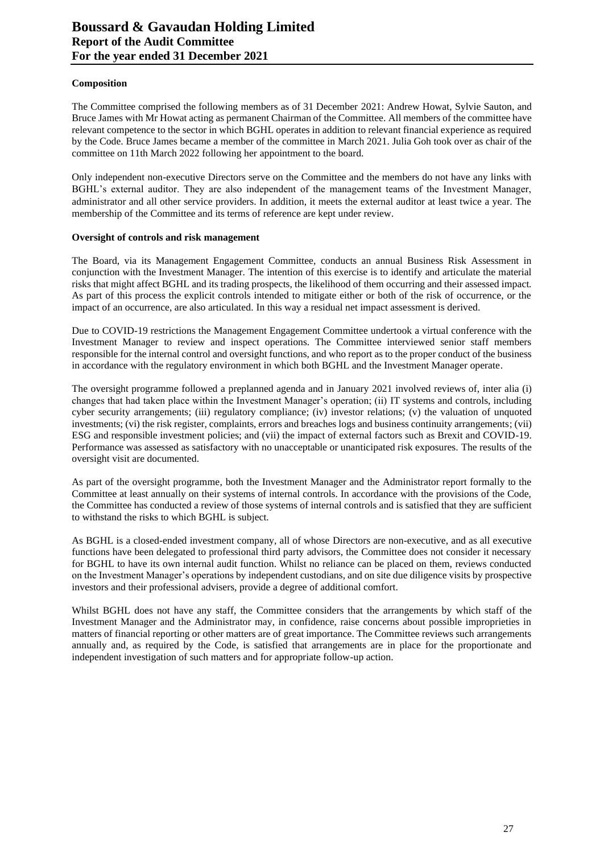#### **Composition**

The Committee comprised the following members as of 31 December 2021: Andrew Howat, Sylvie Sauton, and Bruce James with Mr Howat acting as permanent Chairman of the Committee. All members of the committee have relevant competence to the sector in which BGHL operates in addition to relevant financial experience as required by the Code. Bruce James became a member of the committee in March 2021. Julia Goh took over as chair of the committee on 11th March 2022 following her appointment to the board.

Only independent non-executive Directors serve on the Committee and the members do not have any links with BGHL's external auditor. They are also independent of the management teams of the Investment Manager, administrator and all other service providers. In addition, it meets the external auditor at least twice a year. The membership of the Committee and its terms of reference are kept under review.

## **Oversight of controls and risk management**

The Board, via its Management Engagement Committee, conducts an annual Business Risk Assessment in conjunction with the Investment Manager. The intention of this exercise is to identify and articulate the material risks that might affect BGHL and its trading prospects, the likelihood of them occurring and their assessed impact. As part of this process the explicit controls intended to mitigate either or both of the risk of occurrence, or the impact of an occurrence, are also articulated. In this way a residual net impact assessment is derived.

Due to COVID-19 restrictions the Management Engagement Committee undertook a virtual conference with the Investment Manager to review and inspect operations. The Committee interviewed senior staff members responsible for the internal control and oversight functions, and who report as to the proper conduct of the business in accordance with the regulatory environment in which both BGHL and the Investment Manager operate.

The oversight programme followed a preplanned agenda and in January 2021 involved reviews of, inter alia (i) changes that had taken place within the Investment Manager's operation; (ii) IT systems and controls, including cyber security arrangements; (iii) regulatory compliance; (iv) investor relations; (v) the valuation of unquoted investments; (vi) the risk register, complaints, errors and breaches logs and business continuity arrangements; (vii) ESG and responsible investment policies; and (vii) the impact of external factors such as Brexit and COVID-19. Performance was assessed as satisfactory with no unacceptable or unanticipated risk exposures. The results of the oversight visit are documented.

As part of the oversight programme, both the Investment Manager and the Administrator report formally to the Committee at least annually on their systems of internal controls. In accordance with the provisions of the Code, the Committee has conducted a review of those systems of internal controls and is satisfied that they are sufficient to withstand the risks to which BGHL is subject.

As BGHL is a closed-ended investment company, all of whose Directors are non-executive, and as all executive functions have been delegated to professional third party advisors, the Committee does not consider it necessary for BGHL to have its own internal audit function. Whilst no reliance can be placed on them, reviews conducted on the Investment Manager's operations by independent custodians, and on site due diligence visits by prospective investors and their professional advisers, provide a degree of additional comfort.

Whilst BGHL does not have any staff, the Committee considers that the arrangements by which staff of the Investment Manager and the Administrator may, in confidence, raise concerns about possible improprieties in matters of financial reporting or other matters are of great importance. The Committee reviews such arrangements annually and, as required by the Code, is satisfied that arrangements are in place for the proportionate and independent investigation of such matters and for appropriate follow-up action.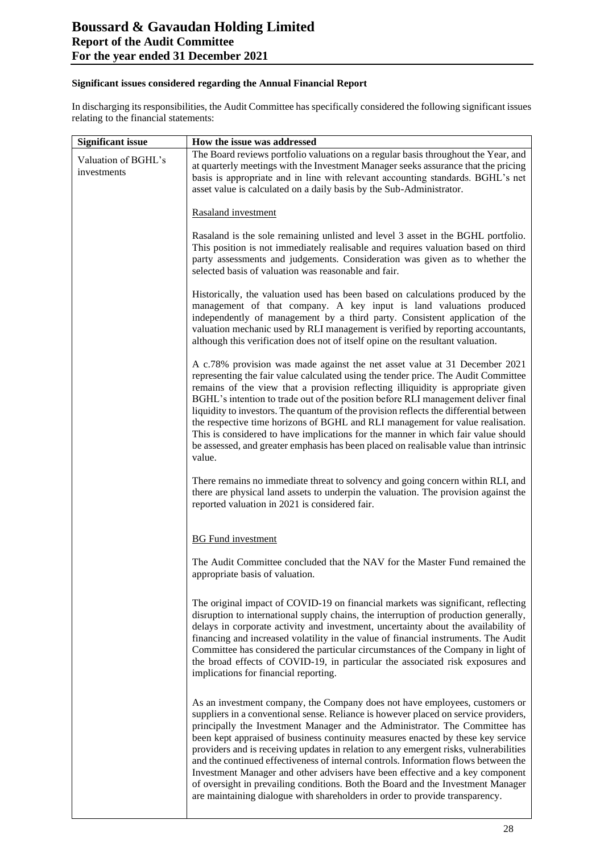# **Significant issues considered regarding the Annual Financial Report**

In discharging its responsibilities, the Audit Committee has specifically considered the following significant issues relating to the financial statements:

| <b>Significant issue</b>           | How the issue was addressed                                                                                                                                                                                                                                                                                                                                                                                                                                                                                                                                                                                                                                                                                                                                                |  |
|------------------------------------|----------------------------------------------------------------------------------------------------------------------------------------------------------------------------------------------------------------------------------------------------------------------------------------------------------------------------------------------------------------------------------------------------------------------------------------------------------------------------------------------------------------------------------------------------------------------------------------------------------------------------------------------------------------------------------------------------------------------------------------------------------------------------|--|
| Valuation of BGHL's<br>investments | The Board reviews portfolio valuations on a regular basis throughout the Year, and<br>at quarterly meetings with the Investment Manager seeks assurance that the pricing<br>basis is appropriate and in line with relevant accounting standards. BGHL's net<br>asset value is calculated on a daily basis by the Sub-Administrator.                                                                                                                                                                                                                                                                                                                                                                                                                                        |  |
|                                    | Rasaland investment                                                                                                                                                                                                                                                                                                                                                                                                                                                                                                                                                                                                                                                                                                                                                        |  |
|                                    | Rasaland is the sole remaining unlisted and level 3 asset in the BGHL portfolio.<br>This position is not immediately realisable and requires valuation based on third<br>party assessments and judgements. Consideration was given as to whether the<br>selected basis of valuation was reasonable and fair.                                                                                                                                                                                                                                                                                                                                                                                                                                                               |  |
|                                    | Historically, the valuation used has been based on calculations produced by the<br>management of that company. A key input is land valuations produced<br>independently of management by a third party. Consistent application of the<br>valuation mechanic used by RLI management is verified by reporting accountants,<br>although this verification does not of itself opine on the resultant valuation.                                                                                                                                                                                                                                                                                                                                                                |  |
|                                    | A c.78% provision was made against the net asset value at 31 December 2021<br>representing the fair value calculated using the tender price. The Audit Committee<br>remains of the view that a provision reflecting illiquidity is appropriate given<br>BGHL's intention to trade out of the position before RLI management deliver final<br>liquidity to investors. The quantum of the provision reflects the differential between<br>the respective time horizons of BGHL and RLI management for value realisation.<br>This is considered to have implications for the manner in which fair value should<br>be assessed, and greater emphasis has been placed on realisable value than intrinsic<br>value.                                                               |  |
|                                    | There remains no immediate threat to solvency and going concern within RLI, and<br>there are physical land assets to underpin the valuation. The provision against the<br>reported valuation in 2021 is considered fair.                                                                                                                                                                                                                                                                                                                                                                                                                                                                                                                                                   |  |
|                                    | <b>BG</b> Fund investment                                                                                                                                                                                                                                                                                                                                                                                                                                                                                                                                                                                                                                                                                                                                                  |  |
|                                    | The Audit Committee concluded that the NAV for the Master Fund remained the<br>appropriate basis of valuation.                                                                                                                                                                                                                                                                                                                                                                                                                                                                                                                                                                                                                                                             |  |
|                                    | The original impact of COVID-19 on financial markets was significant, reflecting<br>disruption to international supply chains, the interruption of production generally,<br>delays in corporate activity and investment, uncertainty about the availability of<br>financing and increased volatility in the value of financial instruments. The Audit<br>Committee has considered the particular circumstances of the Company in light of<br>the broad effects of COVID-19, in particular the associated risk exposures and<br>implications for financial reporting.                                                                                                                                                                                                       |  |
|                                    | As an investment company, the Company does not have employees, customers or<br>suppliers in a conventional sense. Reliance is however placed on service providers,<br>principally the Investment Manager and the Administrator. The Committee has<br>been kept appraised of business continuity measures enacted by these key service<br>providers and is receiving updates in relation to any emergent risks, vulnerabilities<br>and the continued effectiveness of internal controls. Information flows between the<br>Investment Manager and other advisers have been effective and a key component<br>of oversight in prevailing conditions. Both the Board and the Investment Manager<br>are maintaining dialogue with shareholders in order to provide transparency. |  |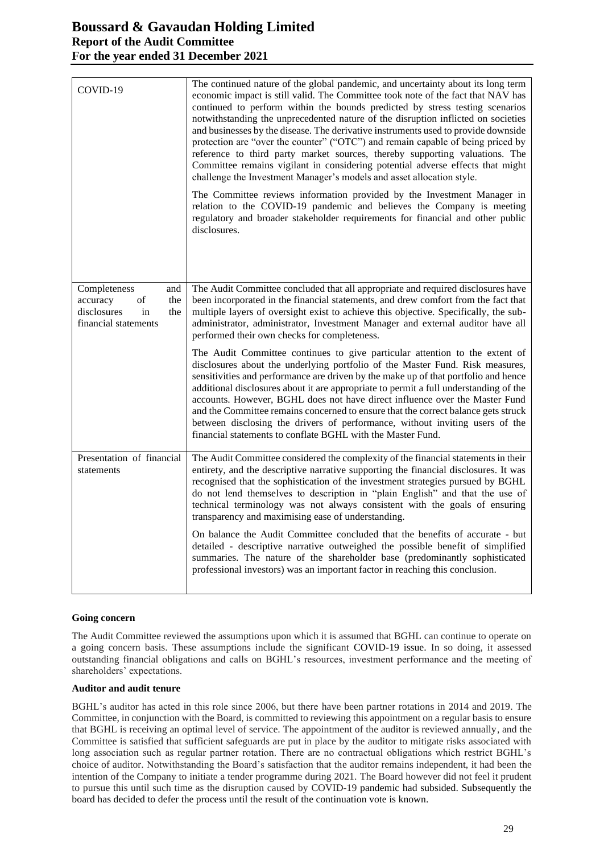# **Boussard & Gavaudan Holding Limited Report of the Audit Committee For the year ended 31 December 2021**

| COVID-19                                                                                         | The continued nature of the global pandemic, and uncertainty about its long term<br>economic impact is still valid. The Committee took note of the fact that NAV has<br>continued to perform within the bounds predicted by stress testing scenarios<br>notwithstanding the unprecedented nature of the disruption inflicted on societies<br>and businesses by the disease. The derivative instruments used to provide downside<br>protection are "over the counter" ("OTC") and remain capable of being priced by<br>reference to third party market sources, thereby supporting valuations. The<br>Committee remains vigilant in considering potential adverse effects that might<br>challenge the Investment Manager's models and asset allocation style. |
|--------------------------------------------------------------------------------------------------|--------------------------------------------------------------------------------------------------------------------------------------------------------------------------------------------------------------------------------------------------------------------------------------------------------------------------------------------------------------------------------------------------------------------------------------------------------------------------------------------------------------------------------------------------------------------------------------------------------------------------------------------------------------------------------------------------------------------------------------------------------------|
|                                                                                                  | The Committee reviews information provided by the Investment Manager in<br>relation to the COVID-19 pandemic and believes the Company is meeting<br>regulatory and broader stakeholder requirements for financial and other public<br>disclosures.                                                                                                                                                                                                                                                                                                                                                                                                                                                                                                           |
| Completeness<br>and<br>of<br>accuracy<br>the<br>disclosures<br>in<br>the<br>financial statements | The Audit Committee concluded that all appropriate and required disclosures have<br>been incorporated in the financial statements, and drew comfort from the fact that<br>multiple layers of oversight exist to achieve this objective. Specifically, the sub-<br>administrator, administrator, Investment Manager and external auditor have all<br>performed their own checks for completeness.                                                                                                                                                                                                                                                                                                                                                             |
|                                                                                                  | The Audit Committee continues to give particular attention to the extent of<br>disclosures about the underlying portfolio of the Master Fund. Risk measures,<br>sensitivities and performance are driven by the make up of that portfolio and hence<br>additional disclosures about it are appropriate to permit a full understanding of the<br>accounts. However, BGHL does not have direct influence over the Master Fund<br>and the Committee remains concerned to ensure that the correct balance gets struck<br>between disclosing the drivers of performance, without inviting users of the<br>financial statements to conflate BGHL with the Master Fund.                                                                                             |
| Presentation of financial<br>statements                                                          | The Audit Committee considered the complexity of the financial statements in their<br>entirety, and the descriptive narrative supporting the financial disclosures. It was<br>recognised that the sophistication of the investment strategies pursued by BGHL<br>do not lend themselves to description in "plain English" and that the use of<br>technical terminology was not always consistent with the goals of ensuring<br>transparency and maximising ease of understanding.                                                                                                                                                                                                                                                                            |
|                                                                                                  | On balance the Audit Committee concluded that the benefits of accurate - but<br>detailed - descriptive narrative outweighed the possible benefit of simplified<br>summaries. The nature of the shareholder base (predominantly sophisticated<br>professional investors) was an important factor in reaching this conclusion.                                                                                                                                                                                                                                                                                                                                                                                                                                 |

#### **Going concern**

The Audit Committee reviewed the assumptions upon which it is assumed that BGHL can continue to operate on a going concern basis. These assumptions include the significant COVID-19 issue. In so doing, it assessed outstanding financial obligations and calls on BGHL's resources, investment performance and the meeting of shareholders' expectations.

#### **Auditor and audit tenure**

BGHL's auditor has acted in this role since 2006, but there have been partner rotations in 2014 and 2019. The Committee, in conjunction with the Board, is committed to reviewing this appointment on a regular basis to ensure that BGHL is receiving an optimal level of service. The appointment of the auditor is reviewed annually, and the Committee is satisfied that sufficient safeguards are put in place by the auditor to mitigate risks associated with long association such as regular partner rotation. There are no contractual obligations which restrict BGHL's choice of auditor. Notwithstanding the Board's satisfaction that the auditor remains independent, it had been the intention of the Company to initiate a tender programme during 2021. The Board however did not feel it prudent to pursue this until such time as the disruption caused by COVID-19 pandemic had subsided. Subsequently the board has decided to defer the process until the result of the continuation vote is known.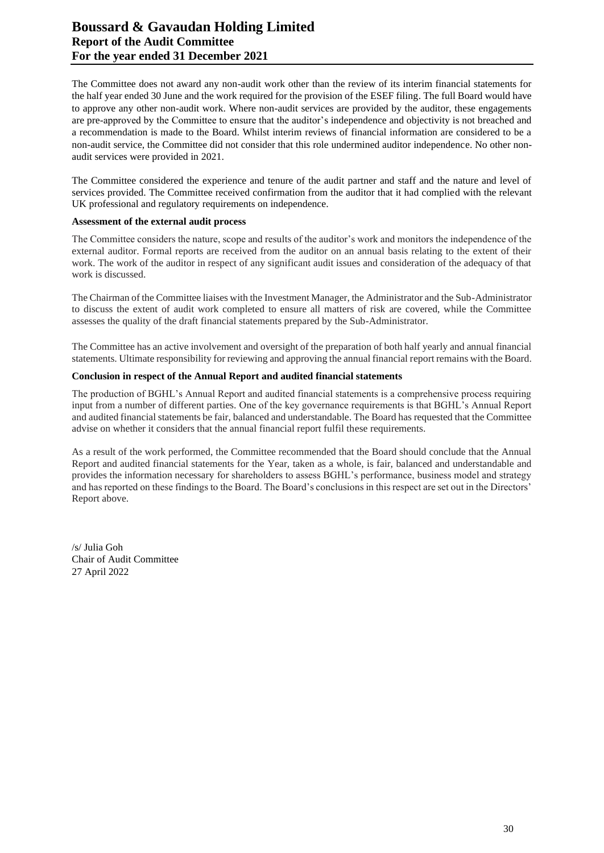# **Boussard & Gavaudan Holding Limited Report of the Audit Committee For the year ended 31 December 2021**

The Committee does not award any non-audit work other than the review of its interim financial statements for the half year ended 30 June and the work required for the provision of the ESEF filing. The full Board would have to approve any other non-audit work. Where non-audit services are provided by the auditor, these engagements are pre-approved by the Committee to ensure that the auditor's independence and objectivity is not breached and a recommendation is made to the Board. Whilst interim reviews of financial information are considered to be a non-audit service, the Committee did not consider that this role undermined auditor independence. No other nonaudit services were provided in 2021.

The Committee considered the experience and tenure of the audit partner and staff and the nature and level of services provided. The Committee received confirmation from the auditor that it had complied with the relevant UK professional and regulatory requirements on independence.

#### **Assessment of the external audit process**

The Committee considers the nature, scope and results of the auditor's work and monitors the independence of the external auditor. Formal reports are received from the auditor on an annual basis relating to the extent of their work. The work of the auditor in respect of any significant audit issues and consideration of the adequacy of that work is discussed.

The Chairman of the Committee liaises with the Investment Manager, the Administrator and the Sub-Administrator to discuss the extent of audit work completed to ensure all matters of risk are covered, while the Committee assesses the quality of the draft financial statements prepared by the Sub-Administrator.

The Committee has an active involvement and oversight of the preparation of both half yearly and annual financial statements. Ultimate responsibility for reviewing and approving the annual financial report remains with the Board.

#### **Conclusion in respect of the Annual Report and audited financial statements**

The production of BGHL's Annual Report and audited financial statements is a comprehensive process requiring input from a number of different parties. One of the key governance requirements is that BGHL's Annual Report and audited financial statements be fair, balanced and understandable. The Board has requested that the Committee advise on whether it considers that the annual financial report fulfil these requirements.

As a result of the work performed, the Committee recommended that the Board should conclude that the Annual Report and audited financial statements for the Year, taken as a whole, is fair, balanced and understandable and provides the information necessary for shareholders to assess BGHL's performance, business model and strategy and has reported on these findings to the Board. The Board's conclusions in this respect are set out in the Directors' Report above.

/s/ Julia Goh Chair of Audit Committee 27 April 2022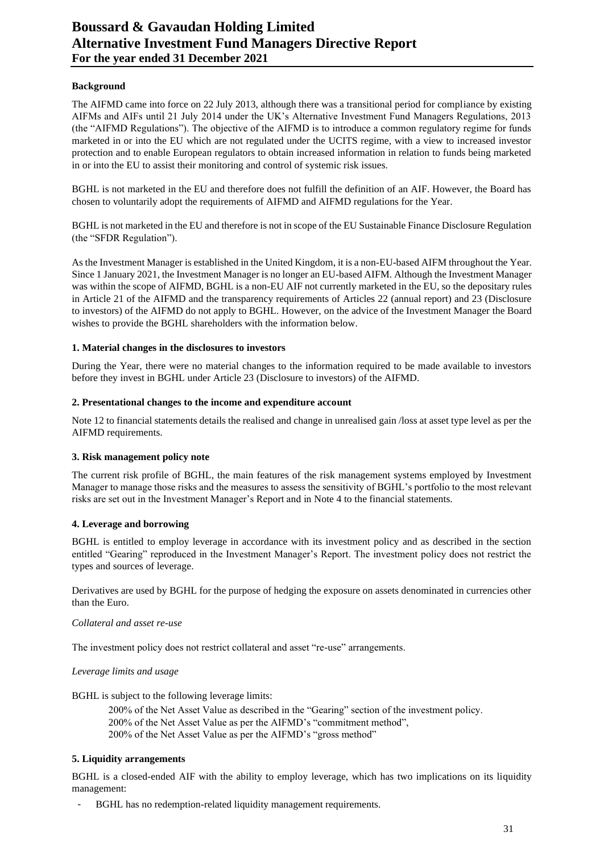# **Boussard & Gavaudan Holding Limited Alternative Investment Fund Managers Directive Report For the year ended 31 December 2021**

#### **Background**

The AIFMD came into force on 22 July 2013, although there was a transitional period for compliance by existing AIFMs and AIFs until 21 July 2014 under the UK's Alternative Investment Fund Managers Regulations, 2013 (the "AIFMD Regulations"). The objective of the AIFMD is to introduce a common regulatory regime for funds marketed in or into the EU which are not regulated under the UCITS regime, with a view to increased investor protection and to enable European regulators to obtain increased information in relation to funds being marketed in or into the EU to assist their monitoring and control of systemic risk issues.

BGHL is not marketed in the EU and therefore does not fulfill the definition of an AIF. However, the Board has chosen to voluntarily adopt the requirements of AIFMD and AIFMD regulations for the Year.

BGHL is not marketed in the EU and therefore is not in scope of the EU Sustainable Finance Disclosure Regulation (the "SFDR Regulation").

As the Investment Manager is established in the United Kingdom, it is a non-EU-based AIFM throughout the Year. Since 1 January 2021, the Investment Manager is no longer an EU-based AIFM. Although the Investment Manager was within the scope of AIFMD, BGHL is a non-EU AIF not currently marketed in the EU, so the depositary rules in Article 21 of the AIFMD and the transparency requirements of Articles 22 (annual report) and 23 (Disclosure to investors) of the AIFMD do not apply to BGHL. However, on the advice of the Investment Manager the Board wishes to provide the BGHL shareholders with the information below.

#### **1. Material changes in the disclosures to investors**

During the Year, there were no material changes to the information required to be made available to investors before they invest in BGHL under Article 23 (Disclosure to investors) of the AIFMD.

#### **2. Presentational changes to the income and expenditure account**

Note 12 to financial statements details the realised and change in unrealised gain /loss at asset type level as per the AIFMD requirements.

#### **3. Risk management policy note**

The current risk profile of BGHL, the main features of the risk management systems employed by Investment Manager to manage those risks and the measures to assess the sensitivity of BGHL's portfolio to the most relevant risks are set out in the Investment Manager's Report and in Note 4 to the financial statements.

#### **4. Leverage and borrowing**

BGHL is entitled to employ leverage in accordance with its investment policy and as described in the section entitled "Gearing" reproduced in the Investment Manager's Report. The investment policy does not restrict the types and sources of leverage.

Derivatives are used by BGHL for the purpose of hedging the exposure on assets denominated in currencies other than the Euro.

#### *Collateral and asset re-use*

The investment policy does not restrict collateral and asset "re-use" arrangements.

#### *Leverage limits and usage*

BGHL is subject to the following leverage limits:

200% of the Net Asset Value as described in the "Gearing" section of the investment policy. 200% of the Net Asset Value as per the AIFMD's "commitment method", 200% of the Net Asset Value as per the AIFMD's "gross method"

## **5. Liquidity arrangements**

BGHL is a closed-ended AIF with the ability to employ leverage, which has two implications on its liquidity management:

BGHL has no redemption-related liquidity management requirements.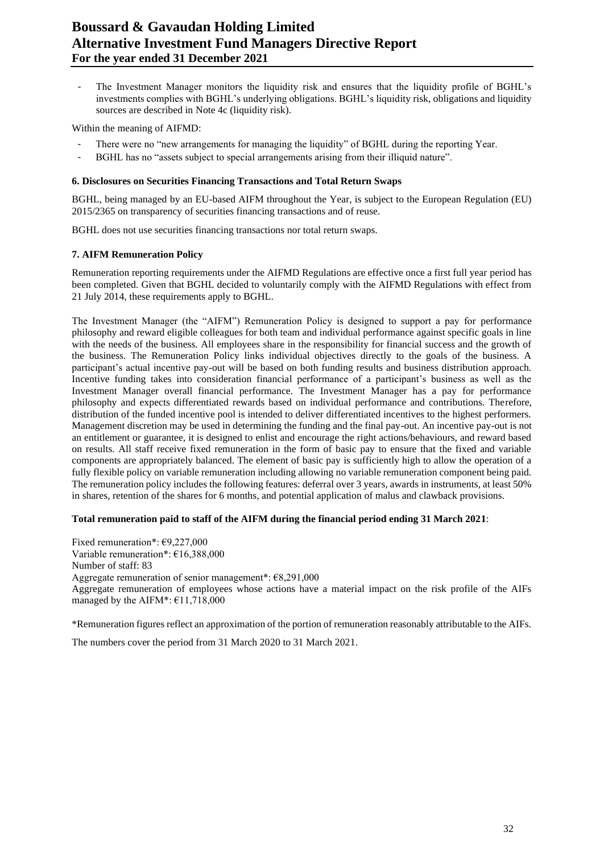# **Boussard & Gavaudan Holding Limited Alternative Investment Fund Managers Directive Report For the year ended 31 December 2021**

- The Investment Manager monitors the liquidity risk and ensures that the liquidity profile of BGHL's investments complies with BGHL's underlying obligations. BGHL's liquidity risk, obligations and liquidity sources are described in Note 4c (liquidity risk).

Within the meaning of AIFMD:

- There were no "new arrangements for managing the liquidity" of BGHL during the reporting Year.
- BGHL has no "assets subject to special arrangements arising from their illiquid nature".

#### **6. Disclosures on Securities Financing Transactions and Total Return Swaps**

BGHL, being managed by an EU-based AIFM throughout the Year, is subject to the European Regulation (EU) 2015/2365 on transparency of securities financing transactions and of reuse.

BGHL does not use securities financing transactions nor total return swaps.

#### **7. AIFM Remuneration Policy**

Remuneration reporting requirements under the AIFMD Regulations are effective once a first full year period has been completed. Given that BGHL decided to voluntarily comply with the AIFMD Regulations with effect from 21 July 2014, these requirements apply to BGHL.

The Investment Manager (the "AIFM") Remuneration Policy is designed to support a pay for performance philosophy and reward eligible colleagues for both team and individual performance against specific goals in line with the needs of the business. All employees share in the responsibility for financial success and the growth of the business. The Remuneration Policy links individual objectives directly to the goals of the business. A participant's actual incentive pay-out will be based on both funding results and business distribution approach. Incentive funding takes into consideration financial performance of a participant's business as well as the Investment Manager overall financial performance. The Investment Manager has a pay for performance philosophy and expects differentiated rewards based on individual performance and contributions. Therefore, distribution of the funded incentive pool is intended to deliver differentiated incentives to the highest performers. Management discretion may be used in determining the funding and the final pay-out. An incentive pay-out is not an entitlement or guarantee, it is designed to enlist and encourage the right actions/behaviours, and reward based on results. All staff receive fixed remuneration in the form of basic pay to ensure that the fixed and variable components are appropriately balanced. The element of basic pay is sufficiently high to allow the operation of a fully flexible policy on variable remuneration including allowing no variable remuneration component being paid. The remuneration policy includes the following features: deferral over 3 years, awards in instruments, at least 50% in shares, retention of the shares for 6 months, and potential application of malus and clawback provisions.

#### **Total remuneration paid to staff of the AIFM during the financial period ending 31 March 2021**:

Fixed remuneration\*: €9,227,000 Variable remuneration\*: €16,388,000 Number of staff: 83 Aggregate remuneration of senior management\*: €8,291,000 Aggregate remuneration of employees whose actions have a material impact on the risk profile of the AIFs managed by the AIFM\*:  $£11,718,000$ 

\*Remuneration figures reflect an approximation of the portion of remuneration reasonably attributable to the AIFs.

The numbers cover the period from 31 March 2020 to 31 March 2021.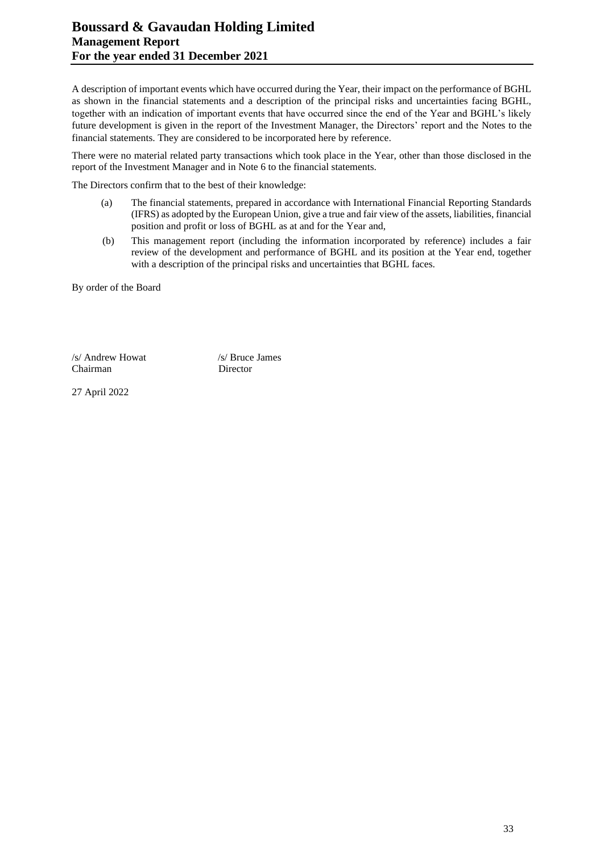A description of important events which have occurred during the Year, their impact on the performance of BGHL as shown in the financial statements and a description of the principal risks and uncertainties facing BGHL, together with an indication of important events that have occurred since the end of the Year and BGHL's likely future development is given in the report of the Investment Manager, the Directors' report and the Notes to the financial statements. They are considered to be incorporated here by reference.

There were no material related party transactions which took place in the Year, other than those disclosed in the report of the Investment Manager and in Note 6 to the financial statements.

The Directors confirm that to the best of their knowledge:

- (a) The financial statements, prepared in accordance with International Financial Reporting Standards (IFRS) as adopted by the European Union, give a true and fair view of the assets, liabilities, financial position and profit or loss of BGHL as at and for the Year and,
- (b) This management report (including the information incorporated by reference) includes a fair review of the development and performance of BGHL and its position at the Year end, together with a description of the principal risks and uncertainties that BGHL faces.

By order of the Board

/s/ Andrew Howat /s/ Bruce James Chairman Director

27 April 2022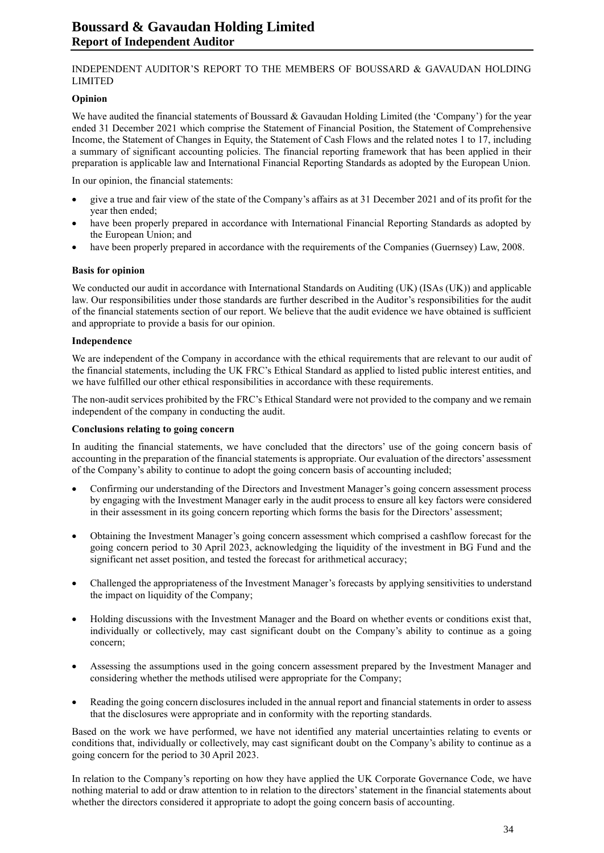## INDEPENDENT AUDITOR'S REPORT TO THE MEMBERS OF BOUSSARD & GAVAUDAN HOLDING LIMITED

#### **Opinion**

We have audited the financial statements of Boussard & Gavaudan Holding Limited (the 'Company') for the year ended 31 December 2021 which comprise the Statement of Financial Position, the Statement of Comprehensive Income, the Statement of Changes in Equity, the Statement of Cash Flows and the related notes 1 to 17, including a summary of significant accounting policies. The financial reporting framework that has been applied in their preparation is applicable law and International Financial Reporting Standards as adopted by the European Union.

In our opinion, the financial statements:

- give a true and fair view of the state of the Company's affairs as at 31 December 2021 and of its profit for the year then ended;
- have been properly prepared in accordance with International Financial Reporting Standards as adopted by the European Union; and
- have been properly prepared in accordance with the requirements of the Companies (Guernsey) Law, 2008.

## **Basis for opinion**

We conducted our audit in accordance with International Standards on Auditing (UK) (ISAs (UK)) and applicable law. Our responsibilities under those standards are further described in the Auditor's responsibilities for the audit of the financial statements section of our report. We believe that the audit evidence we have obtained is sufficient and appropriate to provide a basis for our opinion.

## **Independence**

We are independent of the Company in accordance with the ethical requirements that are relevant to our audit of the financial statements, including the UK FRC's Ethical Standard as applied to listed public interest entities, and we have fulfilled our other ethical responsibilities in accordance with these requirements.

The non-audit services prohibited by the FRC's Ethical Standard were not provided to the company and we remain independent of the company in conducting the audit.

#### **Conclusions relating to going concern**

In auditing the financial statements, we have concluded that the directors' use of the going concern basis of accounting in the preparation of the financial statements is appropriate. Our evaluation of the directors' assessment of the Company's ability to continue to adopt the going concern basis of accounting included;

- Confirming our understanding of the Directors and Investment Manager's going concern assessment process by engaging with the Investment Manager early in the audit process to ensure all key factors were considered in their assessment in its going concern reporting which forms the basis for the Directors' assessment;
- Obtaining the Investment Manager's going concern assessment which comprised a cashflow forecast for the going concern period to 30 April 2023, acknowledging the liquidity of the investment in BG Fund and the significant net asset position, and tested the forecast for arithmetical accuracy;
- Challenged the appropriateness of the Investment Manager's forecasts by applying sensitivities to understand the impact on liquidity of the Company;
- Holding discussions with the Investment Manager and the Board on whether events or conditions exist that, individually or collectively, may cast significant doubt on the Company's ability to continue as a going concern;
- Assessing the assumptions used in the going concern assessment prepared by the Investment Manager and considering whether the methods utilised were appropriate for the Company;
- Reading the going concern disclosures included in the annual report and financial statements in order to assess that the disclosures were appropriate and in conformity with the reporting standards.

Based on the work we have performed, we have not identified any material uncertainties relating to events or conditions that, individually or collectively, may cast significant doubt on the Company's ability to continue as a going concern for the period to 30 April 2023.

In relation to the Company's reporting on how they have applied the UK Corporate Governance Code, we have nothing material to add or draw attention to in relation to the directors' statement in the financial statements about whether the directors considered it appropriate to adopt the going concern basis of accounting.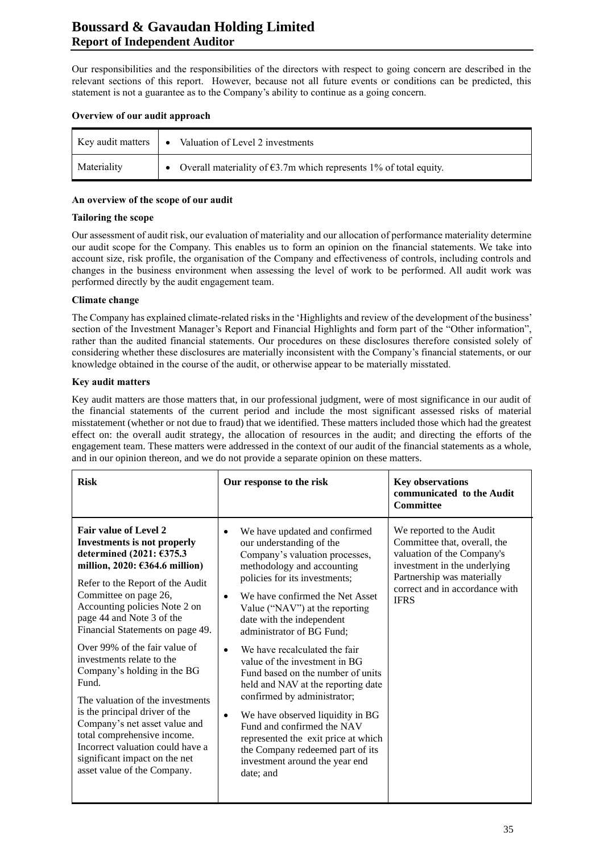# **Boussard & Gavaudan Holding Limited Report of Independent Auditor**

Our responsibilities and the responsibilities of the directors with respect to going concern are described in the relevant sections of this report. However, because not all future events or conditions can be predicted, this statement is not a guarantee as to the Company's ability to continue as a going concern.

## **Overview of our audit approach**

| Key audit matters | • Valuation of Level 2 investments                                            |
|-------------------|-------------------------------------------------------------------------------|
| Materiality       | • Overall materiality of $\epsilon$ 3.7m which represents 1% of total equity. |

## **An overview of the scope of our audit**

## **Tailoring the scope**

Our assessment of audit risk, our evaluation of materiality and our allocation of performance materiality determine our audit scope for the Company. This enables us to form an opinion on the financial statements. We take into account size, risk profile, the organisation of the Company and effectiveness of controls, including controls and changes in the business environment when assessing the level of work to be performed. All audit work was performed directly by the audit engagement team.

# **Climate change**

The Company has explained climate-related risks in the 'Highlights and review of the development of the business' section of the Investment Manager's Report and Financial Highlights and form part of the "Other information", rather than the audited financial statements. Our procedures on these disclosures therefore consisted solely of considering whether these disclosures are materially inconsistent with the Company's financial statements, or our knowledge obtained in the course of the audit, or otherwise appear to be materially misstated.

## **Key audit matters**

Key audit matters are those matters that, in our professional judgment, were of most significance in our audit of the financial statements of the current period and include the most significant assessed risks of material misstatement (whether or not due to fraud) that we identified. These matters included those which had the greatest effect on: the overall audit strategy, the allocation of resources in the audit; and directing the efforts of the engagement team. These matters were addressed in the context of our audit of the financial statements as a whole, and in our opinion thereon, and we do not provide a separate opinion on these matters.

| <b>Risk</b>                                                                                                                                                                                                                                                                                                                                                                                                                                                                                                                                                                                                                                               | Our response to the risk                                                                                                                                                                                                                                                                                                                                                                                                                                                                                                                                                                                                                                                                                 | <b>Key observations</b><br>communicated to the Audit<br><b>Committee</b>                                                                                                                              |
|-----------------------------------------------------------------------------------------------------------------------------------------------------------------------------------------------------------------------------------------------------------------------------------------------------------------------------------------------------------------------------------------------------------------------------------------------------------------------------------------------------------------------------------------------------------------------------------------------------------------------------------------------------------|----------------------------------------------------------------------------------------------------------------------------------------------------------------------------------------------------------------------------------------------------------------------------------------------------------------------------------------------------------------------------------------------------------------------------------------------------------------------------------------------------------------------------------------------------------------------------------------------------------------------------------------------------------------------------------------------------------|-------------------------------------------------------------------------------------------------------------------------------------------------------------------------------------------------------|
| <b>Fair value of Level 2</b><br><b>Investments is not properly</b><br>determined (2021: €375.3<br>million, 2020: $\epsilon$ 364.6 million)<br>Refer to the Report of the Audit<br>Committee on page 26,<br>Accounting policies Note 2 on<br>page 44 and Note 3 of the<br>Financial Statements on page 49.<br>Over 99% of the fair value of<br>investments relate to the<br>Company's holding in the BG<br>Fund.<br>The valuation of the investments<br>is the principal driver of the<br>Company's net asset value and<br>total comprehensive income.<br>Incorrect valuation could have a<br>significant impact on the net<br>asset value of the Company. | We have updated and confirmed<br>our understanding of the<br>Company's valuation processes,<br>methodology and accounting<br>policies for its investments;<br>We have confirmed the Net Asset<br>$\bullet$<br>Value ("NAV") at the reporting<br>date with the independent<br>administrator of BG Fund;<br>We have recalculated the fair<br>$\bullet$<br>value of the investment in BG<br>Fund based on the number of units<br>held and NAV at the reporting date<br>confirmed by administrator;<br>We have observed liquidity in BG<br>$\bullet$<br>Fund and confirmed the NAV<br>represented the exit price at which<br>the Company redeemed part of its<br>investment around the year end<br>date; and | We reported to the Audit<br>Committee that, overall, the<br>valuation of the Company's<br>investment in the underlying<br>Partnership was materially<br>correct and in accordance with<br><b>IFRS</b> |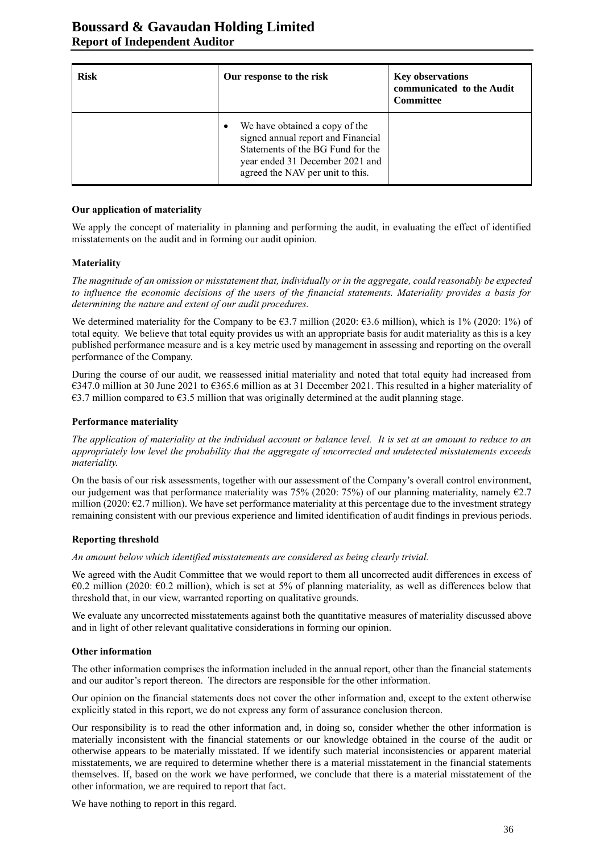| <b>Risk</b> | Our response to the risk                                                                                                                                                                      | <b>Key observations</b><br>communicated to the Audit<br><b>Committee</b> |
|-------------|-----------------------------------------------------------------------------------------------------------------------------------------------------------------------------------------------|--------------------------------------------------------------------------|
|             | We have obtained a copy of the<br>$\bullet$<br>signed annual report and Financial<br>Statements of the BG Fund for the<br>year ended 31 December 2021 and<br>agreed the NAV per unit to this. |                                                                          |

#### **Our application of materiality**

We apply the concept of materiality in planning and performing the audit, in evaluating the effect of identified misstatements on the audit and in forming our audit opinion.

#### **Materiality**

*The magnitude of an omission or misstatement that, individually or in the aggregate, could reasonably be expected to influence the economic decisions of the users of the financial statements. Materiality provides a basis for determining the nature and extent of our audit procedures.*

We determined materiality for the Company to be  $63.7$  million (2020:  $63.6$  million), which is 1% (2020: 1%) of total equity. We believe that total equity provides us with an appropriate basis for audit materiality as this is a key published performance measure and is a key metric used by management in assessing and reporting on the overall performance of the Company.

During the course of our audit, we reassessed initial materiality and noted that total equity had increased from €347.0 million at 30 June 2021 to €365.6 million as at 31 December 2021. This resulted in a higher materiality of  $€3.7$  million compared to  $€3.5$  million that was originally determined at the audit planning stage.

#### **Performance materiality**

*The application of materiality at the individual account or balance level. It is set at an amount to reduce to an appropriately low level the probability that the aggregate of uncorrected and undetected misstatements exceeds materiality.*

On the basis of our risk assessments, together with our assessment of the Company's overall control environment, our judgement was that performance materiality was 75% (2020: 75%) of our planning materiality, namely  $\epsilon$ 2.7 million (2020: €2.7 million). We have set performance materiality at this percentage due to the investment strategy remaining consistent with our previous experience and limited identification of audit findings in previous periods.

#### **Reporting threshold**

*An amount below which identified misstatements are considered as being clearly trivial.*

We agreed with the Audit Committee that we would report to them all uncorrected audit differences in excess of €0.2 million (2020: €0.2 million), which is set at 5% of planning materiality, as well as differences below that threshold that, in our view, warranted reporting on qualitative grounds.

We evaluate any uncorrected misstatements against both the quantitative measures of materiality discussed above and in light of other relevant qualitative considerations in forming our opinion.

#### **Other information**

The other information comprises the information included in the annual report, other than the financial statements and our auditor's report thereon. The directors are responsible for the other information.

Our opinion on the financial statements does not cover the other information and, except to the extent otherwise explicitly stated in this report, we do not express any form of assurance conclusion thereon.

Our responsibility is to read the other information and, in doing so, consider whether the other information is materially inconsistent with the financial statements or our knowledge obtained in the course of the audit or otherwise appears to be materially misstated. If we identify such material inconsistencies or apparent material misstatements, we are required to determine whether there is a material misstatement in the financial statements themselves. If, based on the work we have performed, we conclude that there is a material misstatement of the other information, we are required to report that fact.

We have nothing to report in this regard.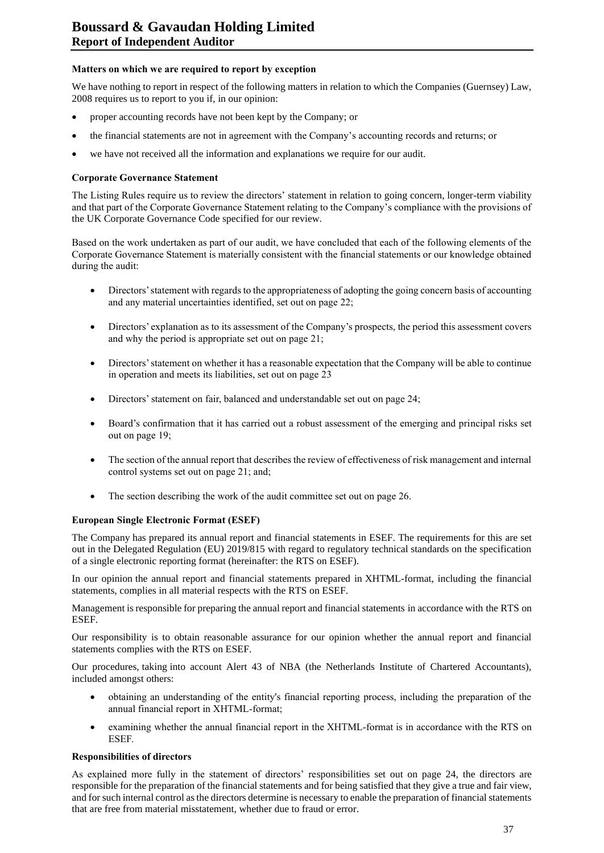# **Matters on which we are required to report by exception**

We have nothing to report in respect of the following matters in relation to which the Companies (Guernsey) Law, 2008 requires us to report to you if, in our opinion:

- proper accounting records have not been kept by the Company; or
- the financial statements are not in agreement with the Company's accounting records and returns; or
- we have not received all the information and explanations we require for our audit.

#### **Corporate Governance Statement**

The Listing Rules require us to review the directors' statement in relation to going concern, longer-term viability and that part of the Corporate Governance Statement relating to the Company's compliance with the provisions of the UK Corporate Governance Code specified for our review.

Based on the work undertaken as part of our audit, we have concluded that each of the following elements of the Corporate Governance Statement is materially consistent with the financial statements or our knowledge obtained during the audit:

- Directors' statement with regards to the appropriateness of adopting the going concern basis of accounting and any material uncertainties identified, set out on page 22;
- Directors' explanation as to its assessment of the Company's prospects, the period this assessment covers and why the period is appropriate set out on page 21;
- Directors' statement on whether it has a reasonable expectation that the Company will be able to continue in operation and meets its liabilities, set out on page 23
- Directors' statement on fair, balanced and understandable set out on page 24;
- Board's confirmation that it has carried out a robust assessment of the emerging and principal risks set out on page 19;
- The section of the annual report that describes the review of effectiveness of risk management and internal control systems set out on page 21; and;
- The section describing the work of the audit committee set out on page 26.

#### **European Single Electronic Format (ESEF)**

The Company has prepared its annual report and financial statements in ESEF. The requirements for this are set out in the Delegated Regulation (EU) 2019/815 with regard to regulatory technical standards on the specification of a single electronic reporting format (hereinafter: the RTS on ESEF).

In our opinion the annual report and financial statements prepared in XHTML-format, including the financial statements, complies in all material respects with the RTS on ESEF.

Management is responsible for preparing the annual report and financial statements in accordance with the RTS on ESEF.

Our responsibility is to obtain reasonable assurance for our opinion whether the annual report and financial statements complies with the RTS on ESEF.

Our procedures, taking into account Alert 43 of NBA (the Netherlands Institute of Chartered Accountants), included amongst others:

- obtaining an understanding of the entity's financial reporting process, including the preparation of the annual financial report in XHTML-format;
- examining whether the annual financial report in the XHTML-format is in accordance with the RTS on ESEF.

#### **Responsibilities of directors**

As explained more fully in the statement of directors' responsibilities set out on page 24, the directors are responsible for the preparation of the financial statements and for being satisfied that they give a true and fair view, and for such internal control as the directors determine is necessary to enable the preparation of financial statements that are free from material misstatement, whether due to fraud or error.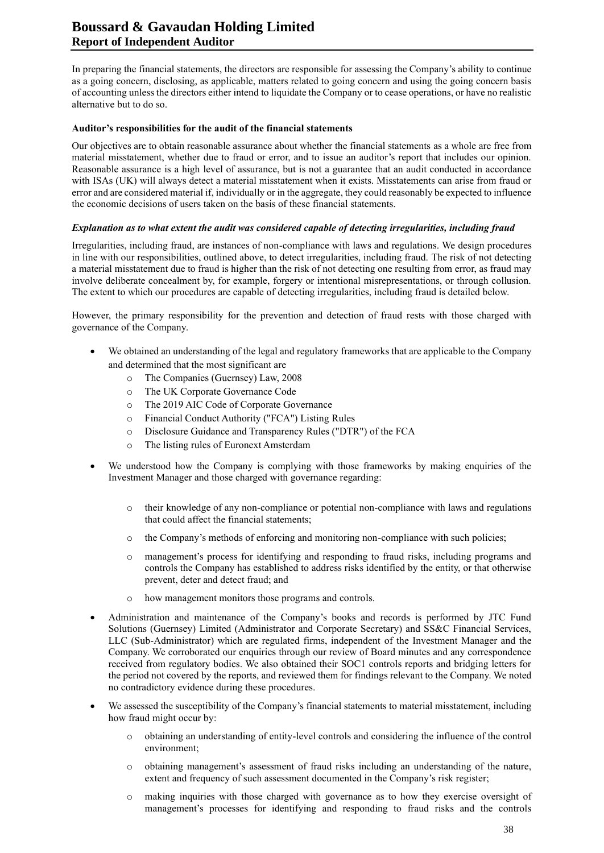# **Boussard & Gavaudan Holding Limited Report of Independent Auditor**

In preparing the financial statements, the directors are responsible for assessing the Company's ability to continue as a going concern, disclosing, as applicable, matters related to going concern and using the going concern basis of accounting unless the directors either intend to liquidate the Company or to cease operations, or have no realistic alternative but to do so.

#### **Auditor's responsibilities for the audit of the financial statements**

Our objectives are to obtain reasonable assurance about whether the financial statements as a whole are free from material misstatement, whether due to fraud or error, and to issue an auditor's report that includes our opinion. Reasonable assurance is a high level of assurance, but is not a guarantee that an audit conducted in accordance with ISAs (UK) will always detect a material misstatement when it exists. Misstatements can arise from fraud or error and are considered material if, individually or in the aggregate, they could reasonably be expected to influence the economic decisions of users taken on the basis of these financial statements.

# *Explanation as to what extent the audit was considered capable of detecting irregularities, including fraud*

Irregularities, including fraud, are instances of non-compliance with laws and regulations. We design procedures in line with our responsibilities, outlined above, to detect irregularities, including fraud. The risk of not detecting a material misstatement due to fraud is higher than the risk of not detecting one resulting from error, as fraud may involve deliberate concealment by, for example, forgery or intentional misrepresentations, or through collusion. The extent to which our procedures are capable of detecting irregularities, including fraud is detailed below.

However, the primary responsibility for the prevention and detection of fraud rests with those charged with governance of the Company.

- We obtained an understanding of the legal and regulatory frameworks that are applicable to the Company and determined that the most significant are
	- o The Companies (Guernsey) Law, 2008
	- o The UK Corporate Governance Code
	- o The 2019 AIC Code of Corporate Governance
	- o Financial Conduct Authority ("FCA") Listing Rules
	- o Disclosure Guidance and Transparency Rules ("DTR") of the FCA
	- o The listing rules of Euronext Amsterdam
- We understood how the Company is complying with those frameworks by making enquiries of the Investment Manager and those charged with governance regarding:
	- o their knowledge of any non-compliance or potential non-compliance with laws and regulations that could affect the financial statements;
	- o the Company's methods of enforcing and monitoring non-compliance with such policies;
	- o management's process for identifying and responding to fraud risks, including programs and controls the Company has established to address risks identified by the entity, or that otherwise prevent, deter and detect fraud; and
	- o how management monitors those programs and controls.
- Administration and maintenance of the Company's books and records is performed by JTC Fund Solutions (Guernsey) Limited (Administrator and Corporate Secretary) and SS&C Financial Services, LLC (Sub-Administrator) which are regulated firms, independent of the Investment Manager and the Company. We corroborated our enquiries through our review of Board minutes and any correspondence received from regulatory bodies. We also obtained their SOC1 controls reports and bridging letters for the period not covered by the reports, and reviewed them for findings relevant to the Company. We noted no contradictory evidence during these procedures.
- We assessed the susceptibility of the Company's financial statements to material misstatement, including how fraud might occur by:
	- o obtaining an understanding of entity-level controls and considering the influence of the control environment;
	- o obtaining management's assessment of fraud risks including an understanding of the nature, extent and frequency of such assessment documented in the Company's risk register;
	- o making inquiries with those charged with governance as to how they exercise oversight of management's processes for identifying and responding to fraud risks and the controls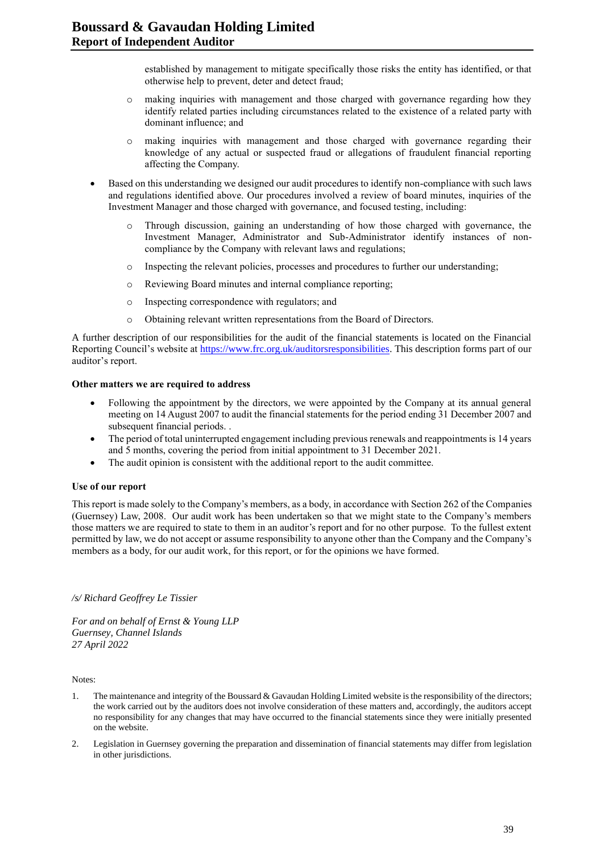established by management to mitigate specifically those risks the entity has identified, or that otherwise help to prevent, deter and detect fraud;

- o making inquiries with management and those charged with governance regarding how they identify related parties including circumstances related to the existence of a related party with dominant influence; and
- o making inquiries with management and those charged with governance regarding their knowledge of any actual or suspected fraud or allegations of fraudulent financial reporting affecting the Company.
- Based on this understanding we designed our audit procedures to identify non-compliance with such laws and regulations identified above. Our procedures involved a review of board minutes, inquiries of the Investment Manager and those charged with governance, and focused testing, including:
	- o Through discussion, gaining an understanding of how those charged with governance, the Investment Manager, Administrator and Sub-Administrator identify instances of noncompliance by the Company with relevant laws and regulations;
	- o Inspecting the relevant policies, processes and procedures to further our understanding;
	- o Reviewing Board minutes and internal compliance reporting;
	- o Inspecting correspondence with regulators; and
	- o Obtaining relevant written representations from the Board of Directors.

A further description of our responsibilities for the audit of the financial statements is located on the Financial Reporting Council's website at [https://www.frc.org.uk/auditorsresponsibilities.](https://www.frc.org.uk/auditorsresponsibilities) This description forms part of our auditor's report.

#### **Other matters we are required to address**

- Following the appointment by the directors, we were appointed by the Company at its annual general meeting on 14 August 2007 to audit the financial statements for the period ending 31 December 2007 and subsequent financial periods. .
- The period of total uninterrupted engagement including previous renewals and reappointments is 14 years and 5 months, covering the period from initial appointment to 31 December 2021.
- The audit opinion is consistent with the additional report to the audit committee.

#### **Use of our report**

This report is made solely to the Company's members, as a body, in accordance with Section 262 of the Companies (Guernsey) Law, 2008. Our audit work has been undertaken so that we might state to the Company's members those matters we are required to state to them in an auditor's report and for no other purpose. To the fullest extent permitted by law, we do not accept or assume responsibility to anyone other than the Company and the Company's members as a body, for our audit work, for this report, or for the opinions we have formed.

#### */s/ Richard Geoffrey Le Tissier*

*For and on behalf of Ernst & Young LLP Guernsey, Channel Islands 27 April 2022*

Notes:

- 1. The maintenance and integrity of the Boussard & Gavaudan Holding Limited website is the responsibility of the directors; the work carried out by the auditors does not involve consideration of these matters and, accordingly, the auditors accept no responsibility for any changes that may have occurred to the financial statements since they were initially presented on the website.
- 2. Legislation in Guernsey governing the preparation and dissemination of financial statements may differ from legislation in other jurisdictions.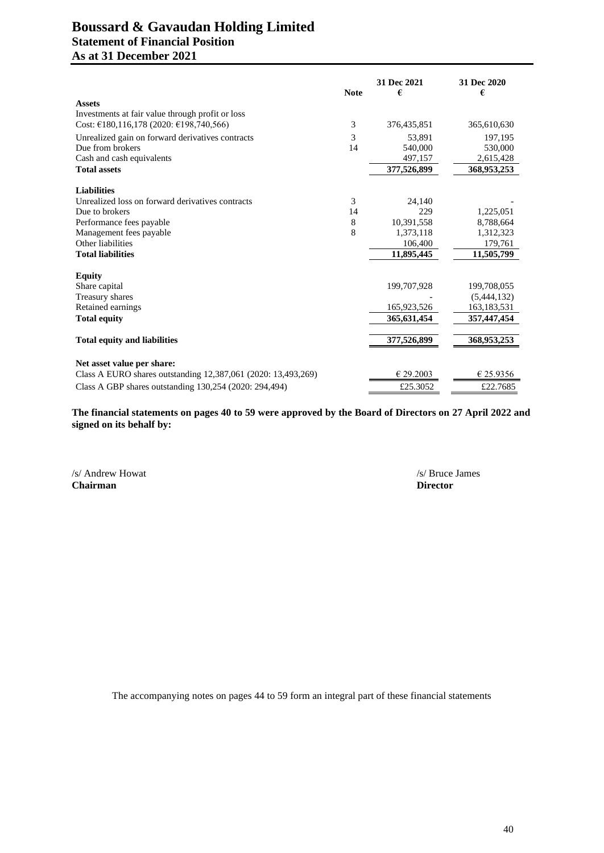# **Boussard & Gavaudan Holding Limited Statement of Financial Position As at 31 December 2021**

|                                                                                             | <b>Note</b> | 31 Dec 2021<br>€ | 31 Dec 2020<br>€ |
|---------------------------------------------------------------------------------------------|-------------|------------------|------------------|
| <b>Assets</b>                                                                               |             |                  |                  |
| Investments at fair value through profit or loss                                            |             |                  |                  |
| Cost: $\text{\textsterling}180,116,178$ (2020: $\text{\textsterling}198,740,566$ )          | 3           | 376, 435, 851    | 365,610,630      |
| Unrealized gain on forward derivatives contracts                                            | 3           | 53.891           | 197.195          |
| Due from brokers                                                                            | 14          | 540,000          | 530,000          |
| Cash and cash equivalents                                                                   |             | 497,157          | 2,615,428        |
| <b>Total assets</b>                                                                         |             | 377,526,899      | 368,953,253      |
| <b>Liabilities</b>                                                                          |             |                  |                  |
| Unrealized loss on forward derivatives contracts                                            | 3           | 24,140           |                  |
| Due to brokers                                                                              | 14          | 229              | 1,225,051        |
| Performance fees payable                                                                    | 8           | 10,391,558       | 8,788,664        |
| Management fees payable                                                                     | 8           | 1,373,118        | 1,312,323        |
| Other liabilities                                                                           |             | 106,400          | 179,761          |
| <b>Total liabilities</b>                                                                    |             | 11,895,445       | 11,505,799       |
|                                                                                             |             |                  |                  |
| <b>Equity</b>                                                                               |             |                  |                  |
| Share capital                                                                               |             | 199,707,928      | 199,708,055      |
| Treasury shares                                                                             |             |                  | (5,444,132)      |
| Retained earnings                                                                           |             | 165,923,526      | 163, 183, 531    |
| <b>Total equity</b>                                                                         |             | 365,631,454      | 357,447,454      |
| <b>Total equity and liabilities</b>                                                         |             | 377,526,899      | 368,953,253      |
|                                                                                             |             |                  |                  |
| Net asset value per share:<br>Class A EURO shares outstanding 12,387,061 (2020: 13,493,269) |             | € 29.2003        | € 25.9356        |
| Class A GBP shares outstanding 130,254 (2020: 294,494)                                      |             | £25.3052         | £22.7685         |

**The financial statements on pages 40 to 59 were approved by the Board of Directors on 27 April 2022 and signed on its behalf by:**

/s/ Andrew Howat /s/ Bruce James /s/ Bruce James /s/ Bruce James /s/ Bruce James /s/ Bruce James /s/ Bruce James /s/ Bruce James /s/ Bruce James /s/ Bruce James /s/ Bruce James /s/ Bruce James /s/ Bruce James /s/ Bruce Jam **Chairman**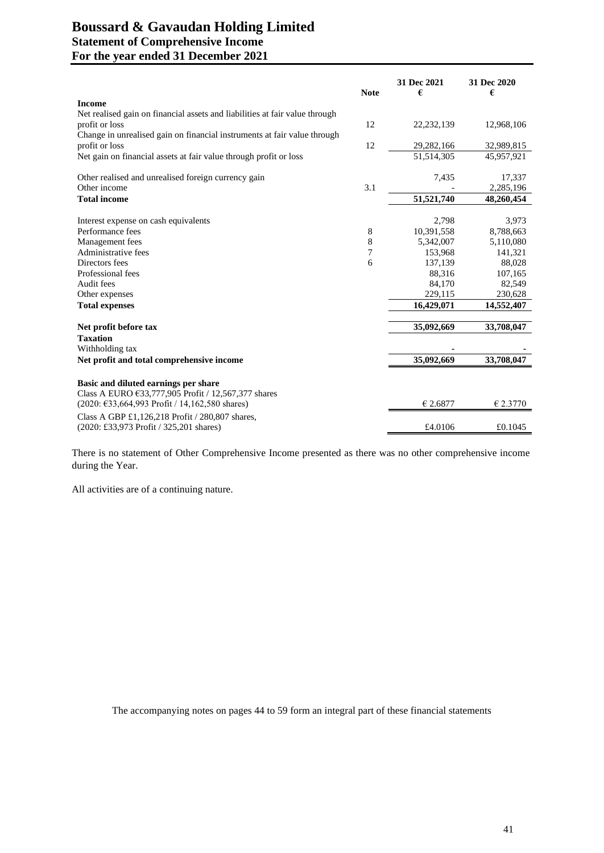# **Boussard & Gavaudan Holding Limited Statement of Comprehensive Income For the year ended 31 December 2021**

|                                                                                                                                                                                                 | <b>Note</b> | 31 Dec 2021<br>€ | 31 Dec 2020<br>€ |
|-------------------------------------------------------------------------------------------------------------------------------------------------------------------------------------------------|-------------|------------------|------------------|
| <b>Income</b>                                                                                                                                                                                   |             |                  |                  |
| Net realised gain on financial assets and liabilities at fair value through                                                                                                                     |             |                  |                  |
| profit or loss                                                                                                                                                                                  | 12          | 22,232,139       | 12,968,106       |
| Change in unrealised gain on financial instruments at fair value through                                                                                                                        |             |                  |                  |
| profit or loss                                                                                                                                                                                  | 12          | 29,282,166       | 32,989,815       |
| Net gain on financial assets at fair value through profit or loss                                                                                                                               |             | 51,514,305       | 45,957,921       |
| Other realised and unrealised foreign currency gain                                                                                                                                             |             | 7,435            | 17,337           |
| Other income                                                                                                                                                                                    | 3.1         |                  | 2,285,196        |
| <b>Total income</b>                                                                                                                                                                             |             | 51,521,740       | 48,260,454       |
|                                                                                                                                                                                                 |             |                  |                  |
| Interest expense on cash equivalents                                                                                                                                                            |             | 2,798            | 3,973            |
| Performance fees                                                                                                                                                                                | 8           | 10,391,558       | 8,788,663        |
| Management fees                                                                                                                                                                                 | 8           | 5,342,007        | 5,110,080        |
| Administrative fees                                                                                                                                                                             | 7           | 153,968          | 141,321          |
| Directors fees                                                                                                                                                                                  | 6           | 137,139          | 88,028           |
| Professional fees                                                                                                                                                                               |             | 88,316           | 107,165          |
| Audit fees                                                                                                                                                                                      |             | 84,170           | 82,549           |
| Other expenses                                                                                                                                                                                  |             | 229,115          | 230,628          |
| <b>Total expenses</b>                                                                                                                                                                           |             | 16,429,071       | 14,552,407       |
| Net profit before tax                                                                                                                                                                           |             | 35,092,669       | 33,708,047       |
| <b>Taxation</b>                                                                                                                                                                                 |             |                  |                  |
| Withholding tax                                                                                                                                                                                 |             |                  |                  |
| Net profit and total comprehensive income                                                                                                                                                       |             | 35,092,669       | 33,708,047       |
| Basic and diluted earnings per share<br>Class A EURO $\text{\textsterling}33,777,905$ Profit / 12,567,377 shares<br>$(2020: \text{£}33, 664, 993 \text{ Profit} / 14, 162, 580 \text{ shares})$ |             | € 2.6877         | € 2.3770         |
| Class A GBP £1,126,218 Profit $/$ 280,807 shares,                                                                                                                                               |             |                  |                  |
| (2020: £33,973 Profit / 325,201 shares)                                                                                                                                                         |             | £4.0106          | £0.1045          |

There is no statement of Other Comprehensive Income presented as there was no other comprehensive income during the Year.

All activities are of a continuing nature.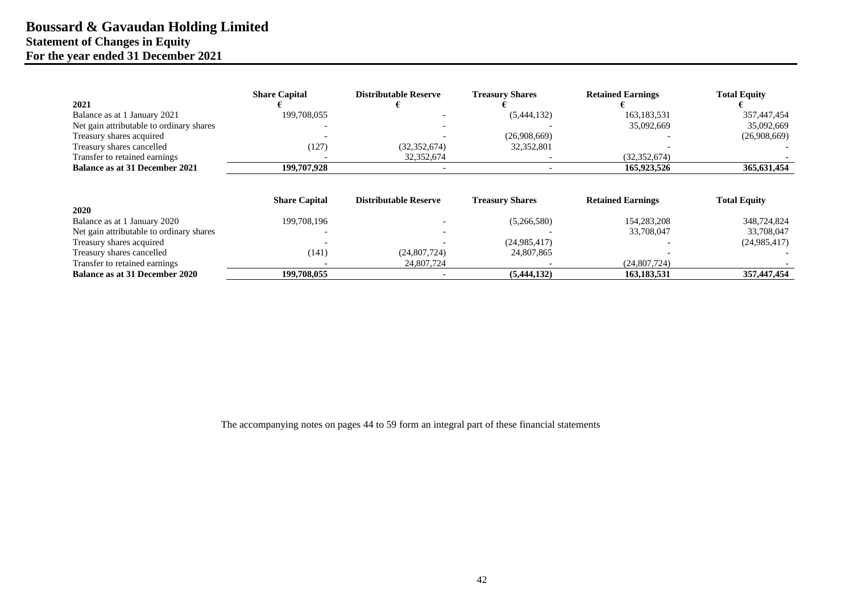# **Boussard & Gavaudan Holding Limited Statement of Changes in Equity For the year ended 31 December 2021**

|                                          | <b>Share Capital</b> | <b>Distributable Reserve</b> | <b>Treasury Shares</b> | <b>Retained Earnings</b> | <b>Total Equity</b> |
|------------------------------------------|----------------------|------------------------------|------------------------|--------------------------|---------------------|
| 2021                                     |                      |                              |                        |                          |                     |
| Balance as at 1 January 2021             | 199,708,055          |                              | (5,444,132)            | 163, 183, 531            | 357,447,454         |
| Net gain attributable to ordinary shares |                      |                              |                        | 35,092,669               | 35,092,669          |
| Treasury shares acquired                 |                      |                              | (26,908,669)           |                          | (26,908,669)        |
| Treasury shares cancelled                | (127)                | (32, 352, 674)               | 32,352,801             |                          |                     |
| Transfer to retained earnings            |                      | 32,352,674                   |                        | (32, 352, 674)           |                     |
| <b>Balance as at 31 December 2021</b>    | 199,707,928          |                              |                        | 165,923,526              | 365,631,454         |
|                                          | <b>Share Capital</b> | <b>Distributable Reserve</b> | <b>Treasury Shares</b> | <b>Retained Earnings</b> | <b>Total Equity</b> |
| 2020                                     |                      |                              |                        |                          |                     |
| Balance as at 1 January 2020             | 199,708,196          |                              | (5,266,580)            | 154,283,208              | 348,724,824         |
| Net gain attributable to ordinary shares |                      |                              |                        | 33,708,047               | 33,708,047          |
| Treasury shares acquired                 |                      |                              | (24,985,417)           |                          | (24, 985, 417)      |
| Treasury shares cancelled                | (141)                | (24,807,724)                 | 24,807,865             |                          |                     |
| Transfer to retained earnings            |                      | 24,807,724                   |                        | (24,807,724)             |                     |
| <b>Balance as at 31 December 2020</b>    | 199,708,055          |                              | (5,444,132)            | 163,183,531              | 357,447,454         |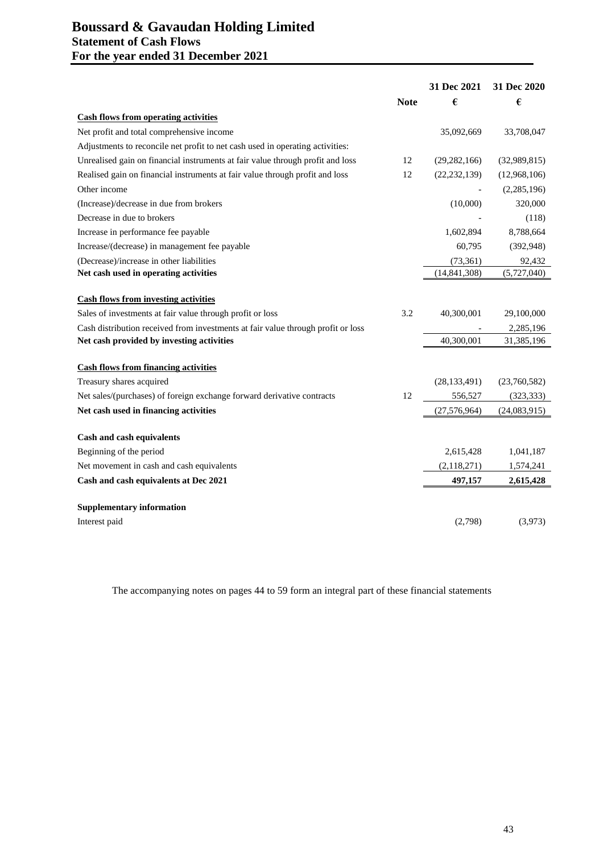# **Boussard & Gavaudan Holding Limited Statement of Cash Flows For the year ended 31 December 2021**

|                                                                                  |             | 31 Dec 2021    | 31 Dec 2020  |
|----------------------------------------------------------------------------------|-------------|----------------|--------------|
|                                                                                  | <b>Note</b> | €              | €            |
| <b>Cash flows from operating activities</b>                                      |             |                |              |
| Net profit and total comprehensive income                                        |             | 35,092,669     | 33,708,047   |
| Adjustments to reconcile net profit to net cash used in operating activities:    |             |                |              |
| Unrealised gain on financial instruments at fair value through profit and loss   | 12          | (29, 282, 166) | (32,989,815) |
| Realised gain on financial instruments at fair value through profit and loss     | 12          | (22, 232, 139) | (12,968,106) |
| Other income                                                                     |             |                | (2,285,196)  |
| (Increase)/decrease in due from brokers                                          |             | (10,000)       | 320,000      |
| Decrease in due to brokers                                                       |             |                | (118)        |
| Increase in performance fee payable                                              |             | 1,602,894      | 8,788,664    |
| Increase/(decrease) in management fee payable                                    |             | 60,795         | (392, 948)   |
| (Decrease)/increase in other liabilities                                         |             | (73, 361)      | 92,432       |
| Net cash used in operating activities                                            |             | (14, 841, 308) | (5,727,040)  |
| <b>Cash flows from investing activities</b>                                      |             |                |              |
| Sales of investments at fair value through profit or loss                        | 3.2         | 40,300,001     | 29,100,000   |
| Cash distribution received from investments at fair value through profit or loss |             |                | 2,285,196    |
| Net cash provided by investing activities                                        |             | 40,300,001     | 31,385,196   |
| <b>Cash flows from financing activities</b>                                      |             |                |              |
| Treasury shares acquired                                                         |             | (28, 133, 491) | (23,760,582) |
| Net sales/(purchases) of foreign exchange forward derivative contracts           | 12          | 556,527        | (323, 333)   |
| Net cash used in financing activities                                            |             | (27, 576, 964) | (24,083,915) |
| Cash and cash equivalents                                                        |             |                |              |
| Beginning of the period                                                          |             | 2,615,428      | 1,041,187    |
| Net movement in cash and cash equivalents                                        |             | (2, 118, 271)  | 1,574,241    |
| Cash and cash equivalents at Dec 2021                                            |             | 497,157        | 2,615,428    |
|                                                                                  |             |                |              |
| <b>Supplementary information</b>                                                 |             |                |              |
| Interest paid                                                                    |             | (2,798)        | (3,973)      |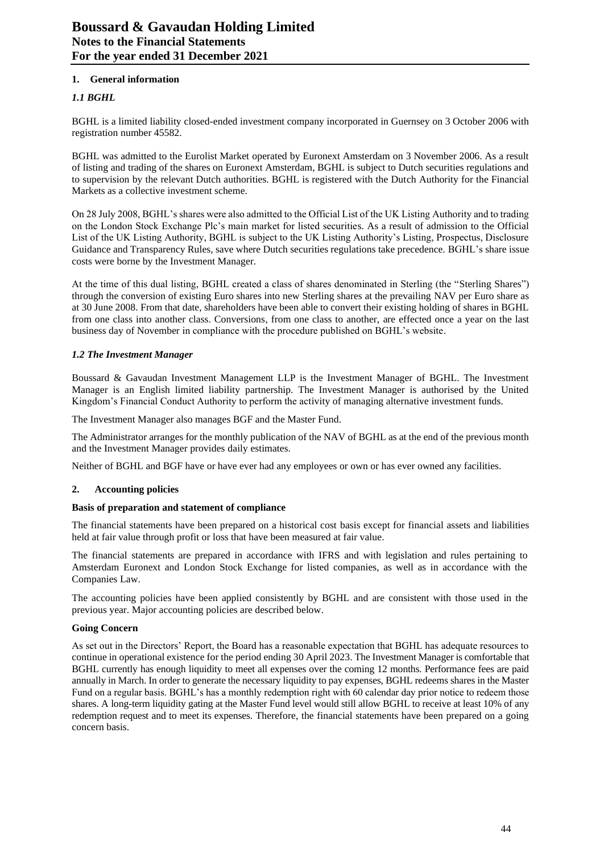# **1. General information**

# *1.1 BGHL*

BGHL is a limited liability closed-ended investment company incorporated in Guernsey on 3 October 2006 with registration number 45582.

BGHL was admitted to the Eurolist Market operated by Euronext Amsterdam on 3 November 2006. As a result of listing and trading of the shares on Euronext Amsterdam, BGHL is subject to Dutch securities regulations and to supervision by the relevant Dutch authorities. BGHL is registered with the Dutch Authority for the Financial Markets as a collective investment scheme.

On 28 July 2008, BGHL's shares were also admitted to the Official List of the UK Listing Authority and to trading on the London Stock Exchange Plc's main market for listed securities. As a result of admission to the Official List of the UK Listing Authority, BGHL is subject to the UK Listing Authority's Listing, Prospectus, Disclosure Guidance and Transparency Rules, save where Dutch securities regulations take precedence. BGHL's share issue costs were borne by the Investment Manager.

At the time of this dual listing, BGHL created a class of shares denominated in Sterling (the "Sterling Shares") through the conversion of existing Euro shares into new Sterling shares at the prevailing NAV per Euro share as at 30 June 2008. From that date, shareholders have been able to convert their existing holding of shares in BGHL from one class into another class. Conversions, from one class to another, are effected once a year on the last business day of November in compliance with the procedure published on BGHL's website.

## *1.2 The Investment Manager*

Boussard & Gavaudan Investment Management LLP is the Investment Manager of BGHL. The Investment Manager is an English limited liability partnership. The Investment Manager is authorised by the United Kingdom's Financial Conduct Authority to perform the activity of managing alternative investment funds.

The Investment Manager also manages BGF and the Master Fund.

The Administrator arranges for the monthly publication of the NAV of BGHL as at the end of the previous month and the Investment Manager provides daily estimates.

Neither of BGHL and BGF have or have ever had any employees or own or has ever owned any facilities.

# **2. Accounting policies**

#### **Basis of preparation and statement of compliance**

The financial statements have been prepared on a historical cost basis except for financial assets and liabilities held at fair value through profit or loss that have been measured at fair value.

The financial statements are prepared in accordance with IFRS and with legislation and rules pertaining to Amsterdam Euronext and London Stock Exchange for listed companies, as well as in accordance with the Companies Law.

The accounting policies have been applied consistently by BGHL and are consistent with those used in the previous year. Major accounting policies are described below.

# **Going Concern**

As set out in the Directors' Report, the Board has a reasonable expectation that BGHL has adequate resources to continue in operational existence for the period ending 30 April 2023. The Investment Manager is comfortable that BGHL currently has enough liquidity to meet all expenses over the coming 12 months. Performance fees are paid annually in March. In order to generate the necessary liquidity to pay expenses, BGHL redeems shares in the Master Fund on a regular basis. BGHL's has a monthly redemption right with 60 calendar day prior notice to redeem those shares. A long-term liquidity gating at the Master Fund level would still allow BGHL to receive at least 10% of any redemption request and to meet its expenses. Therefore, the financial statements have been prepared on a going concern basis.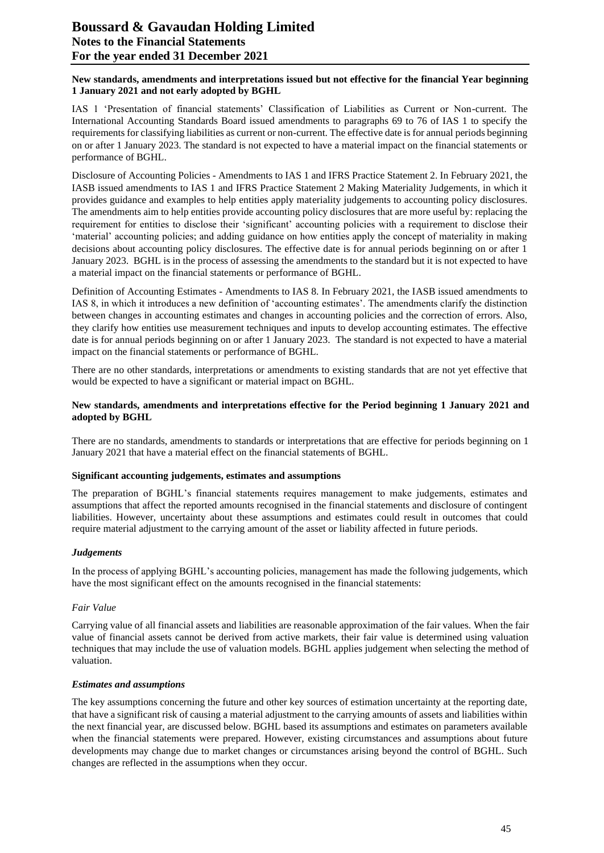## **New standards, amendments and interpretations issued but not effective for the financial Year beginning 1 January 2021 and not early adopted by BGHL**

IAS 1 'Presentation of financial statements' Classification of Liabilities as Current or Non-current. The International Accounting Standards Board issued amendments to paragraphs 69 to 76 of IAS 1 to specify the requirements for classifying liabilities as current or non-current. The effective date is for annual periods beginning on or after 1 January 2023. The standard is not expected to have a material impact on the financial statements or performance of BGHL.

Disclosure of Accounting Policies - Amendments to IAS 1 and IFRS Practice Statement 2. In February 2021, the IASB issued amendments to IAS 1 and IFRS Practice Statement 2 Making Materiality Judgements, in which it provides guidance and examples to help entities apply materiality judgements to accounting policy disclosures. The amendments aim to help entities provide accounting policy disclosures that are more useful by: replacing the requirement for entities to disclose their 'significant' accounting policies with a requirement to disclose their 'material' accounting policies; and adding guidance on how entities apply the concept of materiality in making decisions about accounting policy disclosures. The effective date is for annual periods beginning on or after 1 January 2023. BGHL is in the process of assessing the amendments to the standard but it is not expected to have a material impact on the financial statements or performance of BGHL.

Definition of Accounting Estimates - Amendments to IAS 8. In February 2021, the IASB issued amendments to IAS 8, in which it introduces a new definition of 'accounting estimates'. The amendments clarify the distinction between changes in accounting estimates and changes in accounting policies and the correction of errors. Also, they clarify how entities use measurement techniques and inputs to develop accounting estimates. The effective date is for annual periods beginning on or after 1 January 2023. The standard is not expected to have a material impact on the financial statements or performance of BGHL.

There are no other standards, interpretations or amendments to existing standards that are not yet effective that would be expected to have a significant or material impact on BGHL.

## **New standards, amendments and interpretations effective for the Period beginning 1 January 2021 and adopted by BGHL**

There are no standards, amendments to standards or interpretations that are effective for periods beginning on 1 January 2021 that have a material effect on the financial statements of BGHL.

#### **Significant accounting judgements, estimates and assumptions**

The preparation of BGHL's financial statements requires management to make judgements, estimates and assumptions that affect the reported amounts recognised in the financial statements and disclosure of contingent liabilities. However, uncertainty about these assumptions and estimates could result in outcomes that could require material adjustment to the carrying amount of the asset or liability affected in future periods.

#### *Judgements*

In the process of applying BGHL's accounting policies, management has made the following judgements, which have the most significant effect on the amounts recognised in the financial statements:

#### *Fair Value*

Carrying value of all financial assets and liabilities are reasonable approximation of the fair values. When the fair value of financial assets cannot be derived from active markets, their fair value is determined using valuation techniques that may include the use of valuation models. BGHL applies judgement when selecting the method of valuation.

#### *Estimates and assumptions*

The key assumptions concerning the future and other key sources of estimation uncertainty at the reporting date, that have a significant risk of causing a material adjustment to the carrying amounts of assets and liabilities within the next financial year, are discussed below. BGHL based its assumptions and estimates on parameters available when the financial statements were prepared. However, existing circumstances and assumptions about future developments may change due to market changes or circumstances arising beyond the control of BGHL. Such changes are reflected in the assumptions when they occur.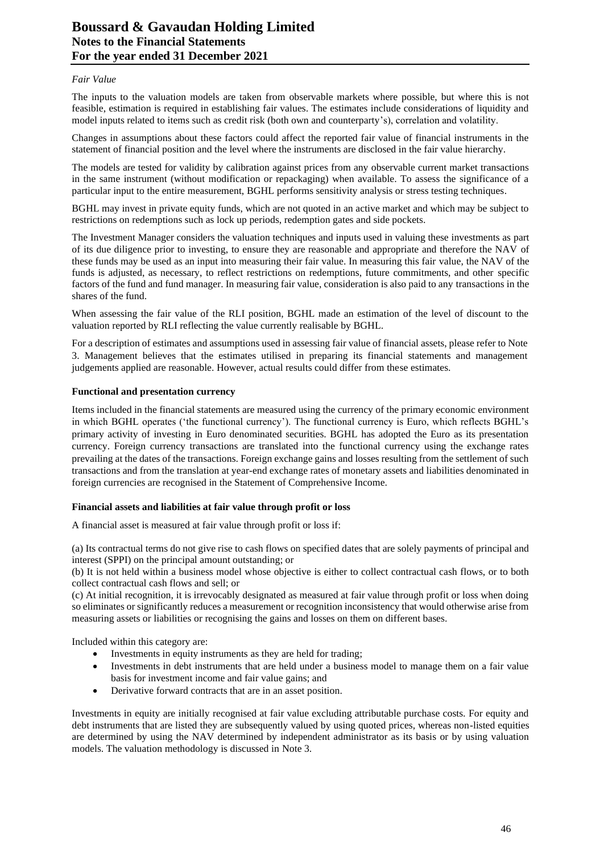#### *Fair Value*

The inputs to the valuation models are taken from observable markets where possible, but where this is not feasible, estimation is required in establishing fair values. The estimates include considerations of liquidity and model inputs related to items such as credit risk (both own and counterparty's), correlation and volatility.

Changes in assumptions about these factors could affect the reported fair value of financial instruments in the statement of financial position and the level where the instruments are disclosed in the fair value hierarchy.

The models are tested for validity by calibration against prices from any observable current market transactions in the same instrument (without modification or repackaging) when available. To assess the significance of a particular input to the entire measurement, BGHL performs sensitivity analysis or stress testing techniques.

BGHL may invest in private equity funds, which are not quoted in an active market and which may be subject to restrictions on redemptions such as lock up periods, redemption gates and side pockets.

The Investment Manager considers the valuation techniques and inputs used in valuing these investments as part of its due diligence prior to investing, to ensure they are reasonable and appropriate and therefore the NAV of these funds may be used as an input into measuring their fair value. In measuring this fair value, the NAV of the funds is adjusted, as necessary, to reflect restrictions on redemptions, future commitments, and other specific factors of the fund and fund manager. In measuring fair value, consideration is also paid to any transactions in the shares of the fund.

When assessing the fair value of the RLI position, BGHL made an estimation of the level of discount to the valuation reported by RLI reflecting the value currently realisable by BGHL.

For a description of estimates and assumptions used in assessing fair value of financial assets, please refer to Note 3. Management believes that the estimates utilised in preparing its financial statements and management judgements applied are reasonable. However, actual results could differ from these estimates.

#### **Functional and presentation currency**

Items included in the financial statements are measured using the currency of the primary economic environment in which BGHL operates ('the functional currency'). The functional currency is Euro, which reflects BGHL's primary activity of investing in Euro denominated securities. BGHL has adopted the Euro as its presentation currency. Foreign currency transactions are translated into the functional currency using the exchange rates prevailing at the dates of the transactions. Foreign exchange gains and losses resulting from the settlement of such transactions and from the translation at year-end exchange rates of monetary assets and liabilities denominated in foreign currencies are recognised in the Statement of Comprehensive Income.

# **Financial assets and liabilities at fair value through profit or loss**

A financial asset is measured at fair value through profit or loss if:

(a) Its contractual terms do not give rise to cash flows on specified dates that are solely payments of principal and interest (SPPI) on the principal amount outstanding; or

(b) It is not held within a business model whose objective is either to collect contractual cash flows, or to both collect contractual cash flows and sell; or

(c) At initial recognition, it is irrevocably designated as measured at fair value through profit or loss when doing so eliminates or significantly reduces a measurement or recognition inconsistency that would otherwise arise from measuring assets or liabilities or recognising the gains and losses on them on different bases.

Included within this category are:

- Investments in equity instruments as they are held for trading;
- Investments in debt instruments that are held under a business model to manage them on a fair value basis for investment income and fair value gains; and
- Derivative forward contracts that are in an asset position.

Investments in equity are initially recognised at fair value excluding attributable purchase costs. For equity and debt instruments that are listed they are subsequently valued by using quoted prices, whereas non-listed equities are determined by using the NAV determined by independent administrator as its basis or by using valuation models. The valuation methodology is discussed in Note 3.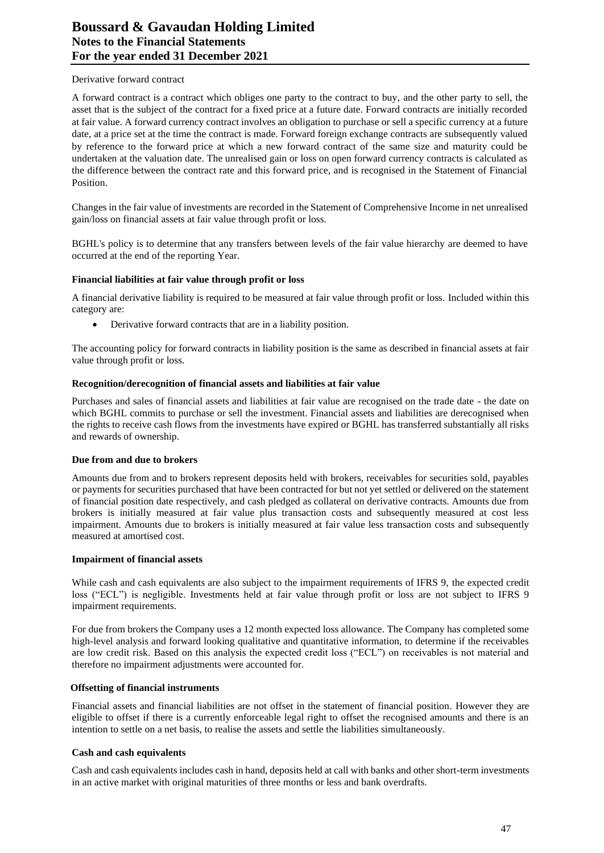#### Derivative forward contract

A forward contract is a contract which obliges one party to the contract to buy, and the other party to sell, the asset that is the subject of the contract for a fixed price at a future date. Forward contracts are initially recorded at fair value. A forward currency contract involves an obligation to purchase or sell a specific currency at a future date, at a price set at the time the contract is made. Forward foreign exchange contracts are subsequently valued by reference to the forward price at which a new forward contract of the same size and maturity could be undertaken at the valuation date. The unrealised gain or loss on open forward currency contracts is calculated as the difference between the contract rate and this forward price, and is recognised in the Statement of Financial Position.

Changes in the fair value of investments are recorded in the Statement of Comprehensive Income in net unrealised gain/loss on financial assets at fair value through profit or loss.

BGHL's policy is to determine that any transfers between levels of the fair value hierarchy are deemed to have occurred at the end of the reporting Year.

#### **Financial liabilities at fair value through profit or loss**

A financial derivative liability is required to be measured at fair value through profit or loss. Included within this category are:

• Derivative forward contracts that are in a liability position.

The accounting policy for forward contracts in liability position is the same as described in financial assets at fair value through profit or loss.

#### **Recognition/derecognition of financial assets and liabilities at fair value**

Purchases and sales of financial assets and liabilities at fair value are recognised on the trade date - the date on which BGHL commits to purchase or sell the investment. Financial assets and liabilities are derecognised when the rights to receive cash flows from the investments have expired or BGHL has transferred substantially all risks and rewards of ownership.

#### **Due from and due to brokers**

Amounts due from and to brokers represent deposits held with brokers, receivables for securities sold, payables or payments for securities purchased that have been contracted for but not yet settled or delivered on the statement of financial position date respectively, and cash pledged as collateral on derivative contracts. Amounts due from brokers is initially measured at fair value plus transaction costs and subsequently measured at cost less impairment. Amounts due to brokers is initially measured at fair value less transaction costs and subsequently measured at amortised cost.

#### **Impairment of financial assets**

While cash and cash equivalents are also subject to the impairment requirements of IFRS 9, the expected credit loss ("ECL") is negligible. Investments held at fair value through profit or loss are not subject to IFRS 9 impairment requirements.

For due from brokers the Company uses a 12 month expected loss allowance. The Company has completed some high-level analysis and forward looking qualitative and quantitative information, to determine if the receivables are low credit risk. Based on this analysis the expected credit loss ("ECL") on receivables is not material and therefore no impairment adjustments were accounted for.

#### **Offsetting of financial instruments**

Financial assets and financial liabilities are not offset in the statement of financial position. However they are eligible to offset if there is a currently enforceable legal right to offset the recognised amounts and there is an intention to settle on a net basis, to realise the assets and settle the liabilities simultaneously.

#### **Cash and cash equivalents**

Cash and cash equivalents includes cash in hand, deposits held at call with banks and other short-term investments in an active market with original maturities of three months or less and bank overdrafts.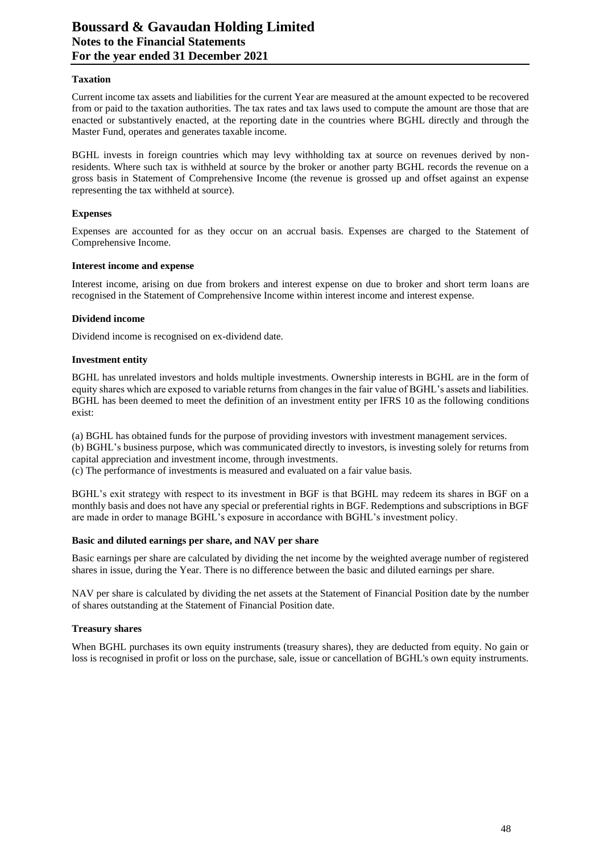## **Taxation**

Current income tax assets and liabilities for the current Year are measured at the amount expected to be recovered from or paid to the taxation authorities. The tax rates and tax laws used to compute the amount are those that are enacted or substantively enacted, at the reporting date in the countries where BGHL directly and through the Master Fund, operates and generates taxable income.

BGHL invests in foreign countries which may levy withholding tax at source on revenues derived by nonresidents. Where such tax is withheld at source by the broker or another party BGHL records the revenue on a gross basis in Statement of Comprehensive Income (the revenue is grossed up and offset against an expense representing the tax withheld at source).

#### **Expenses**

Expenses are accounted for as they occur on an accrual basis. Expenses are charged to the Statement of Comprehensive Income.

#### **Interest income and expense**

Interest income, arising on due from brokers and interest expense on due to broker and short term loans are recognised in the Statement of Comprehensive Income within interest income and interest expense.

#### **Dividend income**

Dividend income is recognised on ex-dividend date.

#### **Investment entity**

BGHL has unrelated investors and holds multiple investments. Ownership interests in BGHL are in the form of equity shares which are exposed to variable returns from changes in the fair value of BGHL's assets and liabilities. BGHL has been deemed to meet the definition of an investment entity per IFRS 10 as the following conditions exist:

(a) BGHL has obtained funds for the purpose of providing investors with investment management services. (b) BGHL's business purpose, which was communicated directly to investors, is investing solely for returns from capital appreciation and investment income, through investments.

(c) The performance of investments is measured and evaluated on a fair value basis.

BGHL's exit strategy with respect to its investment in BGF is that BGHL may redeem its shares in BGF on a monthly basis and does not have any special or preferential rights in BGF. Redemptions and subscriptions in BGF are made in order to manage BGHL's exposure in accordance with BGHL's investment policy.

#### **Basic and diluted earnings per share, and NAV per share**

Basic earnings per share are calculated by dividing the net income by the weighted average number of registered shares in issue, during the Year. There is no difference between the basic and diluted earnings per share.

NAV per share is calculated by dividing the net assets at the Statement of Financial Position date by the number of shares outstanding at the Statement of Financial Position date.

#### **Treasury shares**

When BGHL purchases its own equity instruments (treasury shares), they are deducted from equity. No gain or loss is recognised in profit or loss on the purchase, sale, issue or cancellation of BGHL's own equity instruments.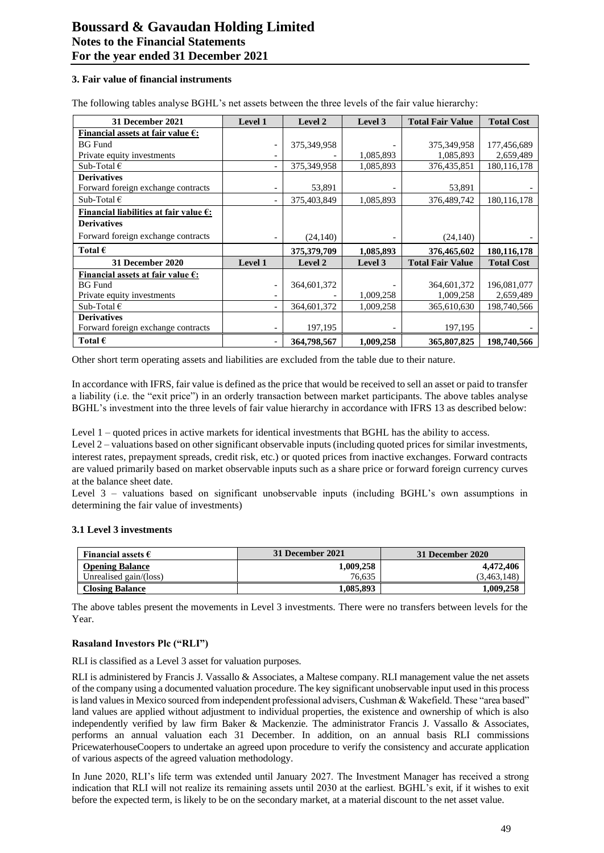#### **3. Fair value of financial instruments**

The following tables analyse BGHL's net assets between the three levels of the fair value hierarchy:

| 31 December 2021                                 | Level 1                  | Level 2     | Level 3   | <b>Total Fair Value</b> | <b>Total Cost</b> |
|--------------------------------------------------|--------------------------|-------------|-----------|-------------------------|-------------------|
| Financial assets at fair value $\epsilon$ :      |                          |             |           |                         |                   |
| <b>BG</b> Fund                                   | $\overline{\phantom{a}}$ | 375,349,958 |           | 375, 349, 958           | 177,456,689       |
| Private equity investments                       | $\overline{\phantom{0}}$ |             | 1,085,893 | 1,085,893               | 2,659,489         |
| Sub-Total $\epsilon$                             | $\overline{\phantom{a}}$ | 375,349,958 | 1,085,893 | 376, 435, 851           | 180.116.178       |
| <b>Derivatives</b>                               |                          |             |           |                         |                   |
| Forward foreign exchange contracts               | $\overline{\phantom{a}}$ | 53,891      |           | 53,891                  |                   |
| Sub-Total $\epsilon$                             | $\overline{\phantom{a}}$ | 375,403,849 | 1,085,893 | 376,489,742             | 180, 116, 178     |
| Financial liabilities at fair value $\epsilon$ : |                          |             |           |                         |                   |
| <b>Derivatives</b>                               |                          |             |           |                         |                   |
| Forward foreign exchange contracts               |                          | (24, 140)   |           | (24, 140)               |                   |
| Total $\epsilon$                                 |                          | 375,379,709 | 1,085,893 | 376,465,602             | 180, 116, 178     |
| <b>31 December 2020</b>                          | Level 1                  | Level 2     | Level 3   | <b>Total Fair Value</b> | <b>Total Cost</b> |
| Financial assets at fair value $\epsilon$ :      |                          |             |           |                         |                   |
| <b>BG</b> Fund                                   | $\overline{\phantom{a}}$ | 364,601,372 |           | 364,601,372             | 196,081,077       |
| Private equity investments                       | $\overline{\phantom{a}}$ |             | 1,009,258 | 1,009,258               | 2,659,489         |
| Sub-Total $\epsilon$                             | $\overline{\phantom{a}}$ | 364,601,372 | 1,009,258 | 365,610,630             | 198,740,566       |
| <b>Derivatives</b>                               |                          |             |           |                         |                   |
| Forward foreign exchange contracts               | $\overline{\phantom{a}}$ | 197,195     |           | 197,195                 |                   |
| Total $\epsilon$                                 | $\overline{\phantom{a}}$ | 364,798,567 | 1,009,258 | 365,807,825             | 198,740,566       |

Other short term operating assets and liabilities are excluded from the table due to their nature.

In accordance with IFRS, fair value is defined as the price that would be received to sell an asset or paid to transfer a liability (i.e. the "exit price") in an orderly transaction between market participants. The above tables analyse BGHL's investment into the three levels of fair value hierarchy in accordance with IFRS 13 as described below:

Level 1 – quoted prices in active markets for identical investments that BGHL has the ability to access.

Level 2 – valuations based on other significant observable inputs (including quoted prices for similar investments, interest rates, prepayment spreads, credit risk, etc.) or quoted prices from inactive exchanges. Forward contracts are valued primarily based on market observable inputs such as a share price or forward foreign currency curves at the balance sheet date.

Level 3 – valuations based on significant unobservable inputs (including BGHL's own assumptions in determining the fair value of investments)

#### **3.1 Level 3 investments**

| Financial assets $\epsilon$ | 31 December 2021 | 31 December 2020 |
|-----------------------------|------------------|------------------|
| <b>Opening Balance</b>      | 1.009.258        | 4.472.406        |
| Unrealised gain/(loss)      | 76.635           | 3.463.148)       |
| <b>Closing Balance</b>      | 1.085.893        | 1,009,258        |

The above tables present the movements in Level 3 investments. There were no transfers between levels for the Year.

## **Rasaland Investors Plc ("RLI")**

RLI is classified as a Level 3 asset for valuation purposes.

RLI is administered by Francis J. Vassallo & Associates, a Maltese company. RLI management value the net assets of the company using a documented valuation procedure. The key significant unobservable input used in this process is land values in Mexico sourced from independent professional advisers, Cushman & Wakefield. These "area based" land values are applied without adjustment to individual properties, the existence and ownership of which is also independently verified by law firm Baker & Mackenzie. The administrator Francis J. Vassallo & Associates, performs an annual valuation each 31 December. In addition, on an annual basis RLI commissions PricewaterhouseCoopers to undertake an agreed upon procedure to verify the consistency and accurate application of various aspects of the agreed valuation methodology.

In June 2020, RLI's life term was extended until January 2027. The Investment Manager has received a strong indication that RLI will not realize its remaining assets until 2030 at the earliest. BGHL's exit, if it wishes to exit before the expected term, is likely to be on the secondary market, at a material discount to the net asset value.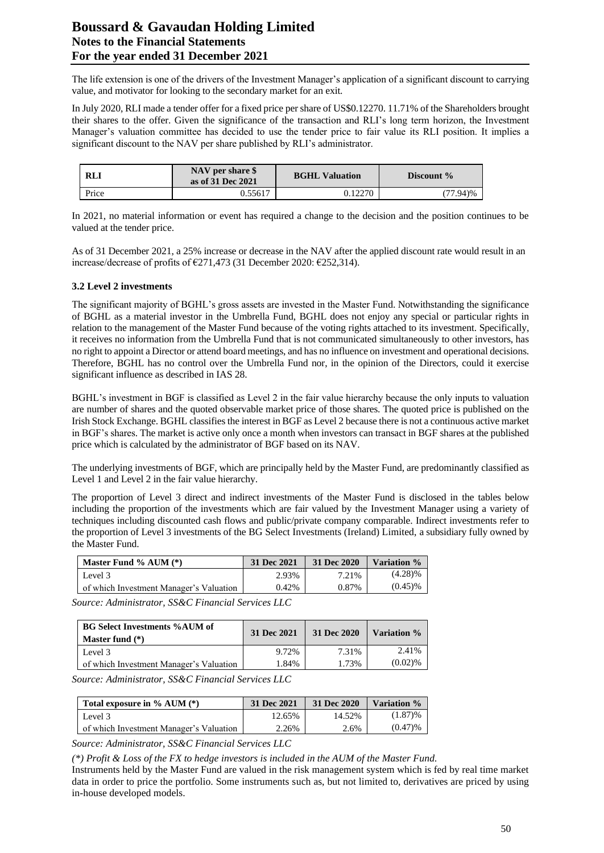# **Boussard & Gavaudan Holding Limited Notes to the Financial Statements For the year ended 31 December 2021**

The life extension is one of the drivers of the Investment Manager's application of a significant discount to carrying value, and motivator for looking to the secondary market for an exit.

In July 2020, RLI made a tender offer for a fixed price per share of US\$0.12270. 11.71% of the Shareholders brought their shares to the offer. Given the significance of the transaction and RLI's long term horizon, the Investment Manager's valuation committee has decided to use the tender price to fair value its RLI position. It implies a significant discount to the NAV per share published by RLI's administrator.

| <b>RLI</b> | NAV per share \$<br>as of 31 Dec 2021 | <b>BGHL Valuation</b> | Discount % |
|------------|---------------------------------------|-----------------------|------------|
| Price      | 0.55617                               | 0.12270               | $77.94\%$  |

In 2021, no material information or event has required a change to the decision and the position continues to be valued at the tender price.

As of 31 December 2021, a 25% increase or decrease in the NAV after the applied discount rate would result in an increase/decrease of profits of €271,473 (31 December 2020: €252,314).

# **3.2 Level 2 investments**

The significant majority of BGHL's gross assets are invested in the Master Fund. Notwithstanding the significance of BGHL as a material investor in the Umbrella Fund, BGHL does not enjoy any special or particular rights in relation to the management of the Master Fund because of the voting rights attached to its investment. Specifically, it receives no information from the Umbrella Fund that is not communicated simultaneously to other investors, has no right to appoint a Director or attend board meetings, and has no influence on investment and operational decisions. Therefore, BGHL has no control over the Umbrella Fund nor, in the opinion of the Directors, could it exercise significant influence as described in IAS 28.

BGHL's investment in BGF is classified as Level 2 in the fair value hierarchy because the only inputs to valuation are number of shares and the quoted observable market price of those shares. The quoted price is published on the Irish Stock Exchange. BGHL classifies the interest in BGF as Level 2 because there is not a continuous active market in BGF's shares. The market is active only once a month when investors can transact in BGF shares at the published price which is calculated by the administrator of BGF based on its NAV.

The underlying investments of BGF, which are principally held by the Master Fund, are predominantly classified as Level 1 and Level 2 in the fair value hierarchy.

The proportion of Level 3 direct and indirect investments of the Master Fund is disclosed in the tables below including the proportion of the investments which are fair valued by the Investment Manager using a variety of techniques including discounted cash flows and public/private company comparable. Indirect investments refer to the proportion of Level 3 investments of the BG Select Investments (Ireland) Limited, a subsidiary fully owned by the Master Fund.

| Master Fund $%$ AUM $(*)$               | 31 Dec 2021 | 31 Dec 2020 | Variation % |
|-----------------------------------------|-------------|-------------|-------------|
| Level 3                                 | 2.93%       | 7.21%       | $(4.28)\%$  |
| of which Investment Manager's Valuation | 0.42%       | 0.87%       | $(0.45)\%$  |

*Source: Administrator, SS&C Financial Services LLC*

| <b>BG Select Investments %AUM of</b><br>Master fund $(*)$ | 31 Dec 2021 | 31 Dec 2020 | Variation % |
|-----------------------------------------------------------|-------------|-------------|-------------|
| Level 3                                                   | 9.72%       | 7.31%       | 2.41%       |
| of which Investment Manager's Valuation                   | 1.84%       | 1.73%       | $(0.02)$ %  |

*Source: Administrator, SS&C Financial Services LLC*

| Total exposure in $\%$ AUM $(*)$        | 31 Dec 2021 | 31 Dec 2020 | Variation % |
|-----------------------------------------|-------------|-------------|-------------|
| Level 3                                 | 12.65%      | 14.52%      | (1.87)%     |
| of which Investment Manager's Valuation | 2.26%       | 2.6%        | $(0.47)$ %  |

*Source: Administrator, SS&C Financial Services LLC*

*(\*) Profit & Loss of the FX to hedge investors is included in the AUM of the Master Fund.*

Instruments held by the Master Fund are valued in the risk management system which is fed by real time market data in order to price the portfolio. Some instruments such as, but not limited to, derivatives are priced by using in-house developed models.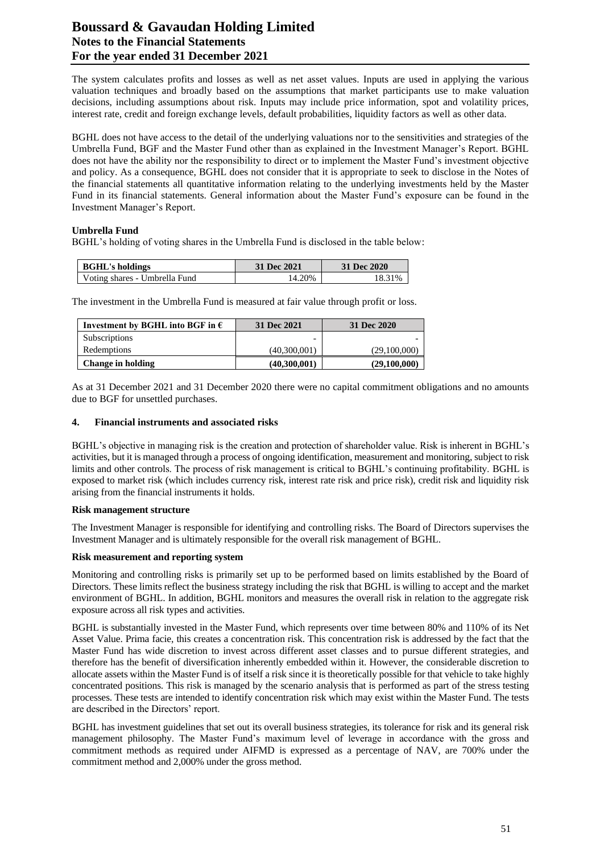# **Boussard & Gavaudan Holding Limited Notes to the Financial Statements For the year ended 31 December 2021**

The system calculates profits and losses as well as net asset values. Inputs are used in applying the various valuation techniques and broadly based on the assumptions that market participants use to make valuation decisions, including assumptions about risk. Inputs may include price information, spot and volatility prices, interest rate, credit and foreign exchange levels, default probabilities, liquidity factors as well as other data.

BGHL does not have access to the detail of the underlying valuations nor to the sensitivities and strategies of the Umbrella Fund, BGF and the Master Fund other than as explained in the Investment Manager's Report. BGHL does not have the ability nor the responsibility to direct or to implement the Master Fund's investment objective and policy. As a consequence, BGHL does not consider that it is appropriate to seek to disclose in the Notes of the financial statements all quantitative information relating to the underlying investments held by the Master Fund in its financial statements. General information about the Master Fund's exposure can be found in the Investment Manager's Report.

## **Umbrella Fund**

BGHL's holding of voting shares in the Umbrella Fund is disclosed in the table below:

| <b>BGHL's holdings</b>        | 31 Dec 2021 | 31 Dec 2020 |
|-------------------------------|-------------|-------------|
| Voting shares - Umbrella Fund | 14.20%      | 18.31%      |

The investment in the Umbrella Fund is measured at fair value through profit or loss.

| Investment by BGHL into BGF in $\epsilon$ | 31 Dec 2021  | 31 Dec 2020  |
|-------------------------------------------|--------------|--------------|
| <b>Subscriptions</b>                      |              |              |
| Redemptions                               | (40,300,001) | (29,100,000) |
| <b>Change in holding</b>                  | (40,300,001) | (29,100,000) |

As at 31 December 2021 and 31 December 2020 there were no capital commitment obligations and no amounts due to BGF for unsettled purchases.

#### **4. Financial instruments and associated risks**

BGHL's objective in managing risk is the creation and protection of shareholder value. Risk is inherent in BGHL's activities, but it is managed through a process of ongoing identification, measurement and monitoring, subject to risk limits and other controls. The process of risk management is critical to BGHL's continuing profitability. BGHL is exposed to market risk (which includes currency risk, interest rate risk and price risk), credit risk and liquidity risk arising from the financial instruments it holds.

#### **Risk management structure**

The Investment Manager is responsible for identifying and controlling risks. The Board of Directors supervises the Investment Manager and is ultimately responsible for the overall risk management of BGHL.

#### **Risk measurement and reporting system**

Monitoring and controlling risks is primarily set up to be performed based on limits established by the Board of Directors. These limits reflect the business strategy including the risk that BGHL is willing to accept and the market environment of BGHL. In addition, BGHL monitors and measures the overall risk in relation to the aggregate risk exposure across all risk types and activities.

BGHL is substantially invested in the Master Fund, which represents over time between 80% and 110% of its Net Asset Value. Prima facie, this creates a concentration risk. This concentration risk is addressed by the fact that the Master Fund has wide discretion to invest across different asset classes and to pursue different strategies, and therefore has the benefit of diversification inherently embedded within it. However, the considerable discretion to allocate assets within the Master Fund is of itself a risk since it is theoretically possible for that vehicle to take highly concentrated positions. This risk is managed by the scenario analysis that is performed as part of the stress testing processes. These tests are intended to identify concentration risk which may exist within the Master Fund. The tests are described in the Directors' report.

BGHL has investment guidelines that set out its overall business strategies, its tolerance for risk and its general risk management philosophy. The Master Fund's maximum level of leverage in accordance with the gross and commitment methods as required under AIFMD is expressed as a percentage of NAV, are 700% under the commitment method and 2,000% under the gross method.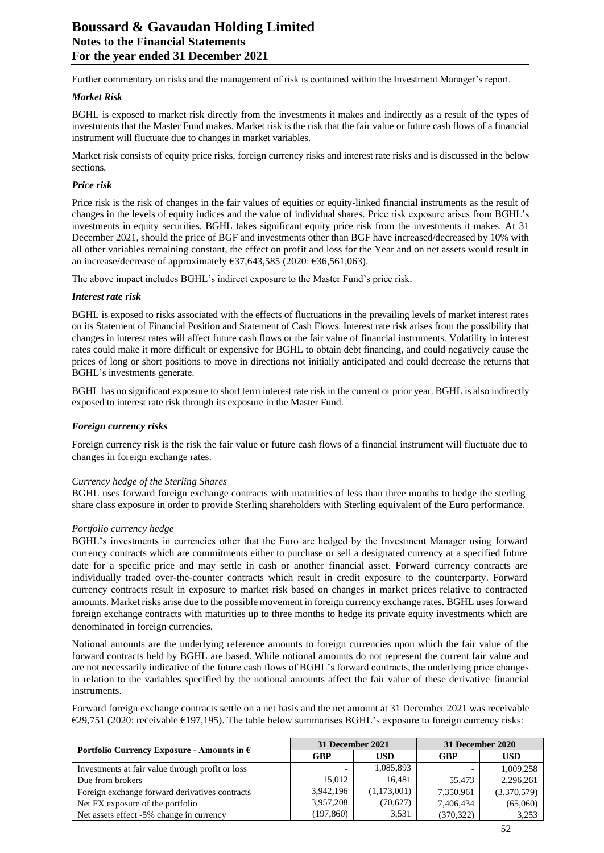Further commentary on risks and the management of risk is contained within the Investment Manager's report.

## *Market Risk*

BGHL is exposed to market risk directly from the investments it makes and indirectly as a result of the types of investments that the Master Fund makes. Market risk is the risk that the fair value or future cash flows of a financial instrument will fluctuate due to changes in market variables.

Market risk consists of equity price risks, foreign currency risks and interest rate risks and is discussed in the below sections.

#### *Price risk*

Price risk is the risk of changes in the fair values of equities or equity-linked financial instruments as the result of changes in the levels of equity indices and the value of individual shares. Price risk exposure arises from BGHL's investments in equity securities. BGHL takes significant equity price risk from the investments it makes. At 31 December 2021, should the price of BGF and investments other than BGF have increased/decreased by 10% with all other variables remaining constant, the effect on profit and loss for the Year and on net assets would result in an increase/decrease of approximately  $£37,643,585$  (2020:  $£36,561,063$ ).

The above impact includes BGHL's indirect exposure to the Master Fund's price risk.

#### *Interest rate risk*

BGHL is exposed to risks associated with the effects of fluctuations in the prevailing levels of market interest rates on its Statement of Financial Position and Statement of Cash Flows. Interest rate risk arises from the possibility that changes in interest rates will affect future cash flows or the fair value of financial instruments. Volatility in interest rates could make it more difficult or expensive for BGHL to obtain debt financing, and could negatively cause the prices of long or short positions to move in directions not initially anticipated and could decrease the returns that BGHL's investments generate.

BGHL has no significant exposure to short term interest rate risk in the current or prior year. BGHL is also indirectly exposed to interest rate risk through its exposure in the Master Fund.

#### *Foreign currency risks*

Foreign currency risk is the risk the fair value or future cash flows of a financial instrument will fluctuate due to changes in foreign exchange rates.

#### *Currency hedge of the Sterling Shares*

BGHL uses forward foreign exchange contracts with maturities of less than three months to hedge the sterling share class exposure in order to provide Sterling shareholders with Sterling equivalent of the Euro performance.

#### *Portfolio currency hedge*

BGHL's investments in currencies other that the Euro are hedged by the Investment Manager using forward currency contracts which are commitments either to purchase or sell a designated currency at a specified future date for a specific price and may settle in cash or another financial asset. Forward currency contracts are individually traded over-the-counter contracts which result in credit exposure to the counterparty. Forward currency contracts result in exposure to market risk based on changes in market prices relative to contracted amounts. Market risks arise due to the possible movement in foreign currency exchange rates. BGHL uses forward foreign exchange contracts with maturities up to three months to hedge its private equity investments which are denominated in foreign currencies.

Notional amounts are the underlying reference amounts to foreign currencies upon which the fair value of the forward contracts held by BGHL are based. While notional amounts do not represent the current fair value and are not necessarily indicative of the future cash flows of BGHL's forward contracts, the underlying price changes in relation to the variables specified by the notional amounts affect the fair value of these derivative financial instruments.

Forward foreign exchange contracts settle on a net basis and the net amount at 31 December 2021 was receivable  $\epsilon$ 29,751 (2020: receivable  $\epsilon$ 197,195). The table below summarises BGHL's exposure to foreign currency risks:

|                                                     | 31 December 2021 |             | 31 December 2020 |             |  |
|-----------------------------------------------------|------------------|-------------|------------------|-------------|--|
| Portfolio Currency Exposure - Amounts in $\epsilon$ | GBP              | USD         | GBP              | <b>USD</b>  |  |
| Investments at fair value through profit or loss    |                  | 1,085,893   |                  | 1,009,258   |  |
| Due from brokers                                    | 15,012           | 16.481      | 55.473           | 2,296,261   |  |
| Foreign exchange forward derivatives contracts      | 3,942,196        | (1,173,001) | 7.350.961        | (3,370,579) |  |
| Net FX exposure of the portfolio                    | 3,957,208        | (70,627)    | 7.406.434        | (65,060)    |  |
| Net assets effect -5% change in currency            | (197, 860)       | 3,531       | (370, 322)       | 3,253       |  |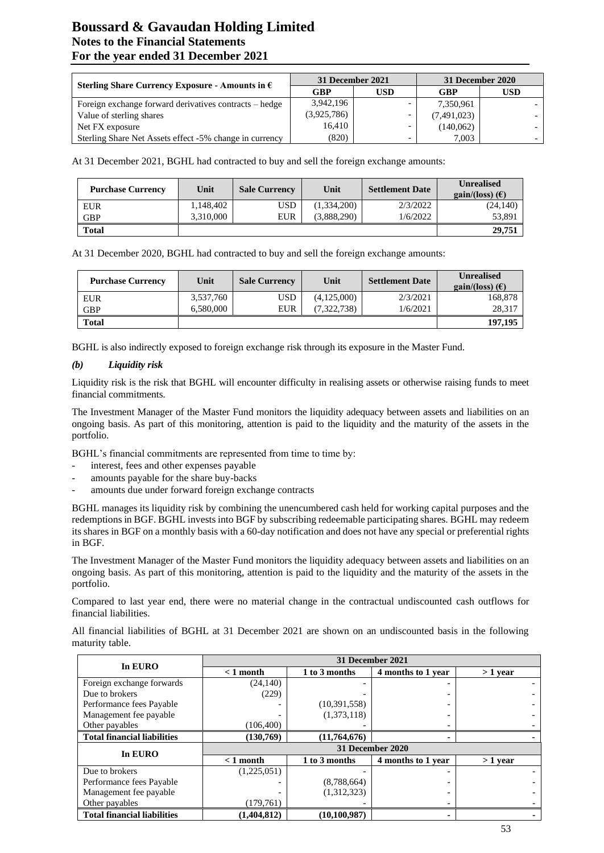# **Boussard & Gavaudan Holding Limited Notes to the Financial Statements For the year ended 31 December 2021**

|                                                          | 31 December 2021 |     | 31 December 2020 |     |  |
|----------------------------------------------------------|------------------|-----|------------------|-----|--|
| Sterling Share Currency Exposure - Amounts in $\epsilon$ | GBP              | USD | GBP              | USD |  |
| Foreign exchange forward derivatives contracts – hedge   | 3,942,196        |     | 7,350,961        |     |  |
| Value of sterling shares                                 | (3,925,786)      |     | (7,491,023)      |     |  |
| Net FX exposure                                          | 16,410           |     | (140,062)        |     |  |
| Sterling Share Net Assets effect -5% change in currency  | (820)            |     | 7.003            |     |  |

At 31 December 2021, BGHL had contracted to buy and sell the foreign exchange amounts:

| <b>Purchase Currency</b> | Unit      | <b>Sale Currency</b> | Unit        | <b>Settlement Date</b> | <b>Unrealised</b><br>gain/(loss) $(E)$ |
|--------------------------|-----------|----------------------|-------------|------------------------|----------------------------------------|
| <b>EUR</b>               | 1,148,402 | <b>USD</b>           | (1,334,200) | 2/3/2022               | (24, 140)                              |
| <b>GBP</b>               | 3,310,000 | EUR                  | (3,888,290) | 1/6/2022               | 53,891                                 |
| <b>Total</b>             |           |                      |             |                        | 29,751                                 |

At 31 December 2020, BGHL had contracted to buy and sell the foreign exchange amounts:

| <b>Purchase Currency</b> | Unit      | <b>Sale Currency</b> | Unit        | <b>Settlement Date</b> | <b>Unrealised</b><br>gain/(loss) $(\epsilon)$ |
|--------------------------|-----------|----------------------|-------------|------------------------|-----------------------------------------------|
| <b>EUR</b>               | 3.537.760 | USD                  | (4,125,000) | 2/3/2021               | 168,878                                       |
| <b>GBP</b>               | 6.580,000 | EUR                  | (7,322,738) | 1/6/2021               | 28,317                                        |
| <b>Total</b>             |           |                      |             |                        | 197,195                                       |

BGHL is also indirectly exposed to foreign exchange risk through its exposure in the Master Fund.

## *(b) Liquidity risk*

Liquidity risk is the risk that BGHL will encounter difficulty in realising assets or otherwise raising funds to meet financial commitments.

The Investment Manager of the Master Fund monitors the liquidity adequacy between assets and liabilities on an ongoing basis. As part of this monitoring, attention is paid to the liquidity and the maturity of the assets in the portfolio.

BGHL's financial commitments are represented from time to time by:

- interest, fees and other expenses payable
- amounts payable for the share buy-backs
- amounts due under forward foreign exchange contracts

BGHL manages its liquidity risk by combining the unencumbered cash held for working capital purposes and the redemptions in BGF. BGHL invests into BGF by subscribing redeemable participating shares. BGHL may redeem its shares in BGF on a monthly basis with a 60-day notification and does not have any special or preferential rights in BGF.

The Investment Manager of the Master Fund monitors the liquidity adequacy between assets and liabilities on an ongoing basis. As part of this monitoring, attention is paid to the liquidity and the maturity of the assets in the portfolio.

Compared to last year end, there were no material change in the contractual undiscounted cash outflows for financial liabilities.

All financial liabilities of BGHL at 31 December 2021 are shown on an undiscounted basis in the following maturity table.

| In EURO                            | 31 December 2021 |                |                    |           |  |  |
|------------------------------------|------------------|----------------|--------------------|-----------|--|--|
|                                    | $< 1$ month      | 1 to 3 months  | 4 months to 1 year | $>1$ year |  |  |
| Foreign exchange forwards          | (24, 140)        |                |                    |           |  |  |
| Due to brokers                     | (229)            |                |                    |           |  |  |
| Performance fees Payable           |                  | (10, 391, 558) |                    |           |  |  |
| Management fee payable             |                  | (1,373,118)    |                    |           |  |  |
| Other payables                     | (106, 400)       |                |                    |           |  |  |
| <b>Total financial liabilities</b> | (130,769)        | (11,764,676)   | ۰                  |           |  |  |
| In EURO                            | 31 December 2020 |                |                    |           |  |  |
|                                    | $< 1$ month      | 1 to 3 months  | 4 months to 1 year | $>1$ vear |  |  |
| Due to brokers                     | (1,225,051)      |                |                    |           |  |  |
| Performance fees Payable           |                  | (8,788,664)    |                    |           |  |  |
| Management fee payable             |                  | (1,312,323)    |                    |           |  |  |
| Other payables                     | (179,761)        |                |                    |           |  |  |
| <b>Total financial liabilities</b> | (1.404.812)      | (10.100.987)   | -                  |           |  |  |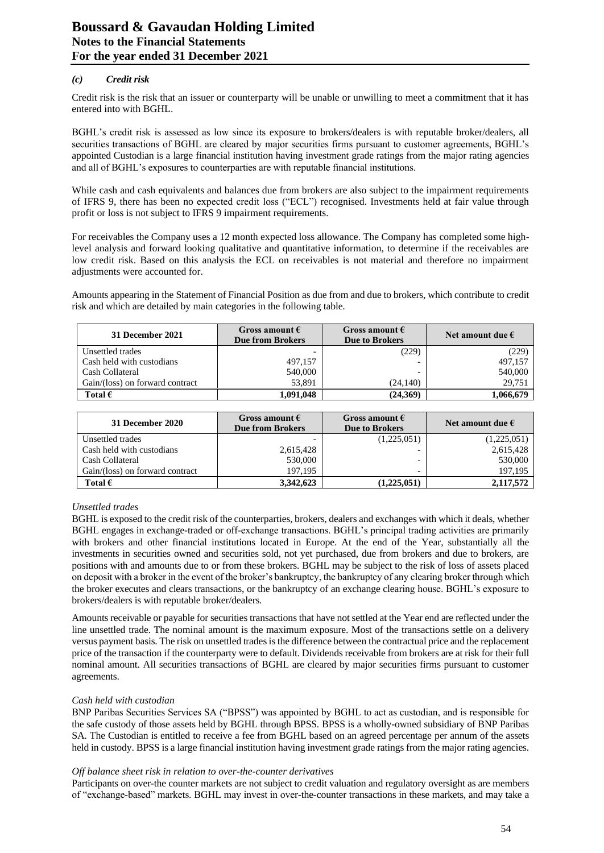## *(c) Credit risk*

Credit risk is the risk that an issuer or counterparty will be unable or unwilling to meet a commitment that it has entered into with BGHL.

BGHL's credit risk is assessed as low since its exposure to brokers/dealers is with reputable broker/dealers, all securities transactions of BGHL are cleared by major securities firms pursuant to customer agreements, BGHL's appointed Custodian is a large financial institution having investment grade ratings from the major rating agencies and all of BGHL's exposures to counterparties are with reputable financial institutions.

While cash and cash equivalents and balances due from brokers are also subject to the impairment requirements of IFRS 9, there has been no expected credit loss ("ECL") recognised. Investments held at fair value through profit or loss is not subject to IFRS 9 impairment requirements.

For receivables the Company uses a 12 month expected loss allowance. The Company has completed some highlevel analysis and forward looking qualitative and quantitative information, to determine if the receivables are low credit risk. Based on this analysis the ECL on receivables is not material and therefore no impairment adjustments were accounted for.

Amounts appearing in the Statement of Financial Position as due from and due to brokers, which contribute to credit risk and which are detailed by main categories in the following table.

| 31 December 2021                | Gross amount $\epsilon$<br><b>Due from Brokers</b> | Gross amount $\epsilon$<br><b>Due to Brokers</b> | Net amount due $\epsilon$ |
|---------------------------------|----------------------------------------------------|--------------------------------------------------|---------------------------|
| Unsettled trades                |                                                    | (229)                                            | (229)                     |
| Cash held with custodians       | 497,157                                            | $\overline{\phantom{0}}$                         | 497,157                   |
| Cash Collateral                 | 540,000                                            | -                                                | 540,000                   |
| Gain/(loss) on forward contract | 53.891                                             | (24,140)                                         | 29.751                    |
| Total $\epsilon$                | 1,091,048                                          | (24,369)                                         | 1,066,679                 |

| 31 December 2020                | Gross amount $\epsilon$<br>Gross amount $\epsilon$<br><b>Due from Brokers</b><br><b>Due to Brokers</b> |             | Net amount due $\epsilon$ |
|---------------------------------|--------------------------------------------------------------------------------------------------------|-------------|---------------------------|
| Unsettled trades                |                                                                                                        | (1,225,051) | (1,225,051)               |
| Cash held with custodians       | 2,615,428                                                                                              | -           | 2,615,428                 |
| Cash Collateral                 | 530,000                                                                                                | -           | 530,000                   |
| Gain/(loss) on forward contract | 197.195                                                                                                | -           | 197.195                   |
| Total $\epsilon$                | 3,342,623                                                                                              | (1.225.051) | 2,117,572                 |

#### *Unsettled trades*

BGHL is exposed to the credit risk of the counterparties, brokers, dealers and exchanges with which it deals, whether BGHL engages in exchange-traded or off-exchange transactions. BGHL's principal trading activities are primarily with brokers and other financial institutions located in Europe. At the end of the Year, substantially all the investments in securities owned and securities sold, not yet purchased, due from brokers and due to brokers, are positions with and amounts due to or from these brokers. BGHL may be subject to the risk of loss of assets placed on deposit with a broker in the event of the broker's bankruptcy, the bankruptcy of any clearing broker through which the broker executes and clears transactions, or the bankruptcy of an exchange clearing house. BGHL's exposure to brokers/dealers is with reputable broker/dealers.

Amounts receivable or payable for securities transactions that have not settled at the Year end are reflected under the line unsettled trade. The nominal amount is the maximum exposure. Most of the transactions settle on a delivery versus payment basis. The risk on unsettled trades is the difference between the contractual price and the replacement price of the transaction if the counterparty were to default. Dividends receivable from brokers are at risk for their full nominal amount. All securities transactions of BGHL are cleared by major securities firms pursuant to customer agreements.

#### *Cash held with custodian*

BNP Paribas Securities Services SA ("BPSS") was appointed by BGHL to act as custodian, and is responsible for the safe custody of those assets held by BGHL through BPSS. BPSS is a wholly-owned subsidiary of BNP Paribas SA. The Custodian is entitled to receive a fee from BGHL based on an agreed percentage per annum of the assets held in custody. BPSS is a large financial institution having investment grade ratings from the major rating agencies.

# *Off balance sheet risk in relation to over-the-counter derivatives*

Participants on over-the counter markets are not subject to credit valuation and regulatory oversight as are members of "exchange-based" markets. BGHL may invest in over-the-counter transactions in these markets, and may take a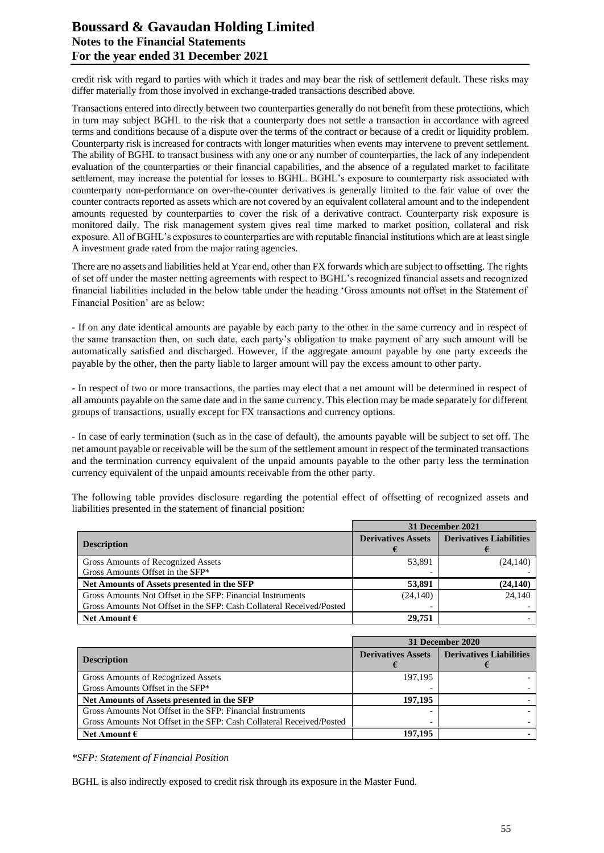# **Boussard & Gavaudan Holding Limited Notes to the Financial Statements For the year ended 31 December 2021**

credit risk with regard to parties with which it trades and may bear the risk of settlement default. These risks may differ materially from those involved in exchange-traded transactions described above.

Transactions entered into directly between two counterparties generally do not benefit from these protections, which in turn may subject BGHL to the risk that a counterparty does not settle a transaction in accordance with agreed terms and conditions because of a dispute over the terms of the contract or because of a credit or liquidity problem. Counterparty risk is increased for contracts with longer maturities when events may intervene to prevent settlement. The ability of BGHL to transact business with any one or any number of counterparties, the lack of any independent evaluation of the counterparties or their financial capabilities, and the absence of a regulated market to facilitate settlement, may increase the potential for losses to BGHL. BGHL's exposure to counterparty risk associated with counterparty non-performance on over-the-counter derivatives is generally limited to the fair value of over the counter contracts reported as assets which are not covered by an equivalent collateral amount and to the independent amounts requested by counterparties to cover the risk of a derivative contract. Counterparty risk exposure is monitored daily. The risk management system gives real time marked to market position, collateral and risk exposure. All of BGHL's exposures to counterparties are with reputable financial institutions which are at least single A investment grade rated from the major rating agencies.

There are no assets and liabilities held at Year end, other than FX forwards which are subject to offsetting. The rights of set off under the master netting agreements with respect to BGHL's recognized financial assets and recognized financial liabilities included in the below table under the heading 'Gross amounts not offset in the Statement of Financial Position' are as below:

- If on any date identical amounts are payable by each party to the other in the same currency and in respect of the same transaction then, on such date, each party's obligation to make payment of any such amount will be automatically satisfied and discharged. However, if the aggregate amount payable by one party exceeds the payable by the other, then the party liable to larger amount will pay the excess amount to other party.

- In respect of two or more transactions, the parties may elect that a net amount will be determined in respect of all amounts payable on the same date and in the same currency. This election may be made separately for different groups of transactions, usually except for FX transactions and currency options.

- In case of early termination (such as in the case of default), the amounts payable will be subject to set off. The net amount payable or receivable will be the sum of the settlement amount in respect of the terminated transactions and the termination currency equivalent of the unpaid amounts payable to the other party less the termination currency equivalent of the unpaid amounts receivable from the other party.

The following table provides disclosure regarding the potential effect of offsetting of recognized assets and liabilities presented in the statement of financial position:

|                                                                      | 31 December 2021          |                                |  |  |
|----------------------------------------------------------------------|---------------------------|--------------------------------|--|--|
| <b>Description</b>                                                   | <b>Derivatives Assets</b> | <b>Derivatives Liabilities</b> |  |  |
| Gross Amounts of Recognized Assets                                   | 53,891                    | (24, 140)                      |  |  |
| Gross Amounts Offset in the SFP*                                     |                           |                                |  |  |
| Net Amounts of Assets presented in the SFP                           | 53,891                    | (24, 140)                      |  |  |
| Gross Amounts Not Offset in the SFP: Financial Instruments           | (24, 140)                 | 24,140                         |  |  |
| Gross Amounts Not Offset in the SFP: Cash Collateral Received/Posted |                           |                                |  |  |
| Net Amount $\epsilon$                                                | 29,751                    |                                |  |  |

|                                                                      | 31 December 2020          |                                |  |
|----------------------------------------------------------------------|---------------------------|--------------------------------|--|
| <b>Description</b>                                                   | <b>Derivatives Assets</b> | <b>Derivatives Liabilities</b> |  |
| Gross Amounts of Recognized Assets                                   | 197,195                   |                                |  |
| Gross Amounts Offset in the SFP*                                     |                           |                                |  |
| Net Amounts of Assets presented in the SFP                           | 197.195                   |                                |  |
| Gross Amounts Not Offset in the SFP: Financial Instruments           |                           |                                |  |
| Gross Amounts Not Offset in the SFP: Cash Collateral Received/Posted |                           |                                |  |
| Net Amount $\epsilon$                                                | 197.195                   |                                |  |

*\*SFP: Statement of Financial Position*

BGHL is also indirectly exposed to credit risk through its exposure in the Master Fund.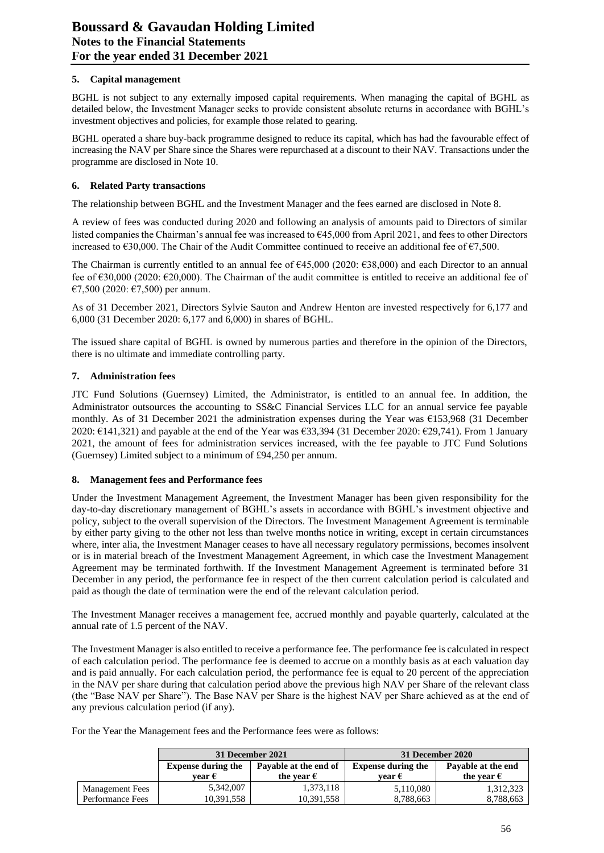## **5. Capital management**

BGHL is not subject to any externally imposed capital requirements. When managing the capital of BGHL as detailed below, the Investment Manager seeks to provide consistent absolute returns in accordance with BGHL's investment objectives and policies, for example those related to gearing.

BGHL operated a share buy-back programme designed to reduce its capital, which has had the favourable effect of increasing the NAV per Share since the Shares were repurchased at a discount to their NAV. Transactions under the programme are disclosed in Note 10.

## **6. Related Party transactions**

The relationship between BGHL and the Investment Manager and the fees earned are disclosed in Note 8.

A review of fees was conducted during 2020 and following an analysis of amounts paid to Directors of similar listed companies the Chairman's annual fee was increased to €45,000 from April 2021, and fees to other Directors increased to €30,000. The Chair of the Audit Committee continued to receive an additional fee of €7,500.

The Chairman is currently entitled to an annual fee of  $645,000$  (2020:  $638,000$ ) and each Director to an annual fee of €30,000 (2020: €20,000). The Chairman of the audit committee is entitled to receive an additional fee of €7,500 (2020: €7,500) per annum.

As of 31 December 2021, Directors Sylvie Sauton and Andrew Henton are invested respectively for 6,177 and 6,000 (31 December 2020: 6,177 and 6,000) in shares of BGHL.

The issued share capital of BGHL is owned by numerous parties and therefore in the opinion of the Directors, there is no ultimate and immediate controlling party.

## **7. Administration fees**

JTC Fund Solutions (Guernsey) Limited, the Administrator, is entitled to an annual fee. In addition, the Administrator outsources the accounting to SS&C Financial Services LLC for an annual service fee payable monthly. As of 31 December 2021 the administration expenses during the Year was €153,968 (31 December 2020:  $E$ 141,321) and payable at the end of the Year was  $E$ 33,394 (31 December 2020:  $E$ 29,741). From 1 January 2021, the amount of fees for administration services increased, with the fee payable to JTC Fund Solutions (Guernsey) Limited subject to a minimum of £94,250 per annum.

#### **8. Management fees and Performance fees**

Under the Investment Management Agreement, the Investment Manager has been given responsibility for the day-to-day discretionary management of BGHL's assets in accordance with BGHL's investment objective and policy, subject to the overall supervision of the Directors. The Investment Management Agreement is terminable by either party giving to the other not less than twelve months notice in writing, except in certain circumstances where, inter alia, the Investment Manager ceases to have all necessary regulatory permissions, becomes insolvent or is in material breach of the Investment Management Agreement, in which case the Investment Management Agreement may be terminated forthwith. If the Investment Management Agreement is terminated before 31 December in any period, the performance fee in respect of the then current calculation period is calculated and paid as though the date of termination were the end of the relevant calculation period.

The Investment Manager receives a management fee, accrued monthly and payable quarterly, calculated at the annual rate of 1.5 percent of the NAV.

The Investment Manager is also entitled to receive a performance fee. The performance fee is calculated in respect of each calculation period. The performance fee is deemed to accrue on a monthly basis as at each valuation day and is paid annually. For each calculation period, the performance fee is equal to 20 percent of the appreciation in the NAV per share during that calculation period above the previous high NAV per Share of the relevant class (the "Base NAV per Share"). The Base NAV per Share is the highest NAV per Share achieved as at the end of any previous calculation period (if any).

For the Year the Management fees and the Performance fees were as follows:

|                        |                                                    | 31 December 2021    | 31 December 2020          |                     |  |
|------------------------|----------------------------------------------------|---------------------|---------------------------|---------------------|--|
|                        | <b>Expense during the</b><br>Payable at the end of |                     | <b>Expense during the</b> | Payable at the end  |  |
|                        | vear €                                             | the vear $\epsilon$ | vear $\epsilon$           | the vear $\epsilon$ |  |
| <b>Management Fees</b> | 5,342,007                                          | 1,373,118           | 5,110,080                 | 1,312,323           |  |
| Performance Fees       | 10,391,558                                         | 10,391,558          | 8.788.663                 | 8.788.663           |  |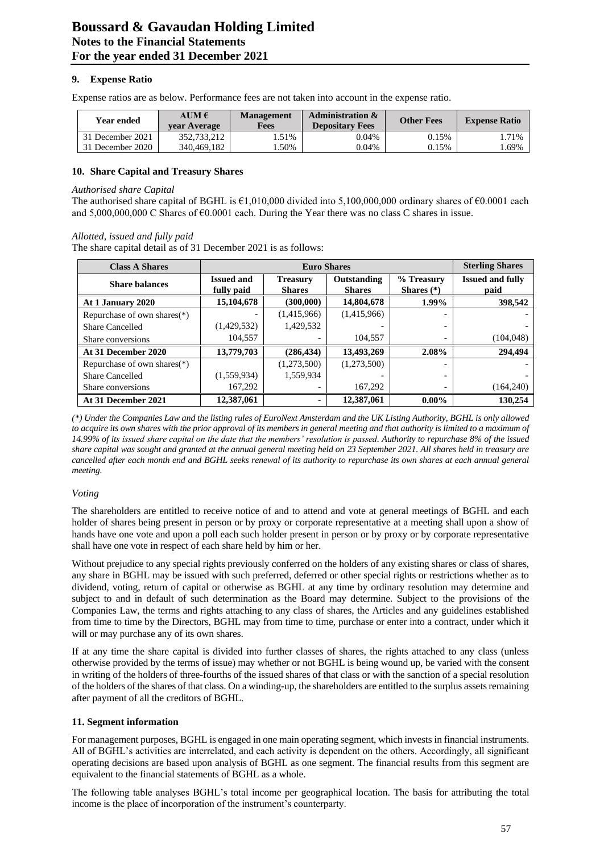## **9. Expense Ratio**

Expense ratios are as below. Performance fees are not taken into account in the expense ratio.

| <b>Year ended</b> | AUM $\epsilon$<br>vear Average | <b>Management</b><br>Fees | <b>Administration &amp;</b><br><b>Depositary Fees</b> | <b>Other Fees</b> | <b>Expense Ratio</b> |
|-------------------|--------------------------------|---------------------------|-------------------------------------------------------|-------------------|----------------------|
| 31 December 2021  | 352,733,212                    | .51%                      | 0.04%                                                 | 0.15%             | .71%                 |
| 31 December 2020  | 340.469.182                    | .50%                      | 0.04%                                                 | 0.15%             | .69%                 |

#### **10. Share Capital and Treasury Shares**

#### *Authorised share Capital*

The authorised share capital of BGHL is  $\epsilon$ 1,010,000 divided into 5,100,000,000 ordinary shares of  $\epsilon$ 0.0001 each and 5,000,000,000 C Shares of €0.0001 each. During the Year there was no class C shares in issue.

#### *Allotted, issued and fully paid*

The share capital detail as of 31 December 2021 is as follows:

| <b>Class A Shares</b>          |                                 | <b>Euro Shares</b>               |                              |                            |                                 |  |
|--------------------------------|---------------------------------|----------------------------------|------------------------------|----------------------------|---------------------------------|--|
| <b>Share balances</b>          | <b>Issued and</b><br>fully paid | <b>Treasury</b><br><b>Shares</b> | Outstanding<br><b>Shares</b> | % Treasury<br>Shares $(*)$ | <b>Issued and fully</b><br>paid |  |
| At 1 January 2020              | 15,104,678                      | (300,000)                        | 14,804,678                   | 1.99%                      | 398,542                         |  |
| Repurchase of own shares $(*)$ |                                 | (1,415,966)                      | (1,415,966)                  |                            |                                 |  |
| Share Cancelled                | (1,429,532)                     | 1,429,532                        |                              |                            |                                 |  |
| Share conversions              | 104,557                         |                                  | 104.557                      | $\overline{\phantom{0}}$   | (104, 048)                      |  |
| At 31 December 2020            | 13,779,703                      | (286, 434)                       | 13,493,269                   | $2.08\%$                   | 294,494                         |  |
| Repurchase of own shares $(*)$ |                                 | (1,273,500)                      | (1,273,500)                  |                            |                                 |  |
| Share Cancelled                | (1,559,934)                     | 1,559,934                        |                              |                            |                                 |  |
| Share conversions              | 167,292                         |                                  | 167,292                      |                            | (164, 240)                      |  |
| At 31 December 2021            | 12,387,061                      |                                  | 12,387,061                   | $0.00\%$                   | 130,254                         |  |

*(\*) Under the Companies Law and the listing rules of EuroNext Amsterdam and the UK Listing Authority, BGHL is only allowed to acquire its own shares with the prior approval of its members in general meeting and that authority is limited to a maximum of 14.99% of its issued share capital on the date that the members' resolution is passed. Authority to repurchase 8% of the issued share capital was sought and granted at the annual general meeting held on 23 September 2021. All shares held in treasury are cancelled after each month end and BGHL seeks renewal of its authority to repurchase its own shares at each annual general meeting.*

#### *Voting*

The shareholders are entitled to receive notice of and to attend and vote at general meetings of BGHL and each holder of shares being present in person or by proxy or corporate representative at a meeting shall upon a show of hands have one vote and upon a poll each such holder present in person or by proxy or by corporate representative shall have one vote in respect of each share held by him or her.

Without prejudice to any special rights previously conferred on the holders of any existing shares or class of shares, any share in BGHL may be issued with such preferred, deferred or other special rights or restrictions whether as to dividend, voting, return of capital or otherwise as BGHL at any time by ordinary resolution may determine and subject to and in default of such determination as the Board may determine. Subject to the provisions of the Companies Law, the terms and rights attaching to any class of shares, the Articles and any guidelines established from time to time by the Directors, BGHL may from time to time, purchase or enter into a contract, under which it will or may purchase any of its own shares.

If at any time the share capital is divided into further classes of shares, the rights attached to any class (unless otherwise provided by the terms of issue) may whether or not BGHL is being wound up, be varied with the consent in writing of the holders of three-fourths of the issued shares of that class or with the sanction of a special resolution of the holders of the shares of that class. On a winding-up, the shareholders are entitled to the surplus assets remaining after payment of all the creditors of BGHL.

#### **11. Segment information**

For management purposes, BGHL is engaged in one main operating segment, which invests in financial instruments. All of BGHL's activities are interrelated, and each activity is dependent on the others. Accordingly, all significant operating decisions are based upon analysis of BGHL as one segment. The financial results from this segment are equivalent to the financial statements of BGHL as a whole.

The following table analyses BGHL's total income per geographical location. The basis for attributing the total income is the place of incorporation of the instrument's counterparty.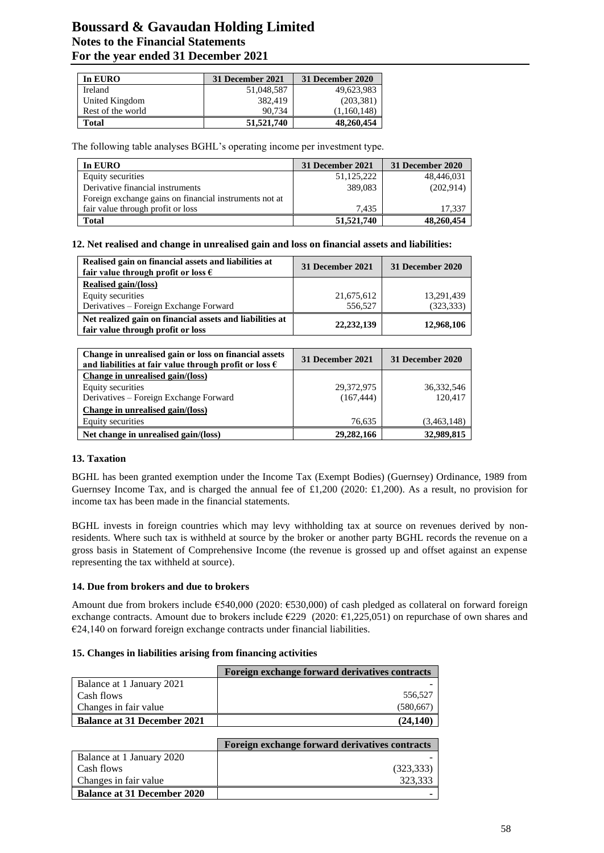# **Boussard & Gavaudan Holding Limited Notes to the Financial Statements For the year ended 31 December 2021**

| In EURO           | 31 December 2021 | 31 December 2020 |
|-------------------|------------------|------------------|
| Ireland           | 51,048,587       | 49,623,983       |
| United Kingdom    | 382,419          | (203, 381)       |
| Rest of the world | 90.734           | (1,160,148)      |
| Total             | 51,521,740       | 48,260,454       |

The following table analyses BGHL's operating income per investment type.

| In EURO                                                | 31 December 2021 | 31 December 2020 |
|--------------------------------------------------------|------------------|------------------|
| Equity securities                                      | 51,125,222       | 48,446,031       |
| Derivative financial instruments                       | 389,083          | (202, 914)       |
| Foreign exchange gains on financial instruments not at |                  |                  |
| fair value through profit or loss                      | 7.435            | 17,337           |
| <b>Total</b>                                           | 51,521,740       | 48,260,454       |

**12. Net realised and change in unrealised gain and loss on financial assets and liabilities:**

| Realised gain on financial assets and liabilities at<br>fair value through profit or loss $\epsilon$ | 31 December 2021 | 31 December 2020 |
|------------------------------------------------------------------------------------------------------|------------------|------------------|
| Realised gain/(loss)                                                                                 |                  |                  |
| Equity securities                                                                                    | 21,675,612       | 13,291,439       |
| Derivatives – Foreign Exchange Forward                                                               | 556,527          | (323, 333)       |
| Net realized gain on financial assets and liabilities at<br>fair value through profit or loss        | 22, 232, 139     | 12,968,106       |

| Change in unrealised gain or loss on financial assets<br>and liabilities at fair value through profit or loss $\epsilon$ | 31 December 2021 | 31 December 2020 |
|--------------------------------------------------------------------------------------------------------------------------|------------------|------------------|
| Change in unrealised gain/(loss)                                                                                         |                  |                  |
| Equity securities                                                                                                        | 29,372,975       | 36, 332, 546     |
| Derivatives – Foreign Exchange Forward                                                                                   | (167, 444)       | 120,417          |
| Change in unrealised gain/(loss)                                                                                         |                  |                  |
| Equity securities                                                                                                        | 76,635           | (3,463,148)      |
| Net change in unrealised gain/(loss)                                                                                     | 29,282,166       | 32,989,815       |

# **13. Taxation**

BGHL has been granted exemption under the Income Tax (Exempt Bodies) (Guernsey) Ordinance, 1989 from Guernsey Income Tax, and is charged the annual fee of £1,200 (2020: £1,200). As a result, no provision for income tax has been made in the financial statements.

BGHL invests in foreign countries which may levy withholding tax at source on revenues derived by nonresidents. Where such tax is withheld at source by the broker or another party BGHL records the revenue on a gross basis in Statement of Comprehensive Income (the revenue is grossed up and offset against an expense representing the tax withheld at source).

#### **14. Due from brokers and due to brokers**

Amount due from brokers include €540,000 (2020: €530,000) of cash pledged as collateral on forward foreign exchange contracts. Amount due to brokers include  $\epsilon$ 229 (2020:  $\epsilon$ 1,225,051) on repurchase of own shares and €24,140 on forward foreign exchange contracts under financial liabilities.

#### **15. Changes in liabilities arising from financing activities**

|                                    | Foreign exchange forward derivatives contracts |
|------------------------------------|------------------------------------------------|
| Balance at 1 January 2021          |                                                |
| Cash flows                         | 556,527                                        |
| Changes in fair value              | (580, 667)                                     |
| <b>Balance at 31 December 2021</b> | (24.140)                                       |

|                                    | Foreign exchange forward derivatives contracts |
|------------------------------------|------------------------------------------------|
| Balance at 1 January 2020          |                                                |
| l-Cash flows                       | (323, 333)                                     |
| Changes in fair value              | 323.333                                        |
| <b>Balance at 31 December 2020</b> |                                                |